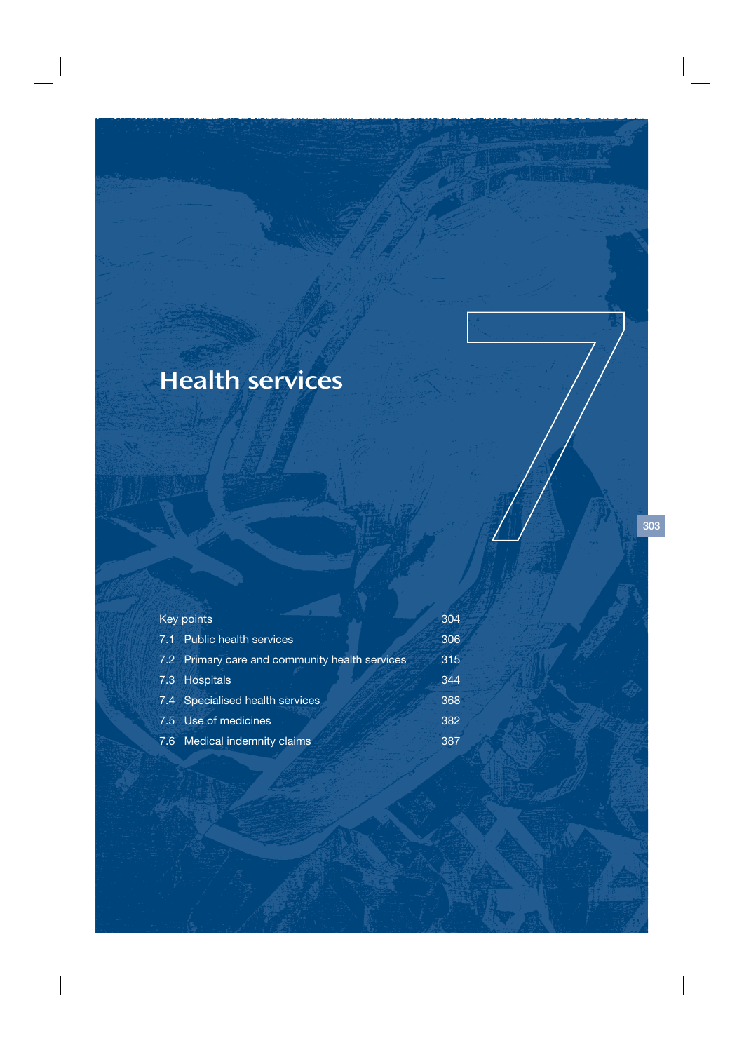# Health services

| Key points                                     | 304 |
|------------------------------------------------|-----|
| 7.1 Public health services                     | 306 |
| 7.2 Primary care and community health services | 315 |
| 7.3 Hospitals                                  | 344 |
| 7.4 Specialised health services                | 368 |
| 7.5 Use of medicines                           | 382 |
| 7.6 Medical indemnity claims                   | 387 |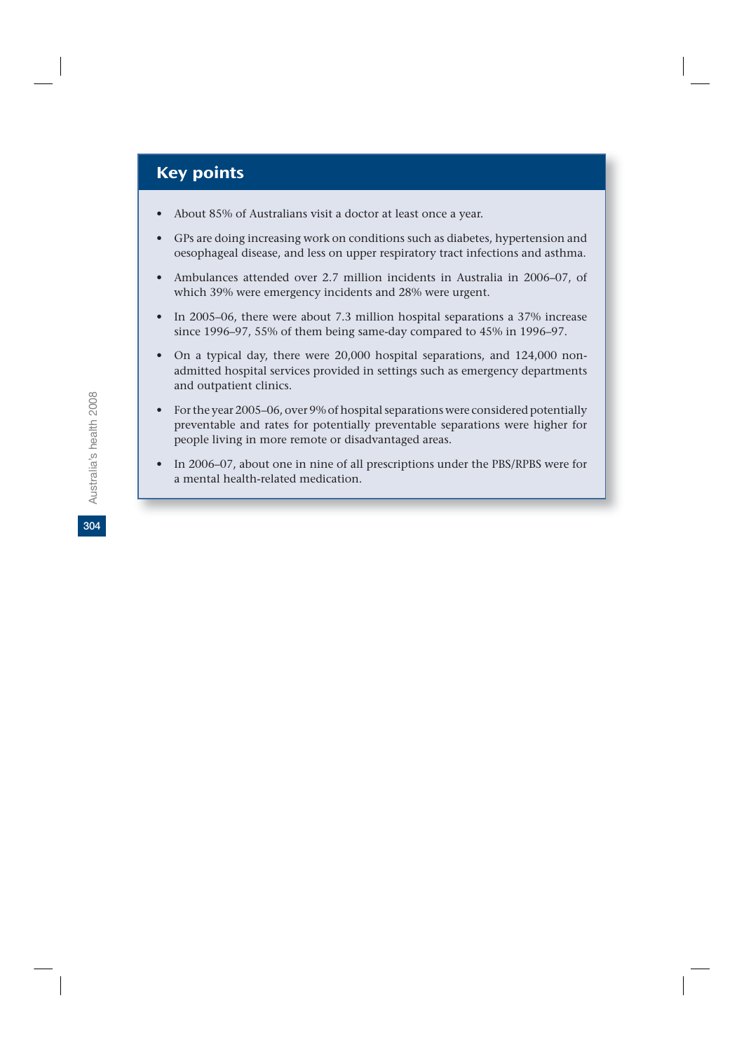# Key points

- About 85% of Australians visit a doctor at least once a year.
- GPs are doing increasing work on conditions such as diabetes, hypertension and oesophageal disease, and less on upper respiratory tract infections and asthma.
- Ambulances attended over 2.7 million incidents in Australia in 2006–07, of which 39% were emergency incidents and 28% were urgent.
- In 2005–06, there were about 7.3 million hospital separations a 37% increase since 1996–97, 55% of them being same-day compared to 45% in 1996–97.
- On a typical day, there were 20,000 hospital separations, and 124,000 nonadmitted hospital services provided in settings such as emergency departments and outpatient clinics.
- For the year 2005–06, over 9% of hospital separations were considered potentially preventable and rates for potentially preventable separations were higher for people living in more remote or disadvantaged areas.
- In 2006–07, about one in nine of all prescriptions under the PBS/RPBS were for a mental health-related medication.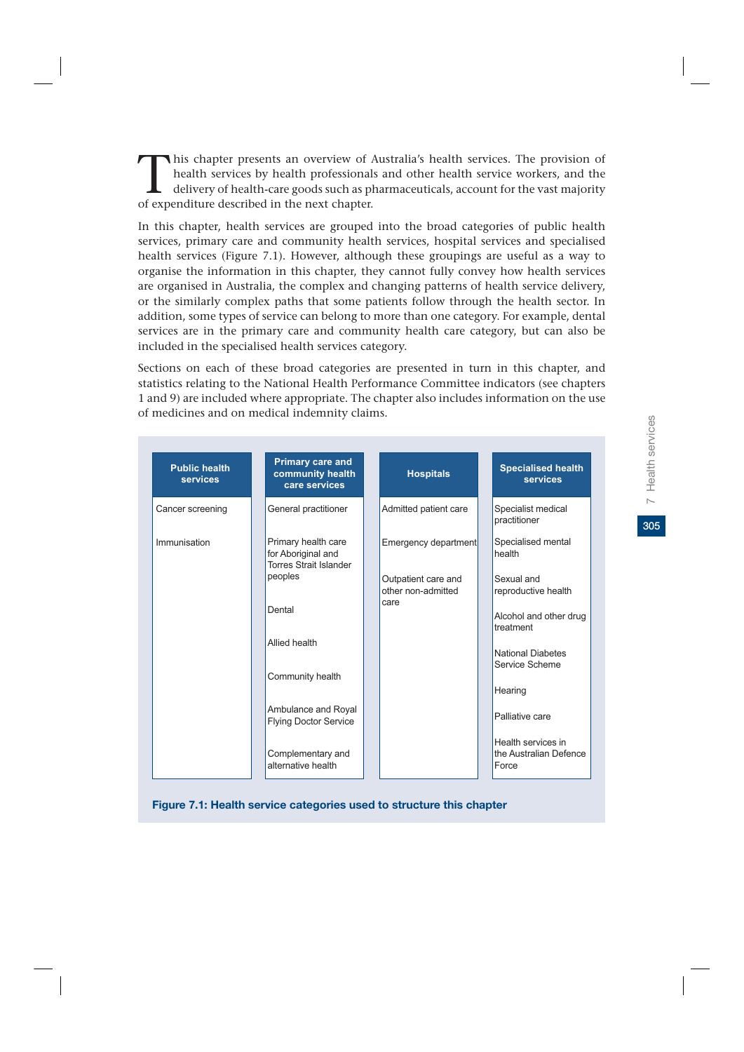This chapter presents an overview of Australia's health services. The provision of health services by health professionals and other health service workers, and the delivery of health-care goods such as pharmaceuticals, ac health services by health professionals and other health service workers, and the delivery of health-care goods such as pharmaceuticals, account for the vast majority of expenditure described in the next chapter.

In this chapter, health services are grouped into the broad categories of public health services, primary care and community health services, hospital services and specialised health services (Figure 7.1). However, although these groupings are useful as a way to organise the information in this chapter, they cannot fully convey how health services are organised in Australia, the complex and changing patterns of health service delivery, or the similarly complex paths that some patients follow through the health sector. In addition, some types of service can belong to more than one category. For example, dental services are in the primary care and community health care category, but can also be included in the specialised health services category.

Sections on each of these broad categories are presented in turn in this chapter, and statistics relating to the National Health Performance Committee indicators (see chapters 1 and 9) are included where appropriate. The chapter also includes information on the use of medicines and on medical indemnity claims.

| <b>Public health</b><br><b>services</b> | <b>Primary care and</b><br>community health<br>care services               | <b>Hospitals</b>                          | <b>Specialised health</b><br><b>services</b>          |
|-----------------------------------------|----------------------------------------------------------------------------|-------------------------------------------|-------------------------------------------------------|
| Cancer screening                        | General practitioner                                                       | Admitted patient care                     | Specialist medical<br>practitioner                    |
| Immunisation                            | Primary health care<br>for Aboriginal and<br><b>Torres Strait Islander</b> | Emergency department                      | Specialised mental<br>health                          |
|                                         | peoples                                                                    | Outpatient care and<br>other non-admitted | Sexual and<br>reproductive health                     |
|                                         | Dental                                                                     | care                                      | Alcohol and other drug<br>treatment                   |
|                                         | Allied health                                                              |                                           | <b>National Diabetes</b><br>Service Scheme            |
|                                         | Community health                                                           |                                           | Hearing                                               |
|                                         | Ambulance and Royal<br><b>Flying Doctor Service</b>                        |                                           | Palliative care                                       |
|                                         | Complementary and<br>alternative health                                    |                                           | Health services in<br>the Australian Defence<br>Force |

**Figure 7.1: Health service categories used to structure this chapter**

305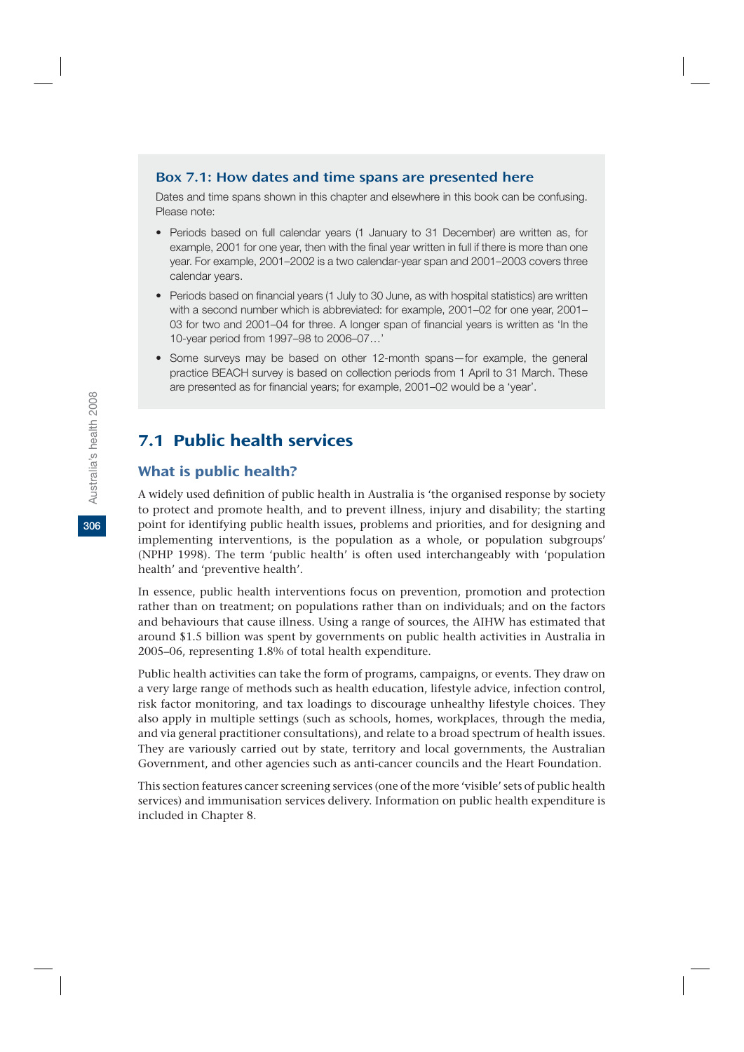## Box 7.1: How dates and time spans are presented here

Dates and time spans shown in this chapter and elsewhere in this book can be confusing. Please note:

- Periods based on full calendar years (1 January to 31 December) are written as, for example, 2001 for one year, then with the final year written in full if there is more than one year. For example, 2001–2002 is a two calendar-year span and 2001–2003 covers three calendar years.
- Periods based on financial years (1 July to 30 June, as with hospital statistics) are written with a second number which is abbreviated: for example, 2001–02 for one year, 2001– 03 for two and 2001–04 for three. A longer span of financial years is written as 'In the 10-year period from 1997–98 to 2006–07…'
- Some surveys may be based on other 12-month spans—for example, the general practice BEACH survey is based on collection periods from 1 April to 31 March. These are presented as for financial years; for example, 2001–02 would be a 'year'.

## 7.1 Public health services

## What is public health?

A widely used definition of public health in Australia is 'the organised response by society to protect and promote health, and to prevent illness, injury and disability; the starting point for identifying public health issues, problems and priorities, and for designing and implementing interventions, is the population as a whole, or population subgroups' (NPHP 1998). The term 'public health' is often used interchangeably with 'population health' and 'preventive health'.

In essence, public health interventions focus on prevention, promotion and protection rather than on treatment; on populations rather than on individuals; and on the factors and behaviours that cause illness. Using a range of sources, the AIHW has estimated that around \$1.5 billion was spent by governments on public health activities in Australia in 2005–06, representing 1.8% of total health expenditure.

Public health activities can take the form of programs, campaigns, or events. They draw on a very large range of methods such as health education, lifestyle advice, infection control, risk factor monitoring, and tax loadings to discourage unhealthy lifestyle choices. They also apply in multiple settings (such as schools, homes, workplaces, through the media, and via general practitioner consultations), and relate to a broad spectrum of health issues. They are variously carried out by state, territory and local governments, the Australian Government, and other agencies such as anti-cancer councils and the Heart Foundation.

This section features cancer screening services (one of the more 'visible' sets of public health services) and immunisation services delivery. Information on public health expenditure is included in Chapter 8.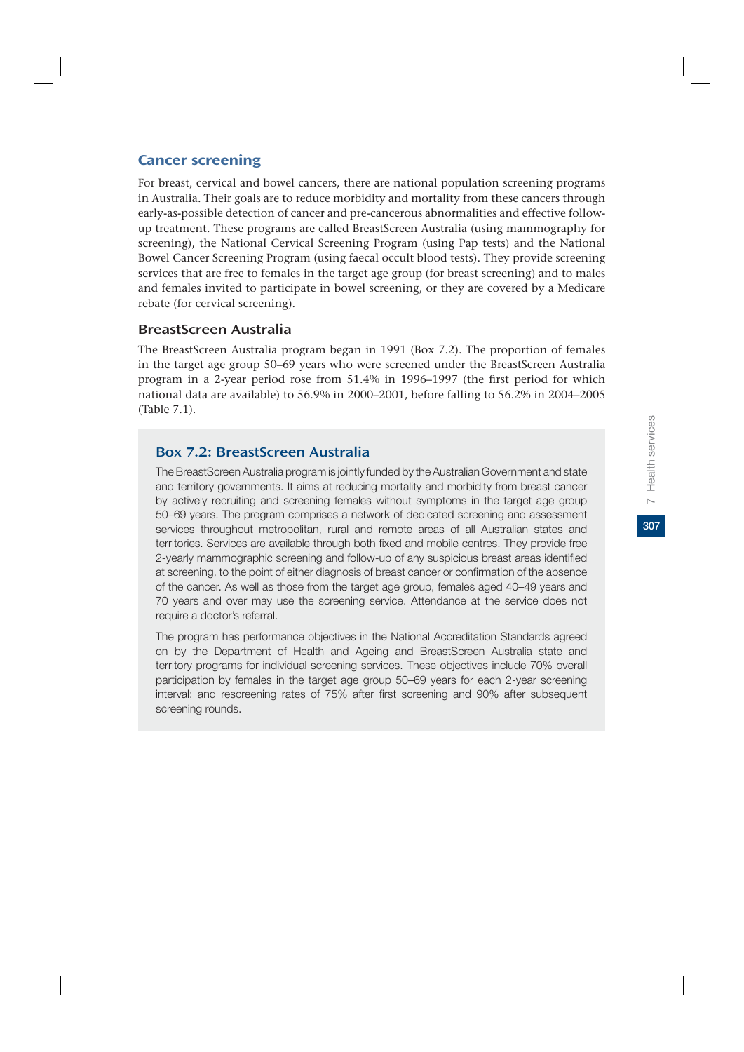# **307**7 Health services Health services  $\overline{a}$

For breast, cervical and bowel cancers, there are national population screening programs in Australia. Their goals are to reduce morbidity and mortality from these cancers through early-as-possible detection of cancer and pre-cancerous abnormalities and effective followup treatment. These programs are called BreastScreen Australia (using mammography for screening), the National Cervical Screening Program (using Pap tests) and the National Bowel Cancer Screening Program (using faecal occult blood tests). They provide screening services that are free to females in the target age group (for breast screening) and to males and females invited to participate in bowel screening, or they are covered by a Medicare rebate (for cervical screening).

## BreastScreen Australia

The BreastScreen Australia program began in 1991 (Box 7.2). The proportion of females in the target age group 50–69 years who were screened under the BreastScreen Australia program in a 2-year period rose from 51.4% in 1996–1997 (the first period for which national data are available) to 56.9% in 2000–2001, before falling to 56.2% in 2004–2005 (Table 7.1).

## Box 7.2: BreastScreen Australia

The BreastScreen Australia program is jointly funded by the Australian Government and state and territory governments. It aims at reducing mortality and morbidity from breast cancer by actively recruiting and screening females without symptoms in the target age group 50–69 years. The program comprises a network of dedicated screening and assessment services throughout metropolitan, rural and remote areas of all Australian states and territories. Services are available through both fixed and mobile centres. They provide free 2-yearly mammographic screening and follow-up of any suspicious breast areas identified at screening, to the point of either diagnosis of breast cancer or confirmation of the absence of the cancer. As well as those from the target age group, females aged 40–49 years and 70 years and over may use the screening service. Attendance at the service does not require a doctor's referral.

The program has performance objectives in the National Accreditation Standards agreed on by the Department of Health and Ageing and BreastScreen Australia state and territory programs for individual screening services. These objectives include 70% overall participation by females in the target age group 50–69 years for each 2-year screening interval; and rescreening rates of 75% after first screening and 90% after subsequent screening rounds.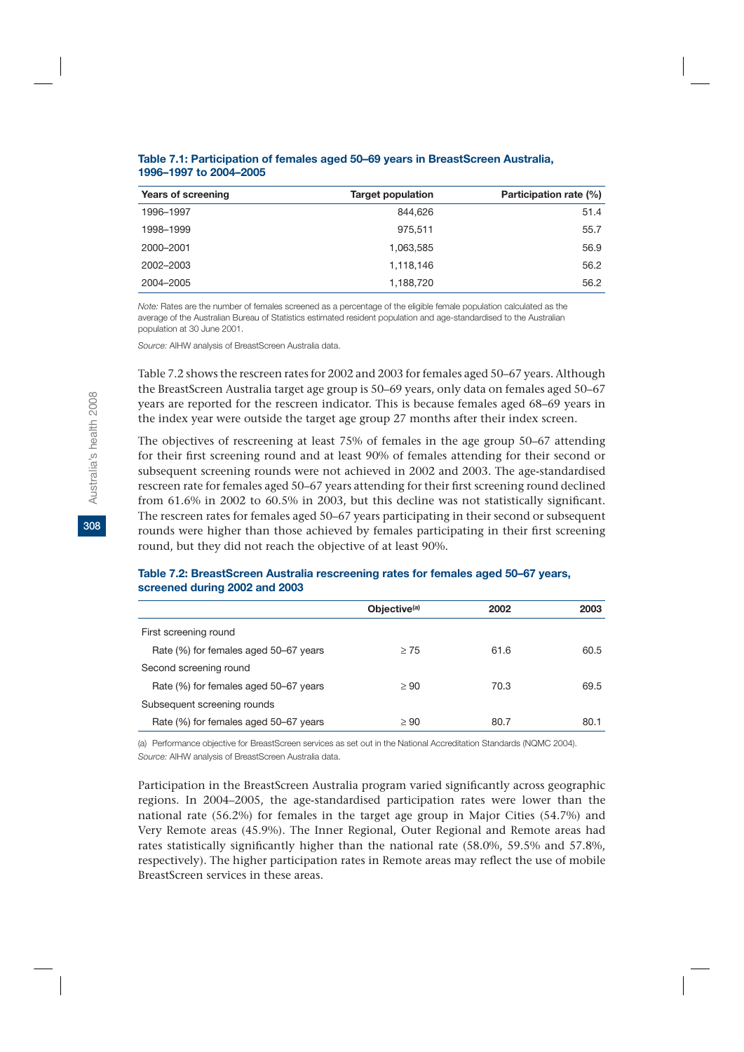| Years of screening | <b>Target population</b> | Participation rate (%) |
|--------------------|--------------------------|------------------------|
| 1996-1997          | 844.626                  | 51.4                   |
| 1998-1999          | 975.511                  | 55.7                   |
| 2000-2001          | 1,063,585                | 56.9                   |
| 2002-2003          | 1,118,146                | 56.2                   |
| 2004-2005          | 1,188,720                | 56.2                   |

#### **Table 7.1: Participation of females aged 50–69 years in BreastScreen Australia, 1996–1997 to 2004–2005**

*Note:* Rates are the number of females screened as a percentage of the eligible female population calculated as the average of the Australian Bureau of Statistics estimated resident population and age-standardised to the Australian population at 30 June 2001.

*Source:* AIHW analysis of BreastScreen Australia data.

Table 7.2 shows the rescreen rates for 2002 and 2003 for females aged 50–67 years. Although the BreastScreen Australia target age group is 50–69 years, only data on females aged 50–67 years are reported for the rescreen indicator. This is because females aged 68–69 years in the index year were outside the target age group 27 months after their index screen.

The objectives of rescreening at least 75% of females in the age group 50–67 attending for their first screening round and at least 90% of females attending for their second or subsequent screening rounds were not achieved in 2002 and 2003. The age-standardised rescreen rate for females aged 50–67 years attending for their first screening round declined from 61.6% in 2002 to 60.5% in 2003, but this decline was not statistically significant. The rescreen rates for females aged 50–67 years participating in their second or subsequent rounds were higher than those achieved by females participating in their first screening round, but they did not reach the objective of at least 90%.

### **Table 7.2: BreastScreen Australia rescreening rates for females aged 50–67 years, screened during 2002 and 2003**

| Objective <sup>(a)</sup> | 2002 | 2003 |
|--------------------------|------|------|
|                          |      |      |
| $\geq 75$                | 61.6 | 60.5 |
|                          |      |      |
| $\geq 90$                | 70.3 | 69.5 |
|                          |      |      |
| $\geq 90$                | 80.7 | 80.1 |
|                          |      |      |

(a) Performance objective for BreastScreen services as set out in the National Accreditation Standards (NQMC 2004). *Source:* AIHW analysis of BreastScreen Australia data.

Participation in the BreastScreen Australia program varied significantly across geographic regions. In 2004–2005, the age-standardised participation rates were lower than the national rate (56.2%) for females in the target age group in Major Cities (54.7%) and Very Remote areas (45.9%). The Inner Regional, Outer Regional and Remote areas had rates statistically significantly higher than the national rate (58.0%, 59.5% and 57.8%, respectively). The higher participation rates in Remote areas may reflect the use of mobile BreastScreen services in these areas.

**308**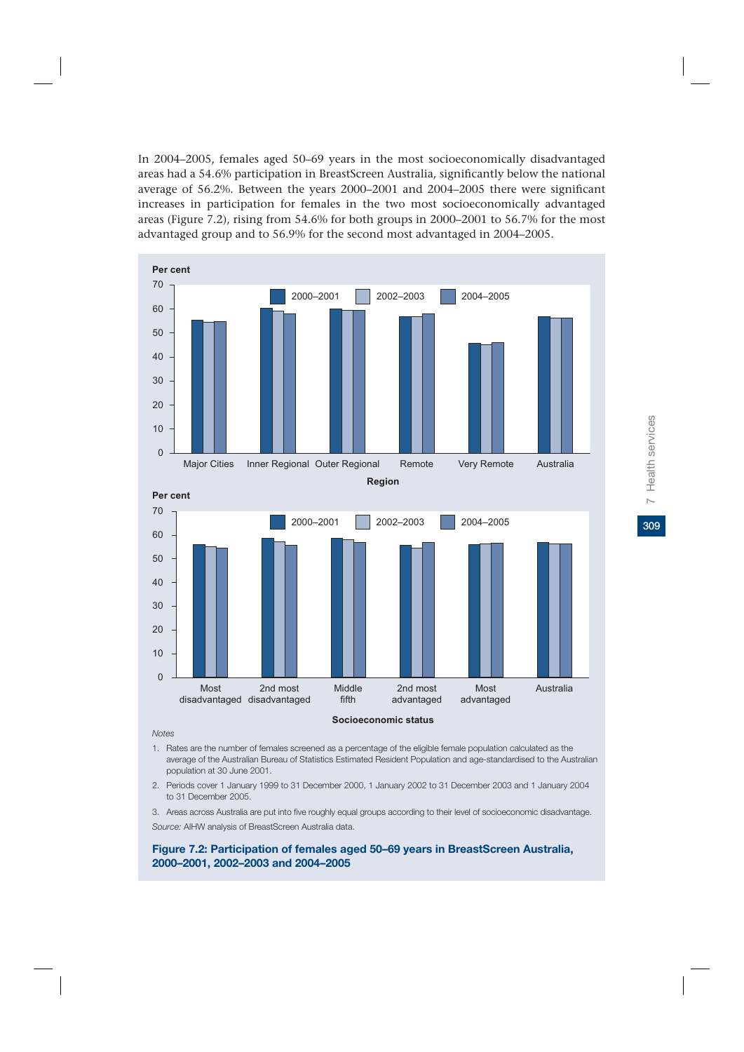In 2004–2005, females aged 50–69 years in the most socioeconomically disadvantaged areas had a 54.6% participation in BreastScreen Australia, significantly below the national average of 56.2%. Between the years 2000–2001 and 2004–2005 there were significant increases in participation for females in the two most socioeconomically advantaged areas (Figure 7.2), rising from 54.6% for both groups in 2000–2001 to 56.7% for the most advantaged group and to 56.9% for the second most advantaged in 2004–2005.



#### *Notes*

- 1. Rates are the number of females screened as a percentage of the eligible female population calculated as the average of the Australian Bureau of Statistics Estimated Resident Population and age-standardised to the Australian population at 30 June 2001.
- 2. Periods cover 1 January 1999 to 31 December 2000, 1 January 2002 to 31 December 2003 and 1 January 2004 to 31 December 2005.
- 3. Areas across Australia are put into five roughly equal groups according to their level of socioeconomic disadvantage.

*Source:* AIHW analysis of BreastScreen Australia data.

#### **Figure 7.2: Participation of females aged 50–69 years in BreastScreen Australia, 2000–2001, 2002–2003 and 2004–2005**

309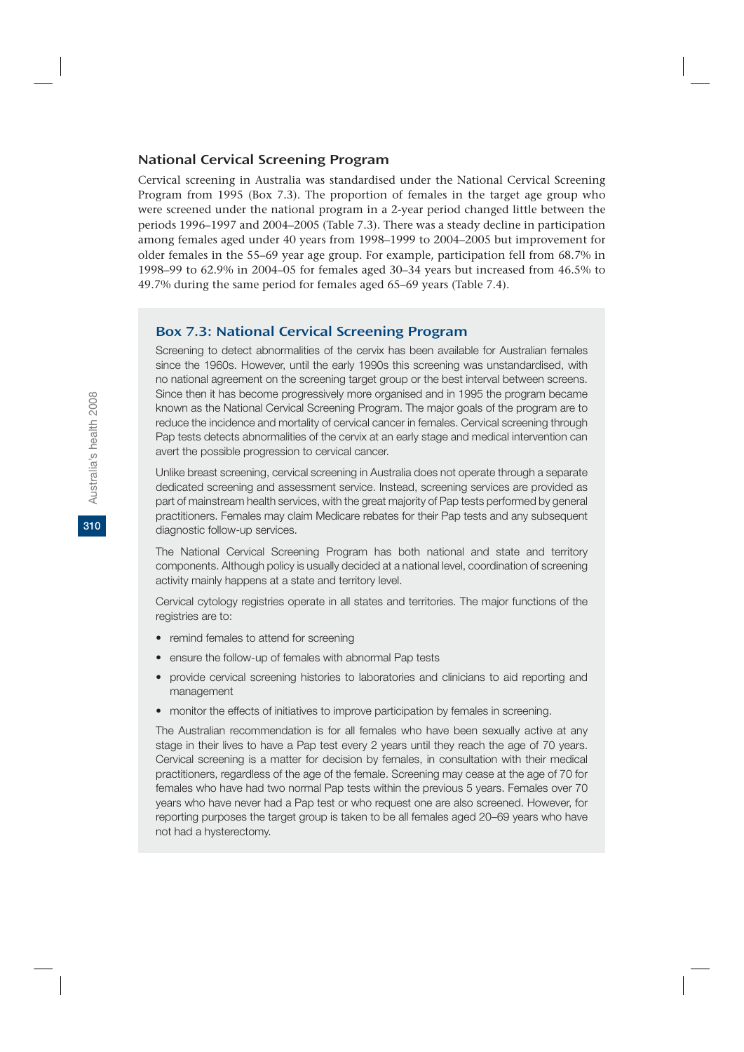### National Cervical Screening Program

Cervical screening in Australia was standardised under the National Cervical Screening Program from 1995 (Box 7.3). The proportion of females in the target age group who were screened under the national program in a 2-year period changed little between the periods 1996–1997 and 2004–2005 (Table 7.3). There was a steady decline in participation among females aged under 40 years from 1998–1999 to 2004–2005 but improvement for older females in the 55–69 year age group. For example, participation fell from 68.7% in 1998–99 to 62.9% in 2004–05 for females aged 30–34 years but increased from 46.5% to 49.7% during the same period for females aged 65–69 years (Table 7.4).

## Box 7.3: National Cervical Screening Program

Screening to detect abnormalities of the cervix has been available for Australian females since the 1960s. However, until the early 1990s this screening was unstandardised, with no national agreement on the screening target group or the best interval between screens. Since then it has become progressively more organised and in 1995 the program became known as the National Cervical Screening Program. The major goals of the program are to reduce the incidence and mortality of cervical cancer in females. Cervical screening through Pap tests detects abnormalities of the cervix at an early stage and medical intervention can avert the possible progression to cervical cancer.

Unlike breast screening, cervical screening in Australia does not operate through a separate dedicated screening and assessment service. Instead, screening services are provided as part of mainstream health services, with the great majority of Pap tests performed by general practitioners. Females may claim Medicare rebates for their Pap tests and any subsequent diagnostic follow-up services.

The National Cervical Screening Program has both national and state and territory components. Although policy is usually decided at a national level, coordination of screening activity mainly happens at a state and territory level.

Cervical cytology registries operate in all states and territories. The major functions of the registries are to:

- remind females to attend for screening
- ensure the follow-up of females with abnormal Pap tests
- provide cervical screening histories to laboratories and clinicians to aid reporting and management
- monitor the effects of initiatives to improve participation by females in screening.

The Australian recommendation is for all females who have been sexually active at any stage in their lives to have a Pap test every 2 years until they reach the age of 70 years. Cervical screening is a matter for decision by females, in consultation with their medical practitioners, regardless of the age of the female. Screening may cease at the age of 70 for females who have had two normal Pap tests within the previous 5 years. Females over 70 years who have never had a Pap test or who request one are also screened. However, for reporting purposes the target group is taken to be all females aged 20–69 years who have not had a hysterectomy.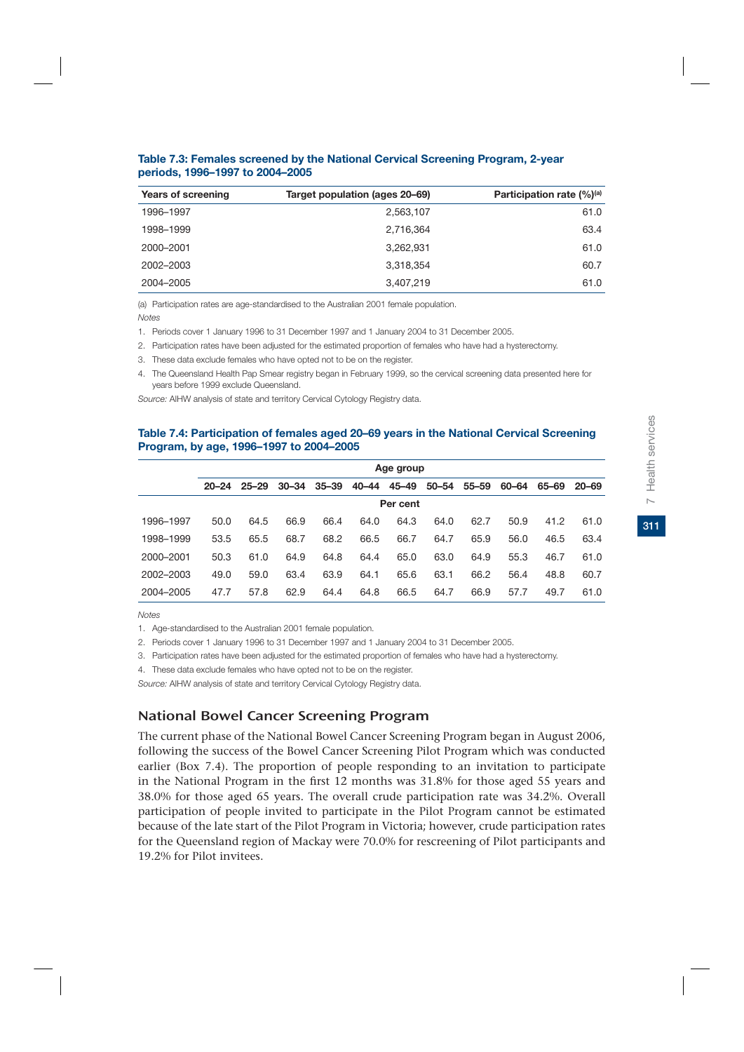| Years of screening | Target population (ages 20–69) | Participation rate $(\%)^{(a)}$ |
|--------------------|--------------------------------|---------------------------------|
| 1996-1997          | 2,563,107                      | 61.0                            |
| 1998-1999          | 2,716,364                      | 63.4                            |
| 2000-2001          | 3.262.931                      | 61.0                            |
| 2002-2003          | 3,318,354                      | 60.7                            |
| 2004-2005          | 3,407,219                      | 61.0                            |

**Table 7.3: Females screened by the National Cervical Screening Program, 2-year periods, 1996–1997 to 2004–2005**

(a) Participation rates are age-standardised to the Australian 2001 female population.

*Notes*

1. Periods cover 1 January 1996 to 31 December 1997 and 1 January 2004 to 31 December 2005.

- 2. Participation rates have been adjusted for the estimated proportion of females who have had a hysterectomy.
- 3. These data exclude females who have opted not to be on the register.
- 4. The Queensland Health Pap Smear registry began in February 1999, so the cervical screening data presented here for years before 1999 exclude Queensland.

*Source:* AIHW analysis of state and territory Cervical Cytology Registry data.

#### **Table 7.4: Participation of females aged 20–69 years in the National Cervical Screening Program, by age, 1996–1997 to 2004–2005**

|           | Age group |           |           |       |       |       |       |       |       |       |           |
|-----------|-----------|-----------|-----------|-------|-------|-------|-------|-------|-------|-------|-----------|
|           | $20 - 24$ | $25 - 29$ | $30 - 34$ | 35–39 | 40-44 | 45–49 | 50–54 | 55–59 | 60–64 | 65–69 | $20 - 69$ |
|           | Per cent  |           |           |       |       |       |       |       |       |       |           |
| 1996-1997 | 50.0      | 64.5      | 66.9      | 66.4  | 64.0  | 64.3  | 64.0  | 62.7  | 50.9  | 41.2  | 61.0      |
| 1998-1999 | 53.5      | 65.5      | 68.7      | 68.2  | 66.5  | 66.7  | 64.7  | 65.9  | 56.0  | 46.5  | 63.4      |
| 2000-2001 | 50.3      | 61.0      | 64.9      | 64.8  | 64.4  | 65.0  | 63.0  | 64.9  | 55.3  | 46.7  | 61.0      |
| 2002-2003 | 49.0      | 59.0      | 63.4      | 63.9  | 64.1  | 65.6  | 63.1  | 66.2  | 56.4  | 48.8  | 60.7      |
| 2004-2005 | 47.7      | 57.8      | 62.9      | 64.4  | 64.8  | 66.5  | 64.7  | 66.9  | 57.7  | 49.7  | 61.0      |

*Notes*

1. Age-standardised to the Australian 2001 female population.

2. Periods cover 1 January 1996 to 31 December 1997 and 1 January 2004 to 31 December 2005.

3. Participation rates have been adjusted for the estimated proportion of females who have had a hysterectomy.

4. These data exclude females who have opted not to be on the register.

*Source:* AIHW analysis of state and territory Cervical Cytology Registry data.

## National Bowel Cancer Screening Program

The current phase of the National Bowel Cancer Screening Program began in August 2006, following the success of the Bowel Cancer Screening Pilot Program which was conducted earlier (Box 7.4). The proportion of people responding to an invitation to participate in the National Program in the first 12 months was 31.8% for those aged 55 years and 38.0% for those aged 65 years. The overall crude participation rate was 34.2%. Overall participation of people invited to participate in the Pilot Program cannot be estimated because of the late start of the Pilot Program in Victoria; however, crude participation rates for the Queensland region of Mackay were 70.0% for rescreening of Pilot participants and 19.2% for Pilot invitees.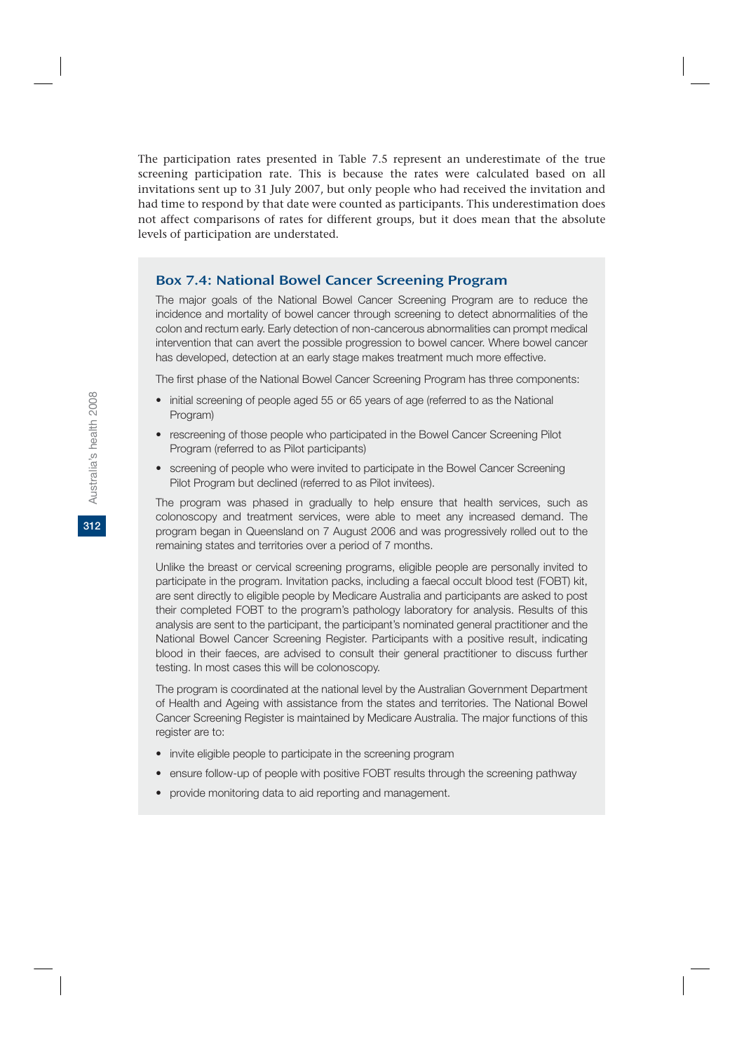The participation rates presented in Table 7.5 represent an underestimate of the true screening participation rate. This is because the rates were calculated based on all invitations sent up to 31 July 2007, but only people who had received the invitation and had time to respond by that date were counted as participants. This underestimation does not affect comparisons of rates for different groups, but it does mean that the absolute levels of participation are understated.

## Box 7.4: National Bowel Cancer Screening Program

The major goals of the National Bowel Cancer Screening Program are to reduce the incidence and mortality of bowel cancer through screening to detect abnormalities of the colon and rectum early. Early detection of non-cancerous abnormalities can prompt medical intervention that can avert the possible progression to bowel cancer. Where bowel cancer has developed, detection at an early stage makes treatment much more effective.

The first phase of the National Bowel Cancer Screening Program has three components:

- initial screening of people aged 55 or 65 years of age (referred to as the National Program)
- rescreening of those people who participated in the Bowel Cancer Screening Pilot Program (referred to as Pilot participants)
- screening of people who were invited to participate in the Bowel Cancer Screening Pilot Program but declined (referred to as Pilot invitees).

The program was phased in gradually to help ensure that health services, such as colonoscopy and treatment services, were able to meet any increased demand. The program began in Queensland on 7 August 2006 and was progressively rolled out to the remaining states and territories over a period of 7 months.

Unlike the breast or cervical screening programs, eligible people are personally invited to participate in the program. Invitation packs, including a faecal occult blood test (FOBT) kit, are sent directly to eligible people by Medicare Australia and participants are asked to post their completed FOBT to the program's pathology laboratory for analysis. Results of this analysis are sent to the participant, the participant's nominated general practitioner and the National Bowel Cancer Screening Register. Participants with a positive result, indicating blood in their faeces, are advised to consult their general practitioner to discuss further testing. In most cases this will be colonoscopy.

The program is coordinated at the national level by the Australian Government Department of Health and Ageing with assistance from the states and territories. The National Bowel Cancer Screening Register is maintained by Medicare Australia. The major functions of this register are to:

- invite eligible people to participate in the screening program
- ensure follow-up of people with positive FOBT results through the screening pathway
- provide monitoring data to aid reporting and management.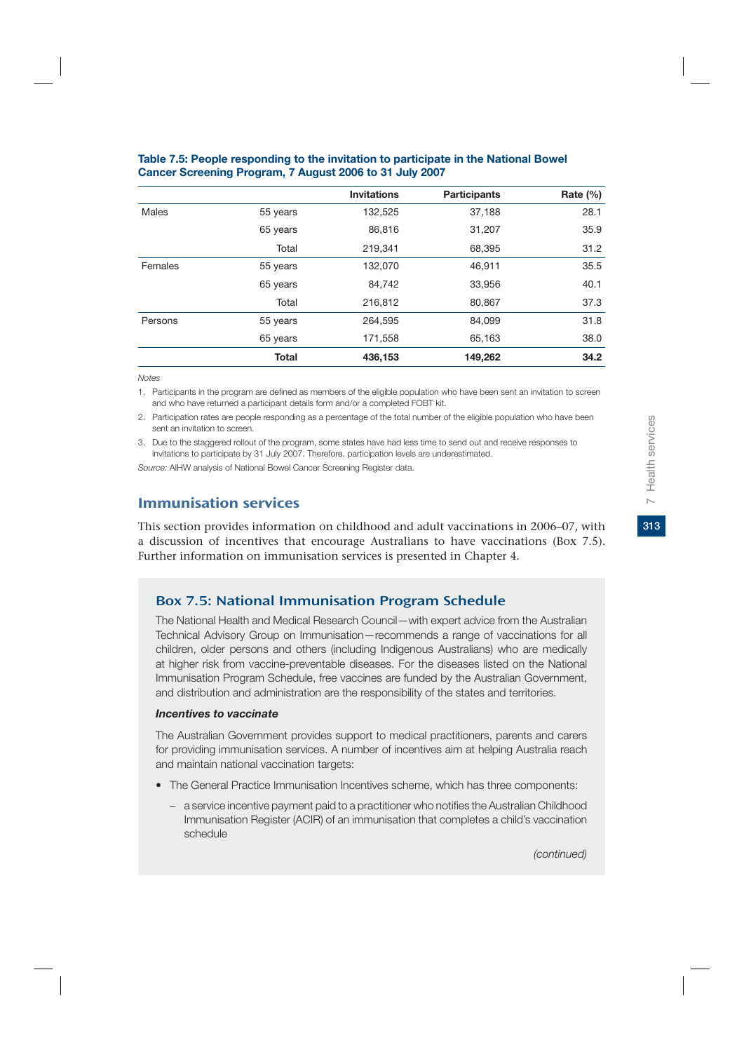|              |              | <b>Invitations</b> | <b>Participants</b> | Rate $(\% )$ |
|--------------|--------------|--------------------|---------------------|--------------|
| <b>Males</b> | 55 years     | 132,525            | 37,188              | 28.1         |
|              | 65 years     | 86,816             | 31,207              | 35.9         |
|              | Total        | 219,341            | 68,395              | 31.2         |
| Females      | 55 years     | 132,070            | 46,911              | 35.5         |
|              | 65 years     | 84,742             | 33,956              | 40.1         |
|              | Total        | 216,812            | 80,867              | 37.3         |
| Persons      | 55 years     | 264.595            | 84.099              | 31.8         |
|              | 65 years     | 171,558            | 65,163              | 38.0         |
|              | <b>Total</b> | 436,153            | 149,262             | 34.2         |

### **Table 7.5: People responding to the invitation to participate in the National Bowel Cancer Screening Program, 7 August 2006 to 31 July 2007**

*Notes* 

1. Participants in the program are defined as members of the eligible population who have been sent an invitation to screen and who have returned a participant details form and/or a completed FOBT kit.

2. Participation rates are people responding as a percentage of the total number of the eligible population who have been sent an invitation to screen.

3. Due to the staggered rollout of the program, some states have had less time to send out and receive responses to invitations to participate by 31 July 2007. Therefore, participation levels are underestimated.

*Source:* AIHW analysis of National Bowel Cancer Screening Register data.

## Immunisation services

This section provides information on childhood and adult vaccinations in 2006–07, with a discussion of incentives that encourage Australians to have vaccinations (Box 7.5). Further information on immunisation services is presented in Chapter 4.

## Box 7.5: National Immunisation Program Schedule

The National Health and Medical Research Council—with expert advice from the Australian Technical Advisory Group on Immunisation—recommends a range of vaccinations for all children, older persons and others (including Indigenous Australians) who are medically at higher risk from vaccine-preventable diseases. For the diseases listed on the National Immunisation Program Schedule, free vaccines are funded by the Australian Government, and distribution and administration are the responsibility of the states and territories.

#### *Incentives to vaccinate*

The Australian Government provides support to medical practitioners, parents and carers for providing immunisation services. A number of incentives aim at helping Australia reach and maintain national vaccination targets:

- The General Practice Immunisation Incentives scheme, which has three components:
	- a service incentive payment paid to a practitioner who notifies the Australian Childhood Immunisation Register (ACIR) of an immunisation that completes a child's vaccination schedule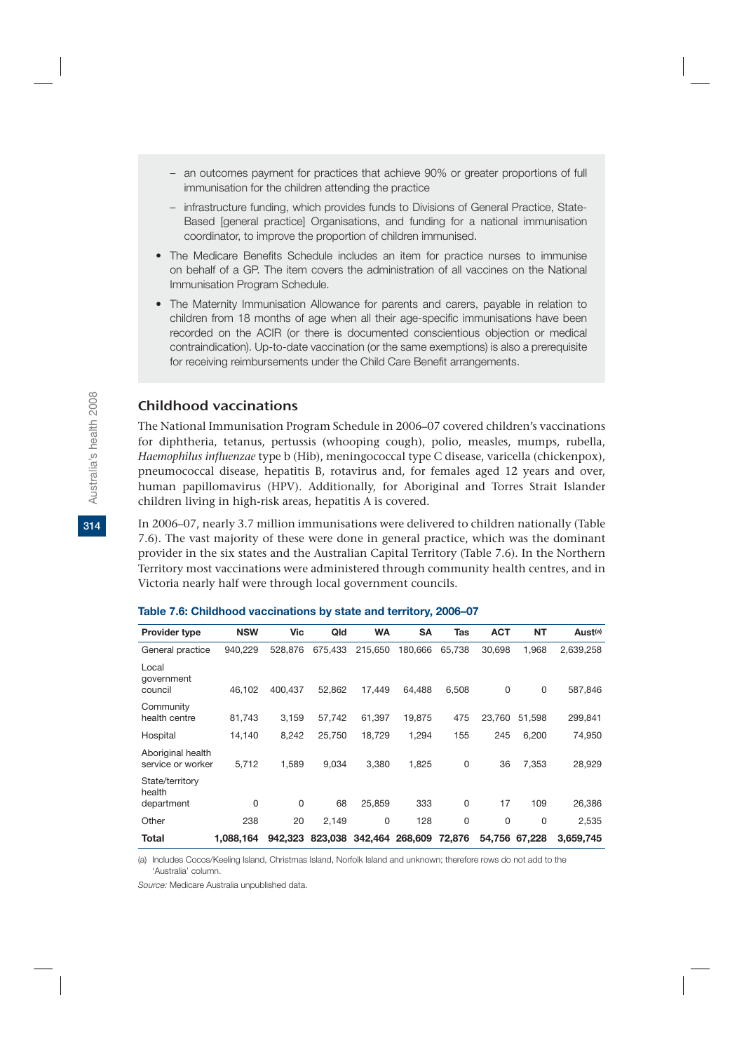- an outcomes payment for practices that achieve 90% or greater proportions of full immunisation for the children attending the practice
- infrastructure funding, which provides funds to Divisions of General Practice, State-Based [general practice] Organisations, and funding for a national immunisation coordinator, to improve the proportion of children immunised.
- The Medicare Benefits Schedule includes an item for practice nurses to immunise on behalf of a GP. The item covers the administration of all vaccines on the National Immunisation Program Schedule.
- The Maternity Immunisation Allowance for parents and carers, payable in relation to children from 18 months of age when all their age-specific immunisations have been recorded on the ACIR (or there is documented conscientious objection or medical contraindication). Up-to-date vaccination (or the same exemptions) is also a prerequisite for receiving reimbursements under the Child Care Benefit arrangements.

## Childhood vaccinations

The National Immunisation Program Schedule in 2006–07 covered children's vaccinations for diphtheria, tetanus, pertussis (whooping cough), polio, measles, mumps, rubella, *Haemophilus influenzae* type b (Hib), meningococcal type C disease, varicella (chickenpox), pneumococcal disease, hepatitis B, rotavirus and, for females aged 12 years and over, human papillomavirus (HPV). Additionally, for Aboriginal and Torres Strait Islander children living in high-risk areas, hepatitis A is covered.

In 2006–07, nearly 3.7 million immunisations were delivered to children nationally (Table 7.6). The vast majority of these were done in general practice, which was the dominant provider in the six states and the Australian Capital Territory (Table 7.6). In the Northern Territory most vaccinations were administered through community health centres, and in Victoria nearly half were through local government councils.

| <b>Provider type</b>                   | <b>NSW</b> | Vic      | Qld     | <b>WA</b> | <b>SA</b>       | Tas      | <b>ACT</b> | <b>NT</b> | Aust <sup>(a)</sup> |
|----------------------------------------|------------|----------|---------|-----------|-----------------|----------|------------|-----------|---------------------|
| General practice                       | 940.229    | 528.876  | 675.433 | 215.650   | 180.666         | 65.738   | 30,698     | 1,968     | 2,639,258           |
| Local<br>government<br>council         | 46.102     | 400.437  | 52,862  | 17.449    | 64.488          | 6,508    | 0          | 0         | 587,846             |
| Community<br>health centre             | 81,743     | 3,159    | 57,742  | 61,397    | 19,875          | 475      | 23,760     | 51,598    | 299,841             |
| Hospital                               | 14,140     | 8,242    | 25,750  | 18,729    | 1,294           | 155      | 245        | 6,200     | 74,950              |
| Aboriginal health<br>service or worker | 5,712      | 1,589    | 9,034   | 3,380     | 1,825           | 0        | 36         | 7,353     | 28,929              |
| State/territory<br>health              |            |          |         |           |                 |          |            |           |                     |
| department                             | 0          | $\Omega$ | 68      | 25,859    | 333             | 0        | 17         | 109       | 26,386              |
| Other                                  | 238        | 20       | 2,149   | 0         | 128             | $\Omega$ | 0          | $\Omega$  | 2,535               |
| Total                                  | 1,088,164  | 942.323  | 823.038 |           | 342.464 268,609 | 72,876   | 54.756     | 67,228    | 3.659.745           |

#### **Table 7.6: Childhood vaccinations by state and territory, 2006–07**

(a) Includes Cocos/Keeling Island, Christmas Island, Norfolk Island and unknown; therefore rows do not add to the 'Australia' column.

*Source:* Medicare Australia unpublished data.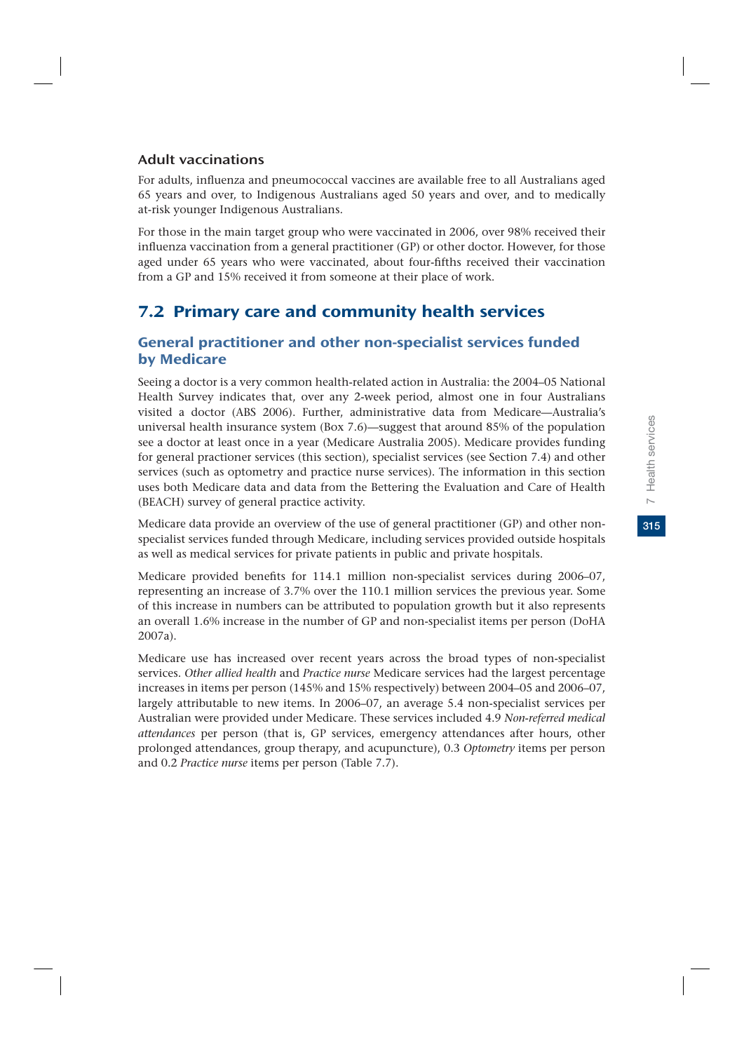315

## Adult vaccinations

For adults, influenza and pneumococcal vaccines are available free to all Australians aged 65 years and over, to Indigenous Australians aged 50 years and over, and to medically at-risk younger Indigenous Australians.

For those in the main target group who were vaccinated in 2006, over 98% received their influenza vaccination from a general practitioner (GP) or other doctor. However, for those aged under 65 years who were vaccinated, about four-fifths received their vaccination from a GP and 15% received it from someone at their place of work.

## 7.2 Primary care and community health services

## General practitioner and other non-specialist services funded by Medicare

Seeing a doctor is a very common health-related action in Australia: the 2004–05 National Health Survey indicates that, over any 2-week period, almost one in four Australians visited a doctor (ABS 2006). Further, administrative data from Medicare—Australia's universal health insurance system (Box 7.6)—suggest that around 85% of the population see a doctor at least once in a year (Medicare Australia 2005). Medicare provides funding for general practioner services (this section), specialist services (see Section 7.4) and other services (such as optometry and practice nurse services). The information in this section uses both Medicare data and data from the Bettering the Evaluation and Care of Health (BEACH) survey of general practice activity.

Medicare data provide an overview of the use of general practitioner (GP) and other nonspecialist services funded through Medicare, including services provided outside hospitals as well as medical services for private patients in public and private hospitals.

Medicare provided benefits for 114.1 million non-specialist services during 2006–07, representing an increase of 3.7% over the 110.1 million services the previous year. Some of this increase in numbers can be attributed to population growth but it also represents an overall 1.6% increase in the number of GP and non-specialist items per person (DoHA 2007a).

Medicare use has increased over recent years across the broad types of non-specialist services. *Other allied health* and *Practice nurse* Medicare services had the largest percentage increases in items per person (145% and 15% respectively) between 2004–05 and 2006–07, largely attributable to new items. In 2006–07, an average 5.4 non-specialist services per Australian were provided under Medicare. These services included 4.9 *Non-referred medical attendances* per person (that is, GP services, emergency attendances after hours, other prolonged attendances, group therapy, and acupuncture), 0.3 *Optometry* items per person and 0.2 *Practice nurse* items per person (Table 7.7).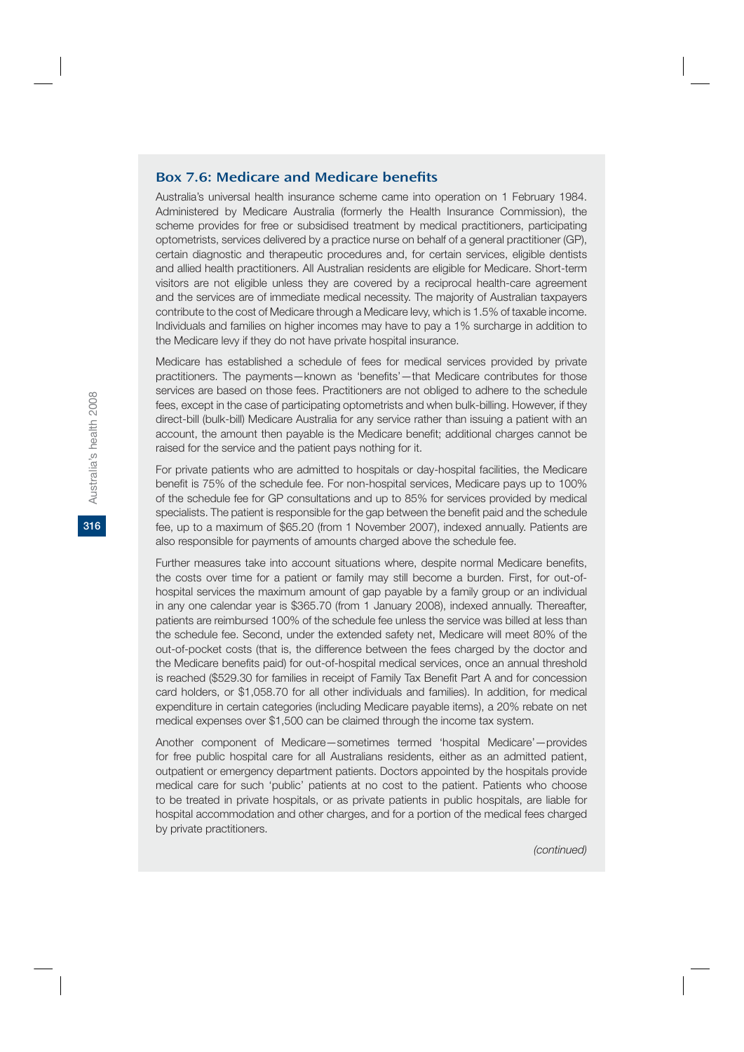### Box 7.6: Medicare and Medicare benefits

Australia's universal health insurance scheme came into operation on 1 February 1984. Administered by Medicare Australia (formerly the Health Insurance Commission), the scheme provides for free or subsidised treatment by medical practitioners, participating optometrists, services delivered by a practice nurse on behalf of a general practitioner (GP), certain diagnostic and therapeutic procedures and, for certain services, eligible dentists and allied health practitioners. All Australian residents are eligible for Medicare. Short-term visitors are not eligible unless they are covered by a reciprocal health-care agreement and the services are of immediate medical necessity. The majority of Australian taxpayers contribute to the cost of Medicare through a Medicare levy, which is 1.5% of taxable income. Individuals and families on higher incomes may have to pay a 1% surcharge in addition to the Medicare levy if they do not have private hospital insurance.

Medicare has established a schedule of fees for medical services provided by private practitioners. The payments—known as 'benefits'—that Medicare contributes for those services are based on those fees. Practitioners are not obliged to adhere to the schedule fees, except in the case of participating optometrists and when bulk-billing. However, if they direct-bill (bulk-bill) Medicare Australia for any service rather than issuing a patient with an account, the amount then payable is the Medicare benefit; additional charges cannot be raised for the service and the patient pays nothing for it.

For private patients who are admitted to hospitals or day-hospital facilities, the Medicare benefit is 75% of the schedule fee. For non-hospital services, Medicare pays up to 100% of the schedule fee for GP consultations and up to 85% for services provided by medical specialists. The patient is responsible for the gap between the benefit paid and the schedule fee, up to a maximum of \$65.20 (from 1 November 2007), indexed annually. Patients are also responsible for payments of amounts charged above the schedule fee.

Further measures take into account situations where, despite normal Medicare benefits, the costs over time for a patient or family may still become a burden. First, for out-ofhospital services the maximum amount of gap payable by a family group or an individual in any one calendar year is \$365.70 (from 1 January 2008), indexed annually. Thereafter, patients are reimbursed 100% of the schedule fee unless the service was billed at less than the schedule fee. Second, under the extended safety net, Medicare will meet 80% of the out-of-pocket costs (that is, the difference between the fees charged by the doctor and the Medicare benefits paid) for out-of-hospital medical services, once an annual threshold is reached (\$529.30 for families in receipt of Family Tax Benefit Part A and for concession card holders, or \$1,058.70 for all other individuals and families). In addition, for medical expenditure in certain categories (including Medicare payable items), a 20% rebate on net medical expenses over \$1,500 can be claimed through the income tax system.

Another component of Medicare—sometimes termed 'hospital Medicare'—provides for free public hospital care for all Australians residents, either as an admitted patient, outpatient or emergency department patients. Doctors appointed by the hospitals provide medical care for such 'public' patients at no cost to the patient. Patients who choose to be treated in private hospitals, or as private patients in public hospitals, are liable for hospital accommodation and other charges, and for a portion of the medical fees charged by private practitioners.

*(continued)*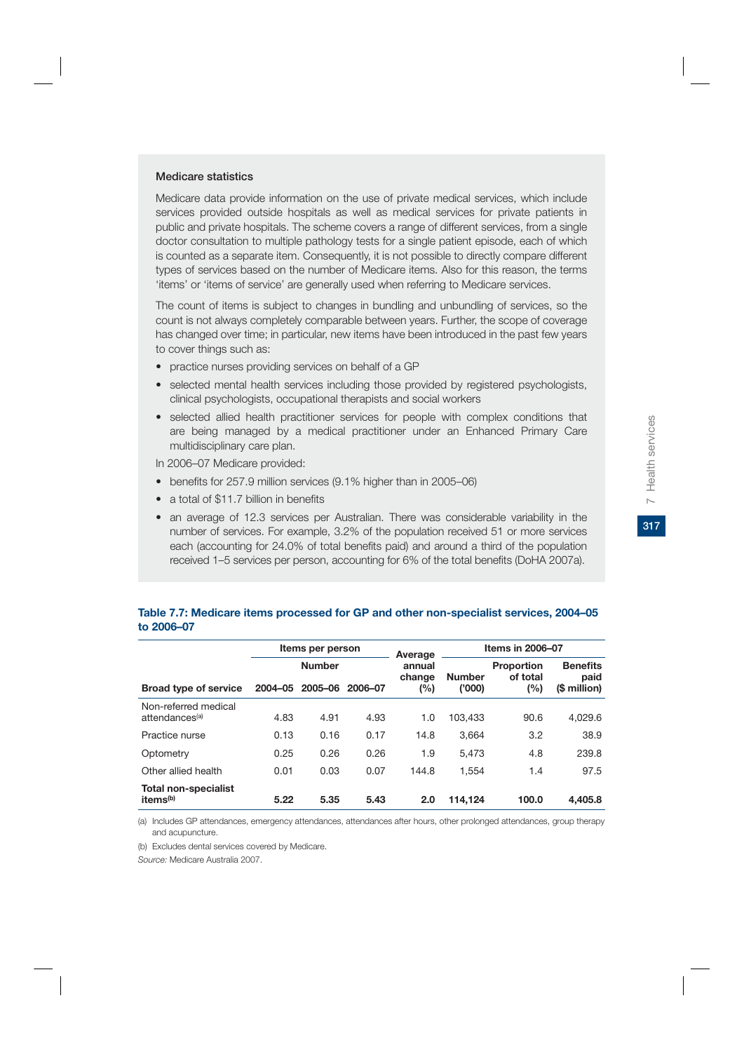317

#### **Medicare statistics**

Medicare data provide information on the use of private medical services, which include services provided outside hospitals as well as medical services for private patients in public and private hospitals. The scheme covers a range of different services, from a single doctor consultation to multiple pathology tests for a single patient episode, each of which is counted as a separate item. Consequently, it is not possible to directly compare different types of services based on the number of Medicare items. Also for this reason, the terms 'items' or 'items of service' are generally used when referring to Medicare services.

The count of items is subject to changes in bundling and unbundling of services, so the count is not always completely comparable between years. Further, the scope of coverage has changed over time; in particular, new items have been introduced in the past few years to cover things such as:

- practice nurses providing services on behalf of a GP
- selected mental health services including those provided by registered psychologists, clinical psychologists, occupational therapists and social workers
- selected allied health practitioner services for people with complex conditions that are being managed by a medical practitioner under an Enhanced Primary Care multidisciplinary care plan.
- In 2006–07 Medicare provided:
- benefits for 257.9 million services (9.1% higher than in 2005–06)
- a total of \$11.7 billion in benefits
- an average of 12.3 services per Australian. There was considerable variability in the number of services. For example, 3.2% of the population received 51 or more services each (accounting for 24.0% of total benefits paid) and around a third of the population received 1–5 services per person, accounting for 6% of the total benefits (DoHA 2007a).

|                                                     | Items per person |                 |      | Average          | <b>Items in 2006-07</b> |                               |                         |  |
|-----------------------------------------------------|------------------|-----------------|------|------------------|-------------------------|-------------------------------|-------------------------|--|
|                                                     |                  | <b>Number</b>   |      | annual<br>change | <b>Number</b>           | <b>Proportion</b><br>of total | <b>Benefits</b><br>paid |  |
| <b>Broad type of service</b>                        | 2004-05          | 2005-06 2006-07 |      | (%)              | ('000)                  | (%)                           | (\$ million)            |  |
| Non-referred medical<br>attendances <sup>(a)</sup>  | 4.83             | 4.91            | 4.93 | 1.0              | 103.433                 | 90.6                          | 4,029.6                 |  |
| Practice nurse                                      | 0.13             | 0.16            | 0.17 | 14.8             | 3.664                   | 3.2                           | 38.9                    |  |
| Optometry                                           | 0.25             | 0.26            | 0.26 | 1.9              | 5.473                   | 4.8                           | 239.8                   |  |
| Other allied health                                 | 0.01             | 0.03            | 0.07 | 144.8            | 1.554                   | 1.4                           | 97.5                    |  |
| <b>Total non-specialist</b><br>items <sup>(b)</sup> | 5.22             | 5.35            | 5.43 | 2.0              | 114.124                 | 100.0                         | 4.405.8                 |  |

#### **Table 7.7: Medicare items processed for GP and other non-specialist services, 2004–05 to 2006–07**

(a) Includes GP attendances, emergency attendances, attendances after hours, other prolonged attendances, group therapy and acupuncture.

(b) Excludes dental services covered by Medicare.

*Source:* Medicare Australia 2007.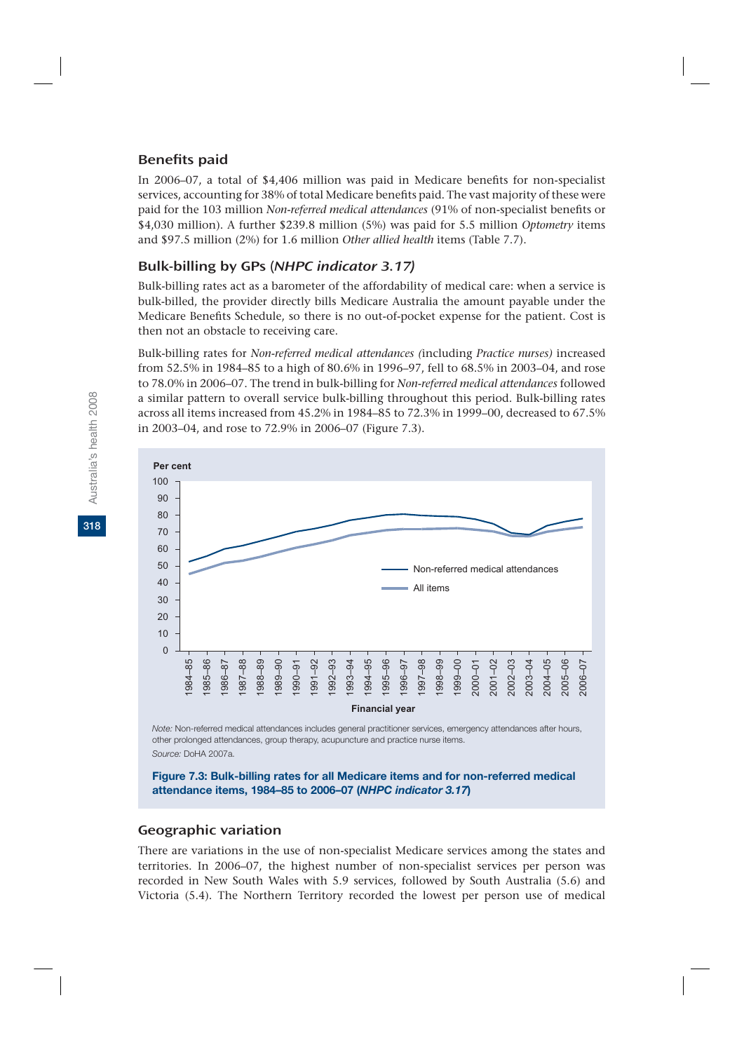## Benefits paid

In 2006–07, a total of \$4,406 million was paid in Medicare benefits for non-specialist services, accounting for 38% of total Medicare benefits paid. The vast majority of these were paid for the 103 million *Non-referred medical attendances* (91% of non-specialist benefits or \$4,030 million). A further \$239.8 million (5%) was paid for 5.5 million *Optometry* items and \$97.5 million (2%) for 1.6 million *Other allied health* items (Table 7.7).

## Bulk-billing by GPs (NHPC indicator 3.17)

Bulk-billing rates act as a barometer of the affordability of medical care: when a service is bulk-billed, the provider directly bills Medicare Australia the amount payable under the Medicare Benefits Schedule, so there is no out-of-pocket expense for the patient. Cost is then not an obstacle to receiving care.

Bulk-billing rates for *Non-referred medical attendances (*including *Practice nurses)* increased from 52.5% in 1984–85 to a high of 80.6% in 1996–97, fell to 68.5% in 2003–04, and rose to 78.0% in 2006–07. The trend in bulk-billing for *Non-referred medical attendances* followed a similar pattern to overall service bulk-billing throughout this period. Bulk-billing rates across all items increased from 45.2% in 1984–85 to 72.3% in 1999–00, decreased to 67.5% in 2003–04, and rose to 72.9% in 2006–07 (Figure 7.3).



*Note:* Non-referred medical attendances includes general practitioner services, emergency attendances after hours, other prolonged attendances, group therapy, acupuncture and practice nurse items. *Source:* DoHA 2007a.

**Figure 7.3: Bulk-billing rates for all Medicare items and for non-referred medical attendance items, 1984–85 to 2006–07 (***NHPC indicator 3.17***)**

## Geographic variation

There are variations in the use of non-specialist Medicare services among the states and territories. In 2006–07, the highest number of non-specialist services per person was recorded in New South Wales with 5.9 services, followed by South Australia (5.6) and Victoria (5.4). The Northern Territory recorded the lowest per person use of medical

**318**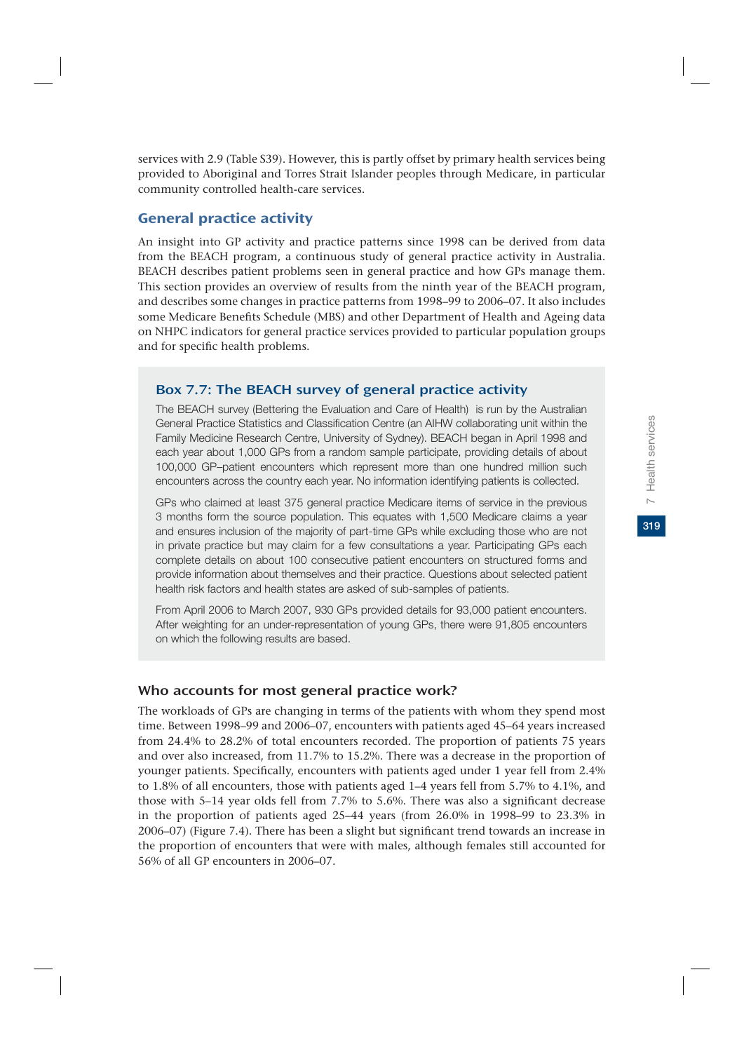services with 2.9 (Table S39). However, this is partly offset by primary health services being provided to Aboriginal and Torres Strait Islander peoples through Medicare, in particular community controlled health-care services.

## General practice activity

An insight into GP activity and practice patterns since 1998 can be derived from data from the BEACH program, a continuous study of general practice activity in Australia. BEACH describes patient problems seen in general practice and how GPs manage them. This section provides an overview of results from the ninth year of the BEACH program, and describes some changes in practice patterns from 1998–99 to 2006–07. It also includes some Medicare Benefits Schedule (MBS) and other Department of Health and Ageing data on NHPC indicators for general practice services provided to particular population groups and for specific health problems.

## Box 7.7: The BEACH survey of general practice activity

The BEACH survey (Bettering the Evaluation and Care of Health) is run by the Australian General Practice Statistics and Classification Centre (an AIHW collaborating unit within the Family Medicine Research Centre, University of Sydney). BEACH began in April 1998 and each year about 1,000 GPs from a random sample participate, providing details of about 100,000 GP–patient encounters which represent more than one hundred million such encounters across the country each year. No information identifying patients is collected.

GPs who claimed at least 375 general practice Medicare items of service in the previous 3 months form the source population. This equates with 1,500 Medicare claims a year and ensures inclusion of the majority of part-time GPs while excluding those who are not in private practice but may claim for a few consultations a year. Participating GPs each complete details on about 100 consecutive patient encounters on structured forms and provide information about themselves and their practice. Questions about selected patient health risk factors and health states are asked of sub-samples of patients.

From April 2006 to March 2007, 930 GPs provided details for 93,000 patient encounters. After weighting for an under-representation of young GPs, there were 91,805 encounters on which the following results are based.

## Who accounts for most general practice work?

The workloads of GPs are changing in terms of the patients with whom they spend most time. Between 1998–99 and 2006–07, encounters with patients aged 45–64 years increased from 24.4% to 28.2% of total encounters recorded. The proportion of patients 75 years and over also increased, from 11.7% to 15.2%. There was a decrease in the proportion of younger patients. Specifically, encounters with patients aged under 1 year fell from 2.4% to 1.8% of all encounters, those with patients aged 1–4 years fell from 5.7% to 4.1%, and those with 5–14 year olds fell from 7.7% to 5.6%. There was also a significant decrease in the proportion of patients aged 25–44 years (from 26.0% in 1998–99 to 23.3% in 2006–07) (Figure 7.4). There has been a slight but significant trend towards an increase in the proportion of encounters that were with males, although females still accounted for 56% of all GP encounters in 2006–07.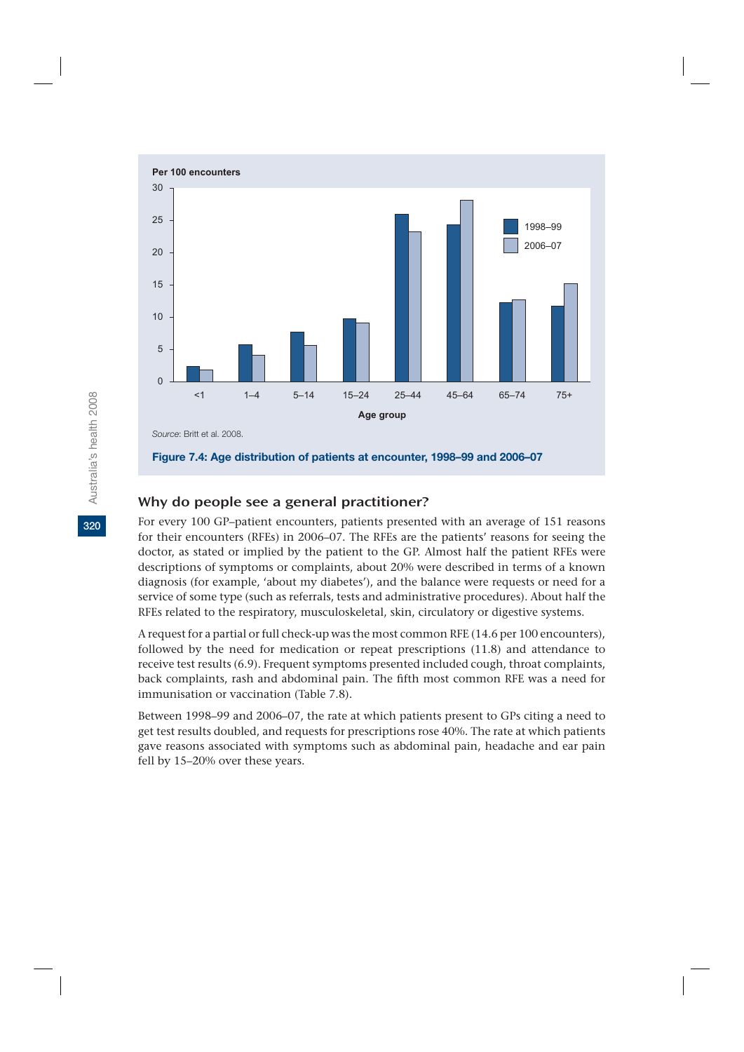

## Why do people see a general practitioner?

For every 100 GP–patient encounters, patients presented with an average of 151 reasons for their encounters (RFEs) in 2006–07. The RFEs are the patients' reasons for seeing the doctor, as stated or implied by the patient to the GP. Almost half the patient RFEs were descriptions of symptoms or complaints, about 20% were described in terms of a known diagnosis (for example, 'about my diabetes'), and the balance were requests or need for a service of some type (such as referrals, tests and administrative procedures). About half the RFEs related to the respiratory, musculoskeletal, skin, circulatory or digestive systems.

A request for a partial or full check-up was the most common RFE (14.6 per 100 encounters), followed by the need for medication or repeat prescriptions (11.8) and attendance to receive test results (6.9). Frequent symptoms presented included cough, throat complaints, back complaints, rash and abdominal pain. The fifth most common RFE was a need for immunisation or vaccination (Table 7.8).

Between 1998–99 and 2006–07, the rate at which patients present to GPs citing a need to get test results doubled, and requests for prescriptions rose 40%. The rate at which patients gave reasons associated with symptoms such as abdominal pain, headache and ear pain fell by 15–20% over these years.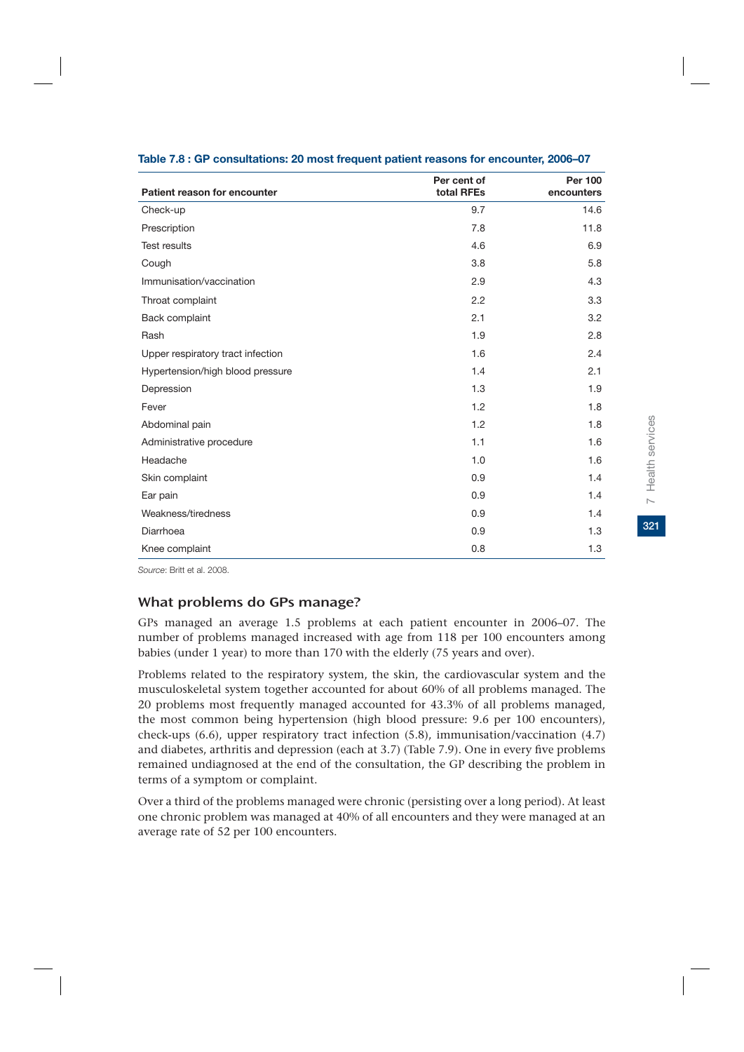| Patient reason for encounter      | Per cent of<br>total RFEs | Per 100<br>encounters |
|-----------------------------------|---------------------------|-----------------------|
| Check-up                          | 9.7                       | 14.6                  |
| Prescription                      | 7.8                       | 11.8                  |
| <b>Test results</b>               | 4.6                       | 6.9                   |
| Cough                             | 3.8                       | 5.8                   |
| Immunisation/vaccination          | 2.9                       | 4.3                   |
| Throat complaint                  | 2.2                       | 3.3                   |
| Back complaint                    | 2.1                       | 3.2                   |
| Rash                              | 1.9                       | 2.8                   |
| Upper respiratory tract infection | 1.6                       | 2.4                   |
| Hypertension/high blood pressure  | 1.4                       | 2.1                   |
| Depression                        | 1.3                       | 1.9                   |
| Fever                             | 1.2                       | 1.8                   |
| Abdominal pain                    | 1.2                       | 1.8                   |
| Administrative procedure          | 1.1                       | 1.6                   |
| Headache                          | 1.0                       | 1.6                   |
| Skin complaint                    | 0.9                       | 1.4                   |
| Ear pain                          | 0.9                       | 1.4                   |
| Weakness/tiredness                | 0.9                       | 1.4                   |
| Diarrhoea                         | 0.9                       | 1.3                   |
| Knee complaint                    | 0.8                       | 1.3                   |

#### **Table 7.8 : GP consultations: 20 most frequent patient reasons for encounter, 2006–07**

*Source*: Britt et al. 2008.

## What problems do GPs manage?

GPs managed an average 1.5 problems at each patient encounter in 2006–07. The number of problems managed increased with age from 118 per 100 encounters among babies (under 1 year) to more than 170 with the elderly (75 years and over).

Problems related to the respiratory system, the skin, the cardiovascular system and the musculoskeletal system together accounted for about 60% of all problems managed. The 20 problems most frequently managed accounted for 43.3% of all problems managed, the most common being hypertension (high blood pressure: 9.6 per 100 encounters), check-ups (6.6), upper respiratory tract infection (5.8), immunisation/vaccination (4.7) and diabetes, arthritis and depression (each at 3.7) (Table 7.9). One in every five problems remained undiagnosed at the end of the consultation, the GP describing the problem in terms of a symptom or complaint.

Over a third of the problems managed were chronic (persisting over a long period). At least one chronic problem was managed at 40% of all encounters and they were managed at an average rate of 52 per 100 encounters.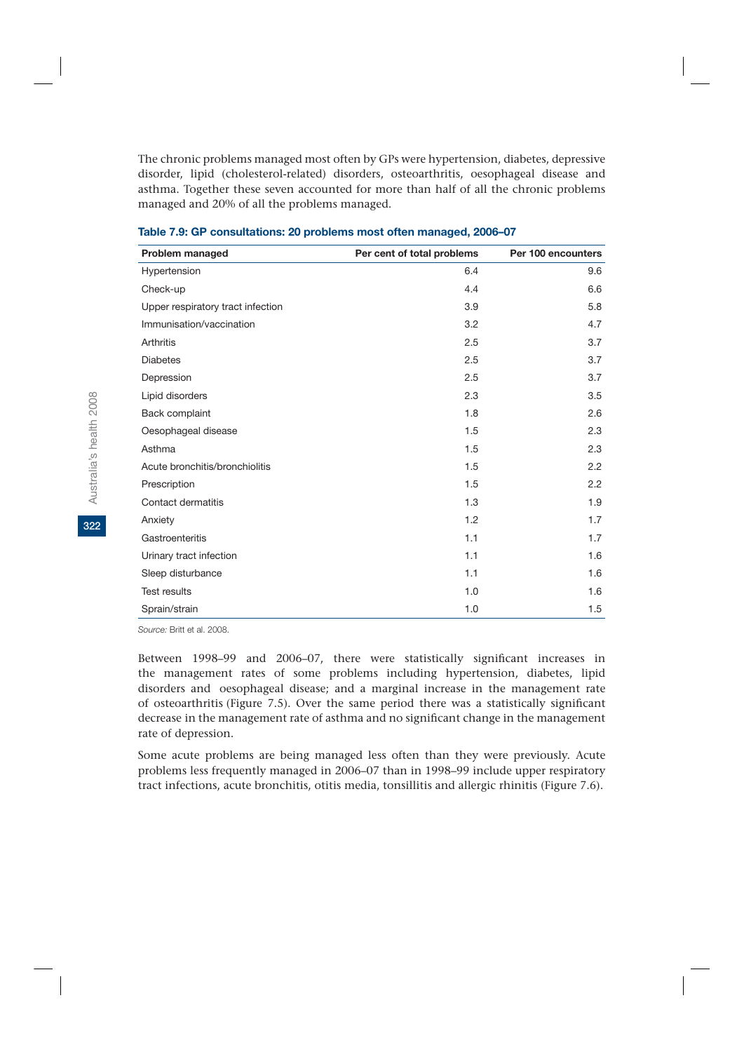The chronic problems managed most often by GPs were hypertension, diabetes, depressive disorder, lipid (cholesterol-related) disorders, osteoarthritis, oesophageal disease and asthma. Together these seven accounted for more than half of all the chronic problems managed and 20% of all the problems managed.

| Problem managed                   | Per cent of total problems | Per 100 encounters |
|-----------------------------------|----------------------------|--------------------|
| Hypertension                      | 6.4                        | 9.6                |
| Check-up                          | 4.4                        | 6.6                |
| Upper respiratory tract infection | 3.9                        | 5.8                |
| Immunisation/vaccination          | 3.2                        | 4.7                |
| Arthritis                         | 2.5                        | 3.7                |
| <b>Diabetes</b>                   | 2.5                        | 3.7                |
| Depression                        | 2.5                        | 3.7                |
| Lipid disorders                   | 2.3                        | 3.5                |
| Back complaint                    | 1.8                        | 2.6                |
| Oesophageal disease               | 1.5                        | 2.3                |
| Asthma                            | 1.5                        | 2.3                |
| Acute bronchitis/bronchiolitis    | 1.5                        | 2.2                |
| Prescription                      | 1.5                        | 2.2                |
| Contact dermatitis                | 1.3                        | 1.9                |
| Anxiety                           | 1.2                        | 1.7                |
| Gastroenteritis                   | 1.1                        | 1.7                |
| Urinary tract infection           | 1.1                        | 1.6                |
| Sleep disturbance                 | 1.1                        | 1.6                |
| <b>Test results</b>               | 1.0                        | 1.6                |
| Sprain/strain                     | 1.0                        | 1.5                |

| Table 7.9: GP consultations: 20 problems most often managed, 2006–07 |  |  |
|----------------------------------------------------------------------|--|--|
|                                                                      |  |  |

*Source:* Britt et al. 2008.

Between 1998–99 and 2006–07, there were statistically significant increases in the management rates of some problems including hypertension, diabetes, lipid disorders and oesophageal disease; and a marginal increase in the management rate of osteoarthritis (Figure 7.5). Over the same period there was a statistically significant decrease in the management rate of asthma and no significant change in the management rate of depression.

Some acute problems are being managed less often than they were previously. Acute problems less frequently managed in 2006–07 than in 1998–99 include upper respiratory tract infections, acute bronchitis, otitis media, tonsillitis and allergic rhinitis (Figure 7.6).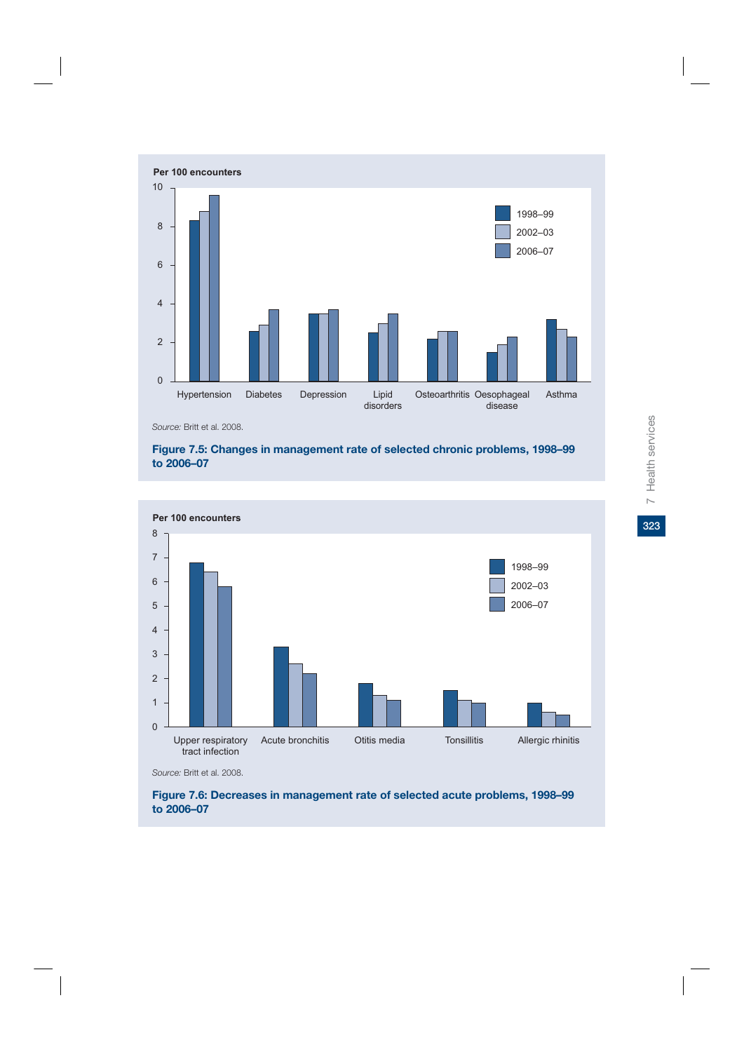

*Source:* Britt et al. 2008.

### **Figure 7.5: Changes in management rate of selected chronic problems, 1998–99 to 2006–07**



*Source:* Britt et al. 2008.

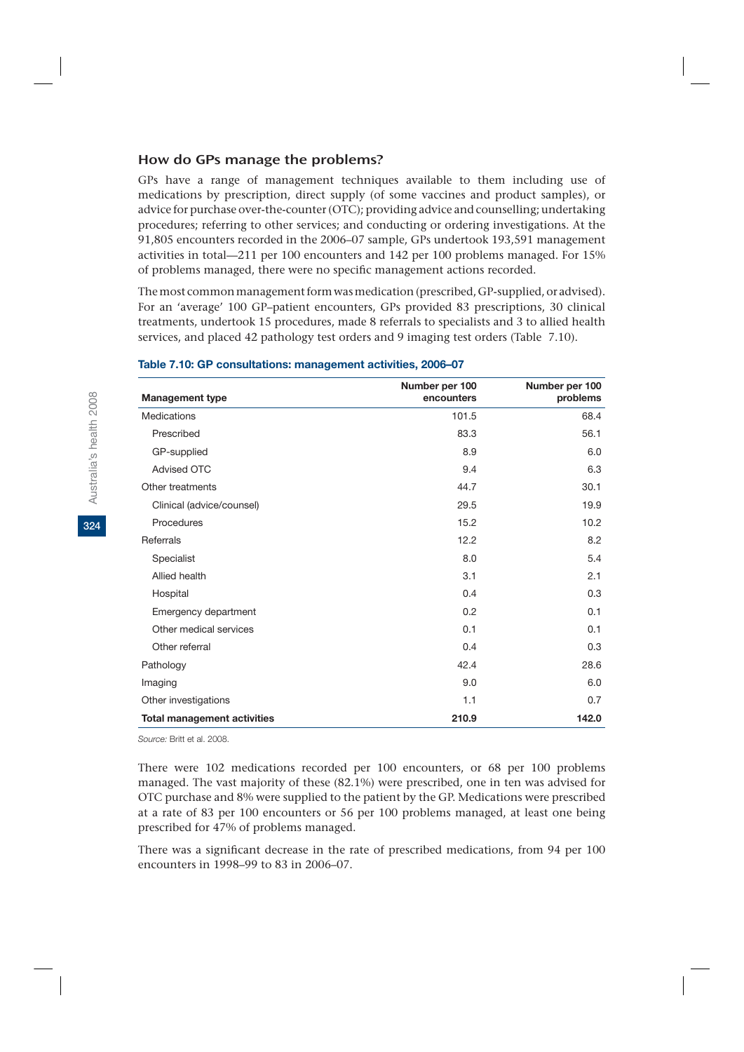## How do GPs manage the problems?

GPs have a range of management techniques available to them including use of medications by prescription, direct supply (of some vaccines and product samples), or advice for purchase over-the-counter (OTC); providing advice and counselling; undertaking procedures; referring to other services; and conducting or ordering investigations. At the 91,805 encounters recorded in the 2006–07 sample, GPs undertook 193,591 management activities in total—211 per 100 encounters and 142 per 100 problems managed. For 15% of problems managed, there were no specific management actions recorded.

The most common management form was medication (prescribed, GP-supplied, or advised). For an 'average' 100 GP–patient encounters, GPs provided 83 prescriptions, 30 clinical treatments, undertook 15 procedures, made 8 referrals to specialists and 3 to allied health services, and placed 42 pathology test orders and 9 imaging test orders (Table 7.10).

| <b>Management type</b>             | Number per 100<br>encounters | Number per 100<br>problems |
|------------------------------------|------------------------------|----------------------------|
| Medications                        | 101.5                        | 68.4                       |
| Prescribed                         | 83.3                         | 56.1                       |
| GP-supplied                        | 8.9                          | 6.0                        |
| <b>Advised OTC</b>                 | 9.4                          | 6.3                        |
| Other treatments                   | 44.7                         | 30.1                       |
| Clinical (advice/counsel)          | 29.5                         | 19.9                       |
| Procedures                         | 15.2                         | 10.2                       |
| Referrals                          | 12.2                         | 8.2                        |
| Specialist                         | 8.0                          | 5.4                        |
| Allied health                      | 3.1                          | 2.1                        |
| Hospital                           | 0.4                          | 0.3                        |
| Emergency department               | 0.2                          | 0.1                        |
| Other medical services             | 0.1                          | 0.1                        |
| Other referral                     | 0.4                          | 0.3                        |
| Pathology                          | 42.4                         | 28.6                       |
| Imaging                            | 9.0                          | 6.0                        |
| Other investigations               | 1.1                          | 0.7                        |
| <b>Total management activities</b> | 210.9                        | 142.0                      |

#### **Table 7.10: GP consultations: management activities, 2006–07**

*Source:* Britt et al. 2008.

There were 102 medications recorded per 100 encounters, or 68 per 100 problems managed. The vast majority of these (82.1%) were prescribed, one in ten was advised for OTC purchase and 8% were supplied to the patient by the GP. Medications were prescribed at a rate of 83 per 100 encounters or 56 per 100 problems managed, at least one being prescribed for 47% of problems managed.

There was a significant decrease in the rate of prescribed medications, from 94 per 100 encounters in 1998–99 to 83 in 2006–07.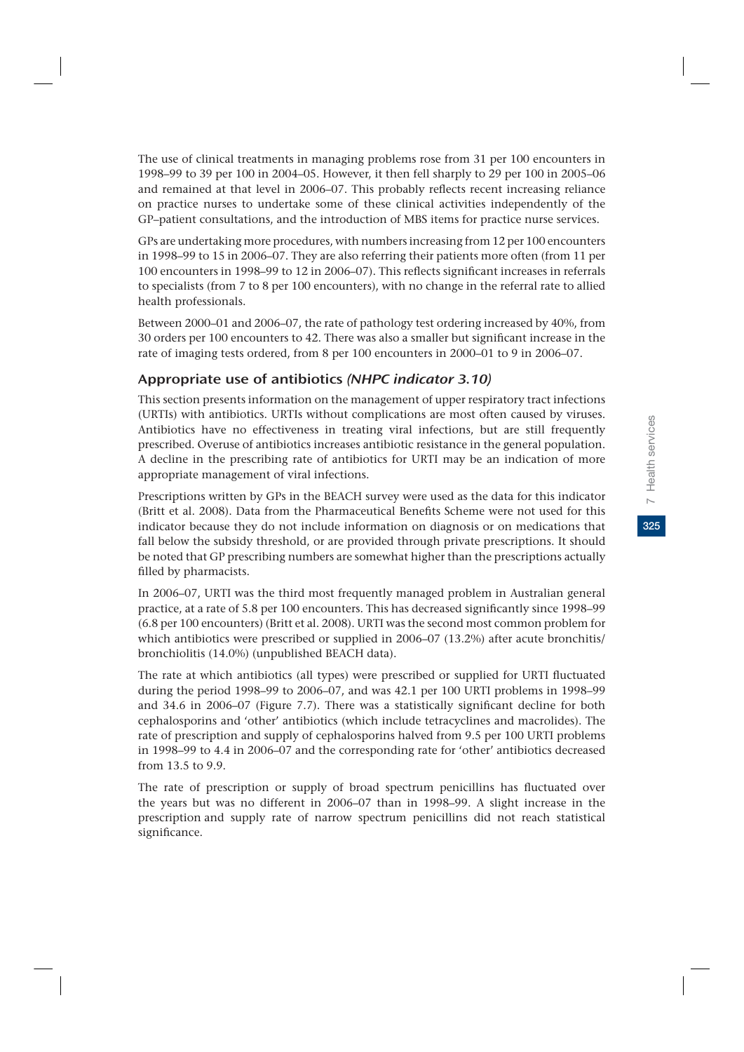325

The use of clinical treatments in managing problems rose from 31 per 100 encounters in 1998–99 to 39 per 100 in 2004–05. However, it then fell sharply to 29 per 100 in 2005–06 and remained at that level in 2006–07. This probably reflects recent increasing reliance on practice nurses to undertake some of these clinical activities independently of the GP–patient consultations, and the introduction of MBS items for practice nurse services.

GPs are undertaking more procedures, with numbers increasing from 12 per 100 encounters in 1998–99 to 15 in 2006–07. They are also referring their patients more often (from 11 per 100 encounters in 1998–99 to 12 in 2006–07). This reflects significant increases in referrals to specialists (from 7 to 8 per 100 encounters), with no change in the referral rate to allied health professionals.

Between 2000–01 and 2006–07, the rate of pathology test ordering increased by 40%, from 30 orders per 100 encounters to 42. There was also a smaller but significant increase in the rate of imaging tests ordered, from 8 per 100 encounters in 2000–01 to 9 in 2006–07.

## Appropriate use of antibiotics (NHPC indicator 3.10)

This section presents information on the management of upper respiratory tract infections (URTIs) with antibiotics. URTIs without complications are most often caused by viruses. Antibiotics have no effectiveness in treating viral infections, but are still frequently prescribed. Overuse of antibiotics increases antibiotic resistance in the general population. A decline in the prescribing rate of antibiotics for URTI may be an indication of more appropriate management of viral infections.

Prescriptions written by GPs in the BEACH survey were used as the data for this indicator (Britt et al. 2008). Data from the Pharmaceutical Benefits Scheme were not used for this indicator because they do not include information on diagnosis or on medications that fall below the subsidy threshold, or are provided through private prescriptions. It should be noted that GP prescribing numbers are somewhat higher than the prescriptions actually filled by pharmacists.

In 2006–07, URTI was the third most frequently managed problem in Australian general practice, at a rate of 5.8 per 100 encounters. This has decreased significantly since 1998–99 (6.8 per 100 encounters) (Britt et al. 2008). URTI was the second most common problem for which antibiotics were prescribed or supplied in 2006–07 (13.2%) after acute bronchitis/ bronchiolitis (14.0%) (unpublished BEACH data).

The rate at which antibiotics (all types) were prescribed or supplied for URTI fluctuated during the period 1998–99 to 2006–07, and was 42.1 per 100 URTI problems in 1998–99 and 34.6 in 2006–07 (Figure 7.7). There was a statistically significant decline for both cephalosporins and 'other' antibiotics (which include tetracyclines and macrolides). The rate of prescription and supply of cephalosporins halved from 9.5 per 100 URTI problems in 1998–99 to 4.4 in 2006–07 and the corresponding rate for 'other' antibiotics decreased from 13.5 to 9.9.

The rate of prescription or supply of broad spectrum penicillins has fluctuated over the years but was no different in 2006–07 than in 1998–99. A slight increase in the prescription and supply rate of narrow spectrum penicillins did not reach statistical significance.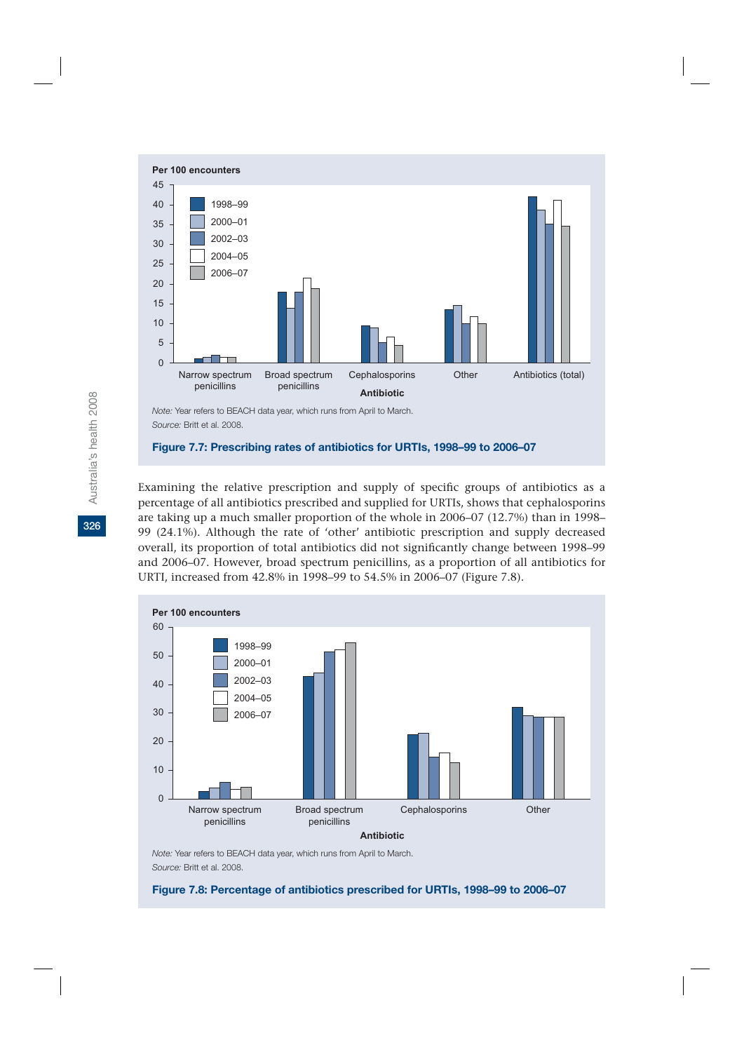

Examining the relative prescription and supply of specific groups of antibiotics as a percentage of all antibiotics prescribed and supplied for URTIs, shows that cephalosporins are taking up a much smaller proportion of the whole in 2006–07 (12.7%) than in 1998– 99 (24.1%). Although the rate of 'other' antibiotic prescription and supply decreased overall, its proportion of total antibiotics did not significantly change between 1998–99 and 2006–07. However, broad spectrum penicillins, as a proportion of all antibiotics for URTI, increased from 42.8% in 1998–99 to 54.5% in 2006–07 (Figure 7.8).



*Note:* Year refers to BEACH data year, which runs from April to March. *Source:* Britt et al. 2008.

**Figure 7.8: Percentage of antibiotics prescribed for URTIs, 1998–99 to 2006–07**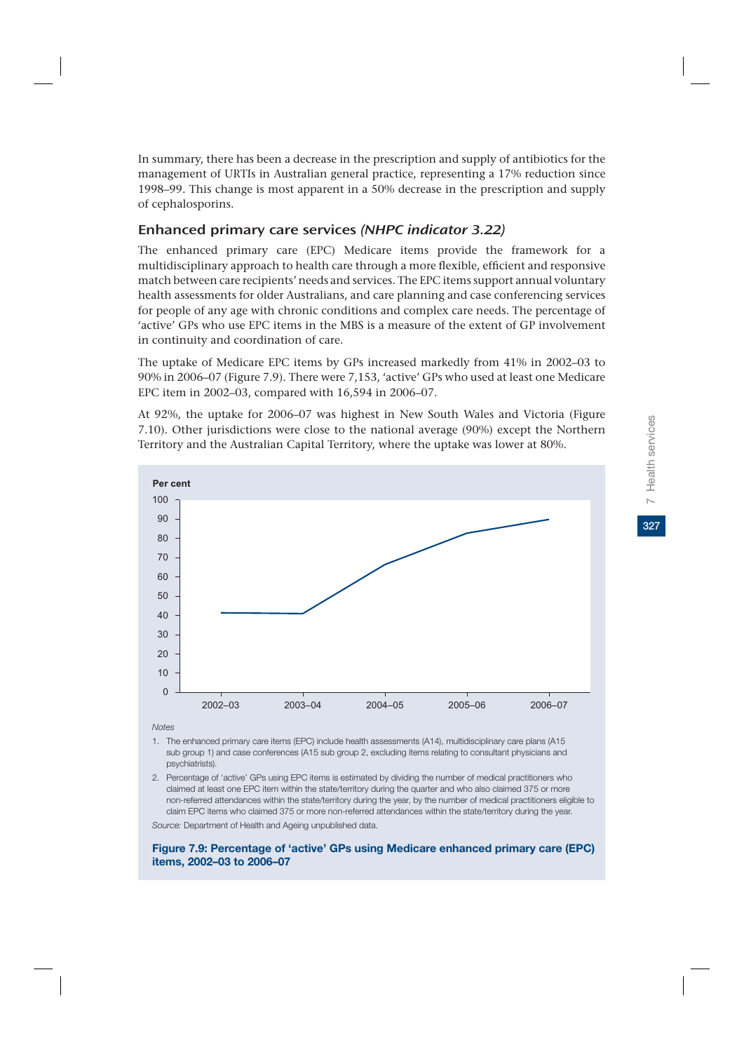In summary, there has been a decrease in the prescription and supply of antibiotics for the management of URTIs in Australian general practice, representing a 17% reduction since 1998–99. This change is most apparent in a 50% decrease in the prescription and supply of cephalosporins.

## Enhanced primary care services (NHPC indicator 3.22)

The enhanced primary care (EPC) Medicare items provide the framework for a multidisciplinary approach to health care through a more flexible, efficient and responsive match between care recipients' needs and services. The EPC items support annual voluntary health assessments for older Australians, and care planning and case conferencing services for people of any age with chronic conditions and complex care needs. The percentage of 'active' GPs who use EPC items in the MBS is a measure of the extent of GP involvement in continuity and coordination of care.

The uptake of Medicare EPC items by GPs increased markedly from 41% in 2002–03 to 90% in 2006–07 (Figure 7.9). There were 7,153, 'active' GPs who used at least one Medicare EPC item in 2002–03, compared with 16,594 in 2006–07.

At 92%, the uptake for 2006–07 was highest in New South Wales and Victoria (Figure 7.10). Other jurisdictions were close to the national average (90%) except the Northern Territory and the Australian Capital Territory, where the uptake was lower at 80%.



*Notes*

- 1. The enhanced primary care items (EPC) include health assessments (A14), multidisciplinary care plans (A15 sub group 1) and case conferences (A15 sub group 2, excluding items relating to consultant physicians and psychiatrists).
- 2. Percentage of 'active' GPs using EPC items is estimated by dividing the number of medical practitioners who claimed at least one EPC item within the state/territory during the quarter and who also claimed 375 or more non-referred attendances within the state/territory during the year, by the number of medical practitioners eligible to claim EPC items who claimed 375 or more non-referred attendances within the state/territory during the year.

*Source:* Department of Health and Ageing unpublished data.

**Figure 7.9: Percentage of 'active' GPs using Medicare enhanced primary care (EPC) items, 2002–03 to 2006–07**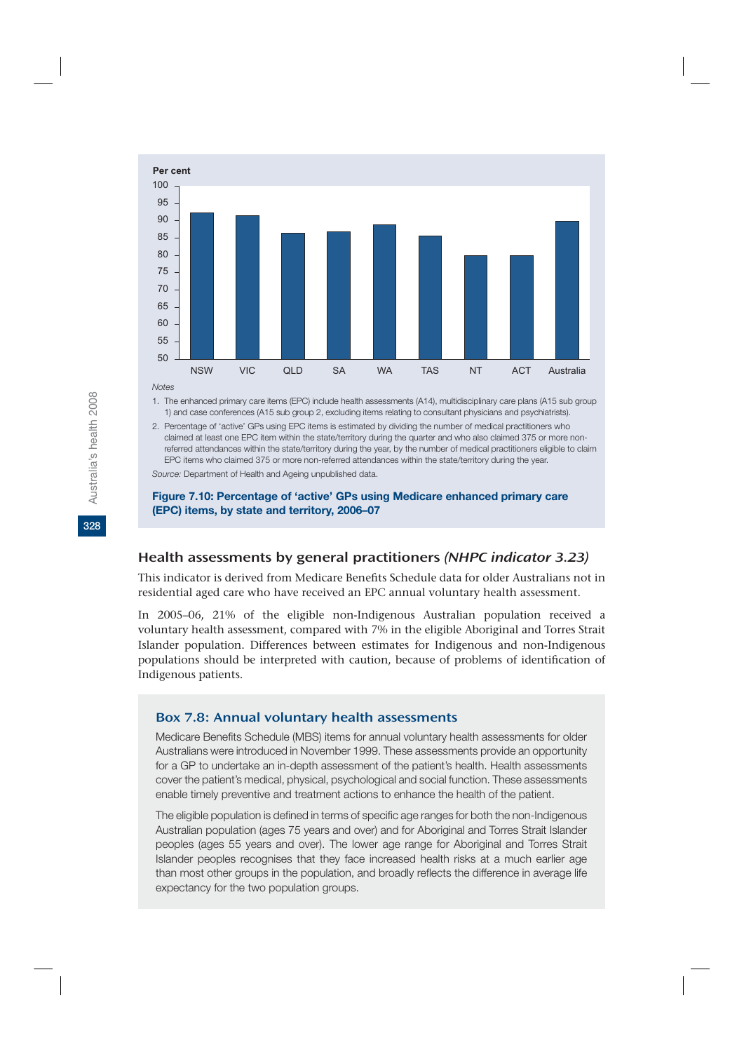

*Notes*

1. The enhanced primary care items (EPC) include health assessments (A14), multidisciplinary care plans (A15 sub group 1) and case conferences (A15 sub group 2, excluding items relating to consultant physicians and psychiatrists).

2. Percentage of 'active' GPs using EPC items is estimated by dividing the number of medical practitioners who claimed at least one EPC item within the state/territory during the quarter and who also claimed 375 or more nonreferred attendances within the state/territory during the year, by the number of medical practitioners eligible to claim EPC items who claimed 375 or more non-referred attendances within the state/territory during the year. *Source:* Department of Health and Ageing unpublished data.

#### **Figure 7.10: Percentage of 'active' GPs using Medicare enhanced primary care (EPC) items, by state and territory, 2006–07**

## Health assessments by general practitioners (NHPC indicator 3.23)

This indicator is derived from Medicare Benefits Schedule data for older Australians not in residential aged care who have received an EPC annual voluntary health assessment.

In 2005–06, 21% of the eligible non-Indigenous Australian population received a voluntary health assessment, compared with 7% in the eligible Aboriginal and Torres Strait Islander population. Differences between estimates for Indigenous and non-Indigenous populations should be interpreted with caution, because of problems of identification of Indigenous patients.

### Box 7.8: Annual voluntary health assessments

Medicare Benefits Schedule (MBS) items for annual voluntary health assessments for older Australians were introduced in November 1999. These assessments provide an opportunity for a GP to undertake an in-depth assessment of the patient's health. Health assessments cover the patient's medical, physical, psychological and social function. These assessments enable timely preventive and treatment actions to enhance the health of the patient.

The eligible population is defined in terms of specific age ranges for both the non-Indigenous Australian population (ages 75 years and over) and for Aboriginal and Torres Strait Islander peoples (ages 55 years and over). The lower age range for Aboriginal and Torres Strait Islander peoples recognises that they face increased health risks at a much earlier age than most other groups in the population, and broadly reflects the difference in average life expectancy for the two population groups.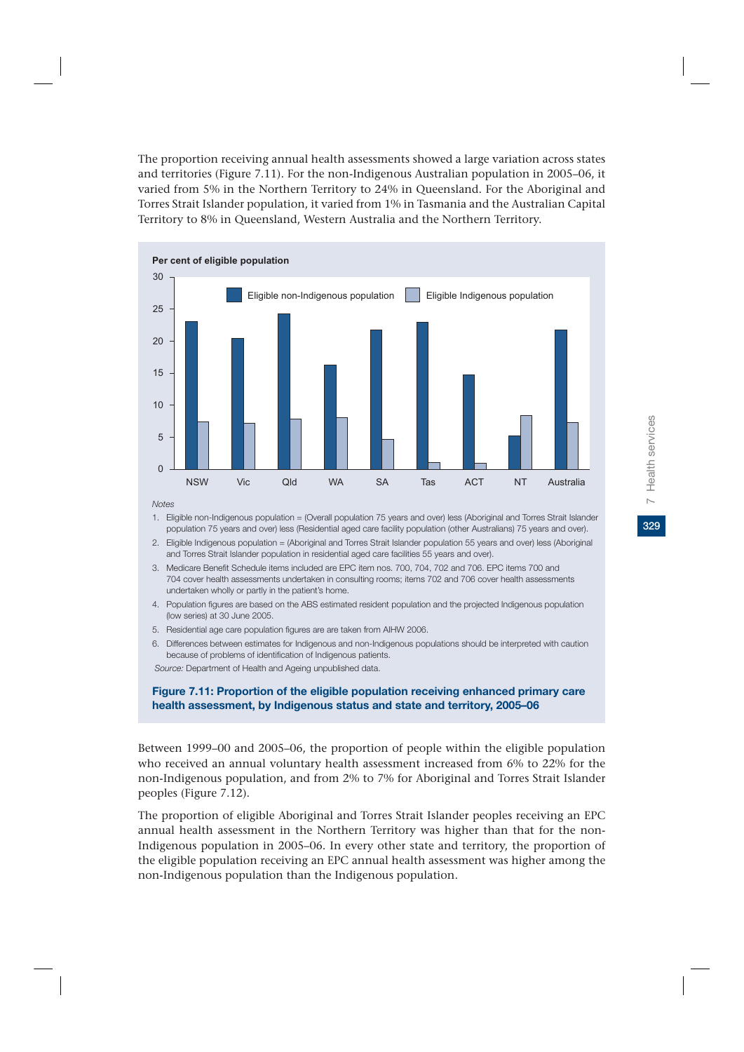329

The proportion receiving annual health assessments showed a large variation across states and territories (Figure 7.11). For the non-Indigenous Australian population in 2005–06, it varied from 5% in the Northern Territory to 24% in Queensland. For the Aboriginal and Torres Strait Islander population, it varied from 1% in Tasmania and the Australian Capital Territory to 8% in Queensland, Western Australia and the Northern Territory.



*Notes*

- 1. Eligible non-Indigenous population = (Overall population 75 years and over) less (Aboriginal and Torres Strait Islander population 75 years and over) less (Residential aged care facility population (other Australians) 75 years and over).
- 2. Eligible Indigenous population = (Aboriginal and Torres Strait Islander population 55 years and over) less (Aboriginal and Torres Strait Islander population in residential aged care facilities 55 years and over).
- 3. Medicare Benefit Schedule items included are EPC item nos. 700, 704, 702 and 706. EPC items 700 and 704 cover health assessments undertaken in consulting rooms; items 702 and 706 cover health assessments undertaken wholly or partly in the patient's home.
- 4. Population figures are based on the ABS estimated resident population and the projected Indigenous population (low series) at 30 June 2005.
- 5. Residential age care population figures are are taken from AIHW 2006.
- 6. Differences between estimates for Indigenous and non-Indigenous populations should be interpreted with caution because of problems of identification of Indigenous patients.

*Source:* Department of Health and Ageing unpublished data.

#### **Figure 7.11: Proportion of the eligible population receiving enhanced primary care health assessment, by Indigenous status and state and territory, 2005–06**

Between 1999–00 and 2005–06, the proportion of people within the eligible population who received an annual voluntary health assessment increased from 6% to 22% for the non-Indigenous population, and from 2% to 7% for Aboriginal and Torres Strait Islander peoples (Figure 7.12).

The proportion of eligible Aboriginal and Torres Strait Islander peoples receiving an EPC annual health assessment in the Northern Territory was higher than that for the non-Indigenous population in 2005–06. In every other state and territory, the proportion of the eligible population receiving an EPC annual health assessment was higher among the non-Indigenous population than the Indigenous population.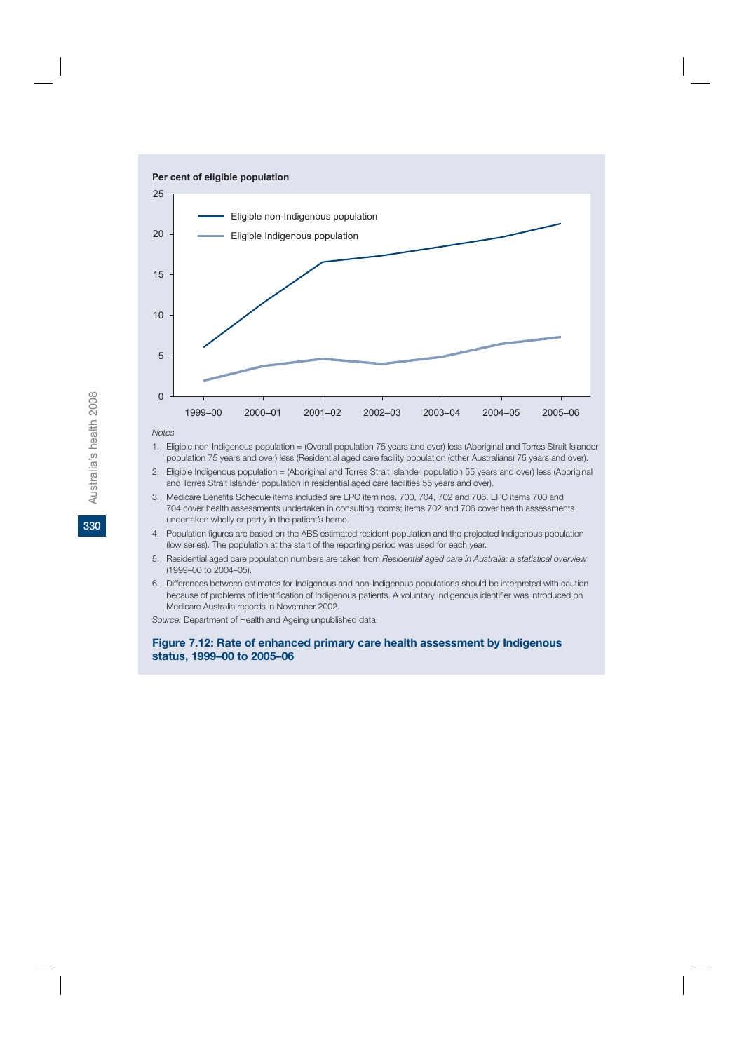

*Notes*

- 1. Eligible non-Indigenous population = (Overall population 75 years and over) less (Aboriginal and Torres Strait Islander population 75 years and over) less (Residential aged care facility population (other Australians) 75 years and over).
- 2. Eligible Indigenous population = (Aboriginal and Torres Strait Islander population 55 years and over) less (Aboriginal and Torres Strait Islander population in residential aged care facilities 55 years and over).
- 3. Medicare Benefits Schedule items included are EPC item nos. 700, 704, 702 and 706. EPC items 700 and 704 cover health assessments undertaken in consulting rooms; items 702 and 706 cover health assessments undertaken wholly or partly in the patient's home.
- 4. Population figures are based on the ABS estimated resident population and the projected Indigenous population (low series). The population at the start of the reporting period was used for each year.
- 5. Residential aged care population numbers are taken from *Residential aged care in Australia: a statistical overview* (1999–00 to 2004–05).
- 6. Differences between estimates for Indigenous and non-Indigenous populations should be interpreted with caution because of problems of identification of Indigenous patients. A voluntary Indigenous identifier was introduced on Medicare Australia records in November 2002.

*Source:* Department of Health and Ageing unpublished data.

#### **Figure 7.12: Rate of enhanced primary care health assessment by Indigenous status, 1999–00 to 2005–06**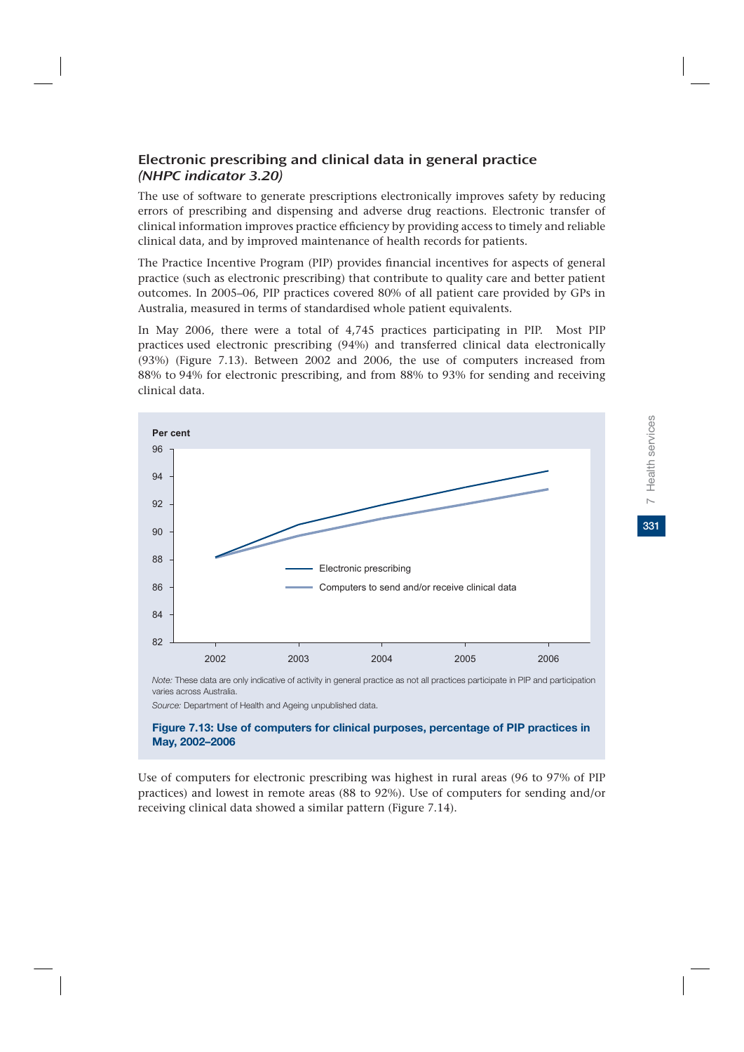## Electronic prescribing and clinical data in general practice (NHPC indicator 3.20)

The use of software to generate prescriptions electronically improves safety by reducing errors of prescribing and dispensing and adverse drug reactions. Electronic transfer of clinical information improves practice efficiency by providing access to timely and reliable clinical data, and by improved maintenance of health records for patients.

The Practice Incentive Program (PIP) provides financial incentives for aspects of general practice (such as electronic prescribing) that contribute to quality care and better patient outcomes. In 2005–06, PIP practices covered 80% of all patient care provided by GPs in Australia, measured in terms of standardised whole patient equivalents.

In May 2006, there were a total of 4,745 practices participating in PIP. Most PIP practices used electronic prescribing (94%) and transferred clinical data electronically (93%) (Figure 7.13). Between 2002 and 2006, the use of computers increased from 88% to 94% for electronic prescribing, and from 88% to 93% for sending and receiving clinical data.



varies across Australia.

*Source:* Department of Health and Ageing unpublished data.

#### **Figure 7.13: Use of computers for clinical purposes, percentage of PIP practices in May, 2002–2006**

Use of computers for electronic prescribing was highest in rural areas (96 to 97% of PIP practices) and lowest in remote areas (88 to 92%). Use of computers for sending and/or receiving clinical data showed a similar pattern (Figure 7.14).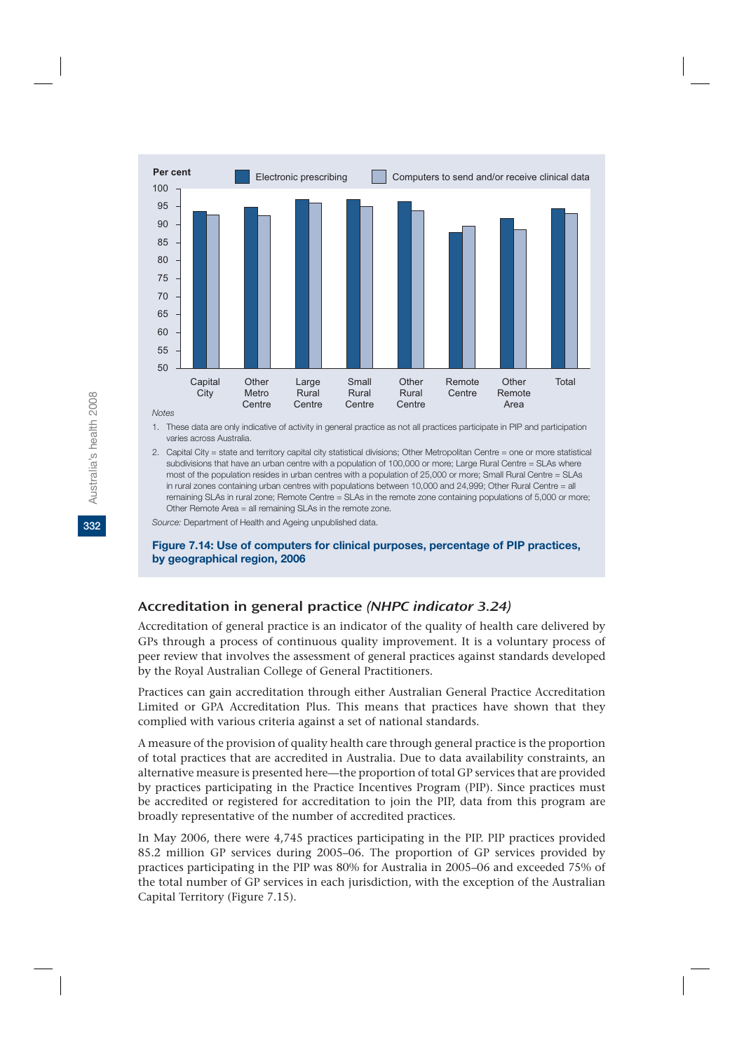

*Notes*

- 1. These data are only indicative of activity in general practice as not all practices participate in PIP and participation varies across Australia.
- 2. Capital City = state and territory capital city statistical divisions; Other Metropolitan Centre = one or more statistical subdivisions that have an urban centre with a population of 100,000 or more; Large Rural Centre = SLAs where most of the population resides in urban centres with a population of 25,000 or more; Small Rural Centre = SLAs in rural zones containing urban centres with populations between 10,000 and 24,999; Other Rural Centre = all remaining SLAs in rural zone; Remote Centre = SLAs in the remote zone containing populations of 5,000 or more; Other Remote Area = all remaining SLAs in the remote zone.

*Source:* Department of Health and Ageing unpublished data.

#### **Figure 7.14: Use of computers for clinical purposes, percentage of PIP practices, by geographical region, 2006**

## Accreditation in general practice (NHPC indicator 3.24)

Accreditation of general practice is an indicator of the quality of health care delivered by GPs through a process of continuous quality improvement. It is a voluntary process of peer review that involves the assessment of general practices against standards developed by the Royal Australian College of General Practitioners.

Practices can gain accreditation through either Australian General Practice Accreditation Limited or GPA Accreditation Plus. This means that practices have shown that they complied with various criteria against a set of national standards.

A measure of the provision of quality health care through general practice is the proportion of total practices that are accredited in Australia. Due to data availability constraints, an alternative measure is presented here—the proportion of total GP services that are provided by practices participating in the Practice Incentives Program (PIP). Since practices must be accredited or registered for accreditation to join the PIP, data from this program are broadly representative of the number of accredited practices.

In May 2006, there were 4,745 practices participating in the PIP. PIP practices provided 85.2 million GP services during 2005–06. The proportion of GP services provided by practices participating in the PIP was 80% for Australia in 2005–06 and exceeded 75% of the total number of GP services in each jurisdiction, with the exception of the Australian Capital Territory (Figure 7.15).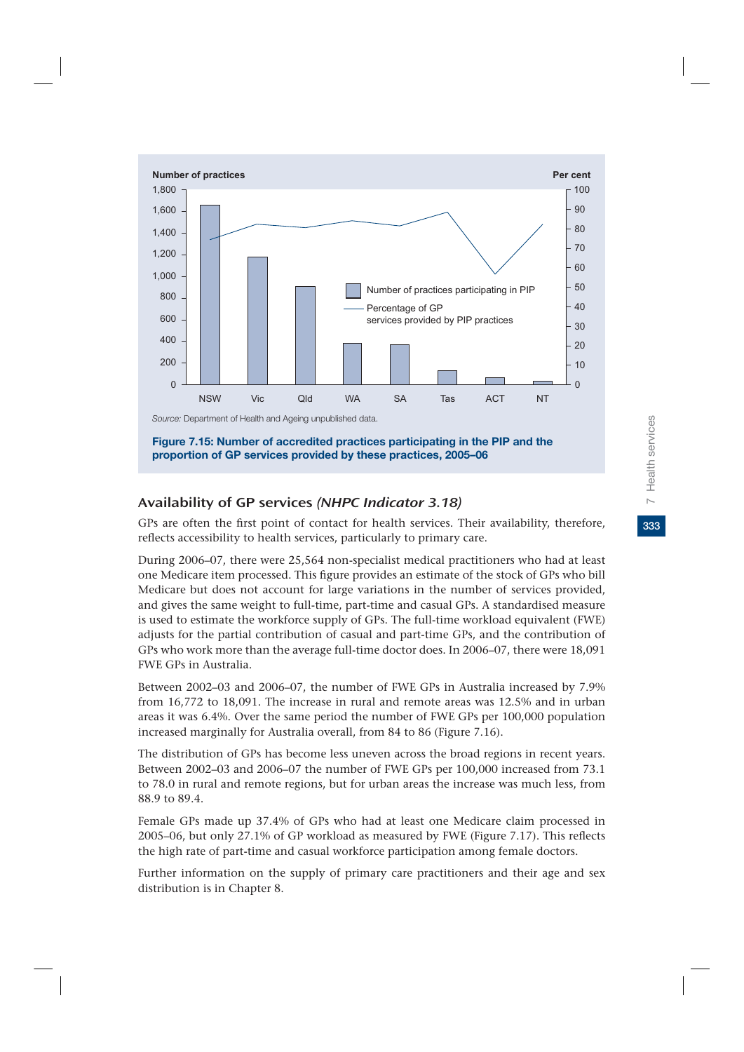

**Figure 7.15: Number of accredited practices participating in the PIP and the proportion of GP services provided by these practices, 2005–06**

## Availability of GP services (NHPC Indicator 3.18)

GPs are often the first point of contact for health services. Their availability, therefore, reflects accessibility to health services, particularly to primary care.

During 2006–07, there were 25,564 non-specialist medical practitioners who had at least one Medicare item processed. This figure provides an estimate of the stock of GPs who bill Medicare but does not account for large variations in the number of services provided, and gives the same weight to full-time, part-time and casual GPs. A standardised measure is used to estimate the workforce supply of GPs. The full-time workload equivalent (FWE) adjusts for the partial contribution of casual and part-time GPs, and the contribution of GPs who work more than the average full-time doctor does. In 2006–07, there were 18,091 FWE GPs in Australia.

Between 2002–03 and 2006–07, the number of FWE GPs in Australia increased by 7.9% from 16,772 to 18,091. The increase in rural and remote areas was 12.5% and in urban areas it was 6.4%. Over the same period the number of FWE GPs per 100,000 population increased marginally for Australia overall, from 84 to 86 (Figure 7.16).

The distribution of GPs has become less uneven across the broad regions in recent years. Between 2002–03 and 2006–07 the number of FWE GPs per 100,000 increased from 73.1 to 78.0 in rural and remote regions, but for urban areas the increase was much less, from 88.9 to 89.4.

Female GPs made up 37.4% of GPs who had at least one Medicare claim processed in 2005–06, but only 27.1% of GP workload as measured by FWE (Figure 7.17). This reflects the high rate of part-time and casual workforce participation among female doctors.

Further information on the supply of primary care practitioners and their age and sex distribution is in Chapter 8.

333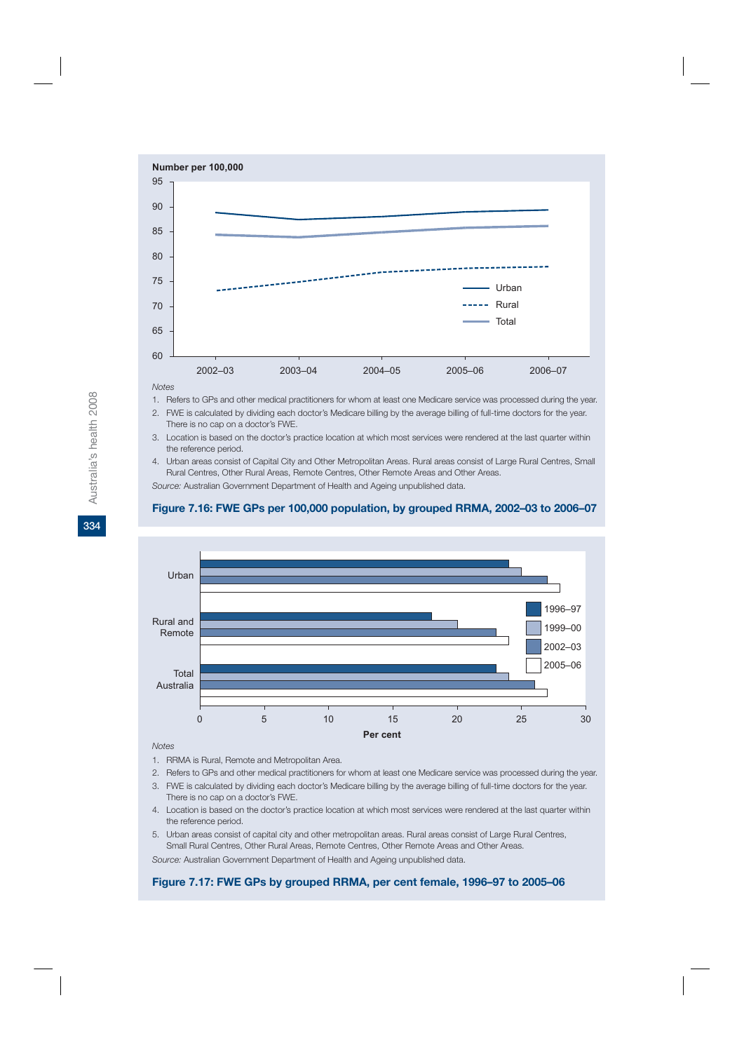

#### *Notes*

- 1. Refers to GPs and other medical practitioners for whom at least one Medicare service was processed during the year.
- 2. FWE is calculated by dividing each doctor's Medicare billing by the average billing of full-time doctors for the year. There is no cap on a doctor's FWE.
- 3. Location is based on the doctor's practice location at which most services were rendered at the last quarter within the reference period.
- 4. Urban areas consist of Capital City and Other Metropolitan Areas. Rural areas consist of Large Rural Centres, Small Rural Centres, Other Rural Areas, Remote Centres, Other Remote Areas and Other Areas.

*Source:* Australian Government Department of Health and Ageing unpublished data.

#### **Figure 7.16: FWE GPs per 100,000 population, by grouped RRMA, 2002–03 to 2006–07**



#### *Notes*

- 1. RRMA is Rural, Remote and Metropolitan Area.
- 2. Refers to GPs and other medical practitioners for whom at least one Medicare service was processed during the year.
- 3. FWE is calculated by dividing each doctor's Medicare billing by the average billing of full-time doctors for the year. There is no cap on a doctor's FWE.
- 4. Location is based on the doctor's practice location at which most services were rendered at the last quarter within the reference period.
- 5. Urban areas consist of capital city and other metropolitan areas. Rural areas consist of Large Rural Centres, Small Rural Centres, Other Rural Areas, Remote Centres, Other Remote Areas and Other Areas.

*Source:* Australian Government Department of Health and Ageing unpublished data.

#### **Figure 7.17: FWE GPs by grouped RRMA, per cent female, 1996–97 to 2005–06**

**334**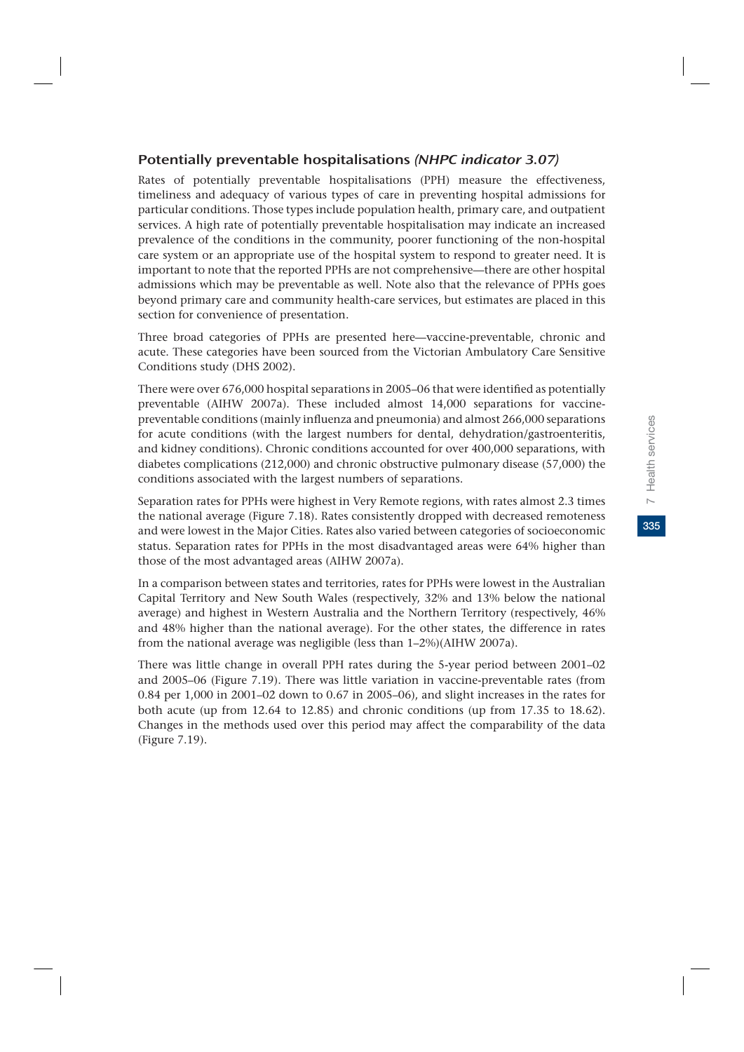335

## Potentially preventable hospitalisations (NHPC indicator 3.07)

Rates of potentially preventable hospitalisations (PPH) measure the effectiveness, timeliness and adequacy of various types of care in preventing hospital admissions for particular conditions. Those types include population health, primary care, and outpatient services. A high rate of potentially preventable hospitalisation may indicate an increased prevalence of the conditions in the community, poorer functioning of the non-hospital care system or an appropriate use of the hospital system to respond to greater need. It is important to note that the reported PPHs are not comprehensive—there are other hospital admissions which may be preventable as well. Note also that the relevance of PPHs goes beyond primary care and community health-care services, but estimates are placed in this section for convenience of presentation.

Three broad categories of PPHs are presented here—vaccine-preventable, chronic and acute. These categories have been sourced from the Victorian Ambulatory Care Sensitive Conditions study (DHS 2002).

There were over 676,000 hospital separations in 2005–06 that were identified as potentially preventable (AIHW 2007a). These included almost 14,000 separations for vaccinepreventable conditions (mainly influenza and pneumonia) and almost 266,000 separations for acute conditions (with the largest numbers for dental, dehydration/gastroenteritis, and kidney conditions). Chronic conditions accounted for over 400,000 separations, with diabetes complications (212,000) and chronic obstructive pulmonary disease (57,000) the conditions associated with the largest numbers of separations.

Separation rates for PPHs were highest in Very Remote regions, with rates almost 2.3 times the national average (Figure 7.18). Rates consistently dropped with decreased remoteness and were lowest in the Major Cities. Rates also varied between categories of socioeconomic status. Separation rates for PPHs in the most disadvantaged areas were 64% higher than those of the most advantaged areas (AIHW 2007a).

In a comparison between states and territories, rates for PPHs were lowest in the Australian Capital Territory and New South Wales (respectively, 32% and 13% below the national average) and highest in Western Australia and the Northern Territory (respectively, 46% and 48% higher than the national average). For the other states, the difference in rates from the national average was negligible (less than 1–2%)(AIHW 2007a).

There was little change in overall PPH rates during the 5-year period between 2001–02 and 2005–06 (Figure 7.19). There was little variation in vaccine-preventable rates (from 0.84 per 1,000 in 2001–02 down to 0.67 in 2005–06), and slight increases in the rates for both acute (up from 12.64 to 12.85) and chronic conditions (up from 17.35 to 18.62). Changes in the methods used over this period may affect the comparability of the data (Figure 7.19).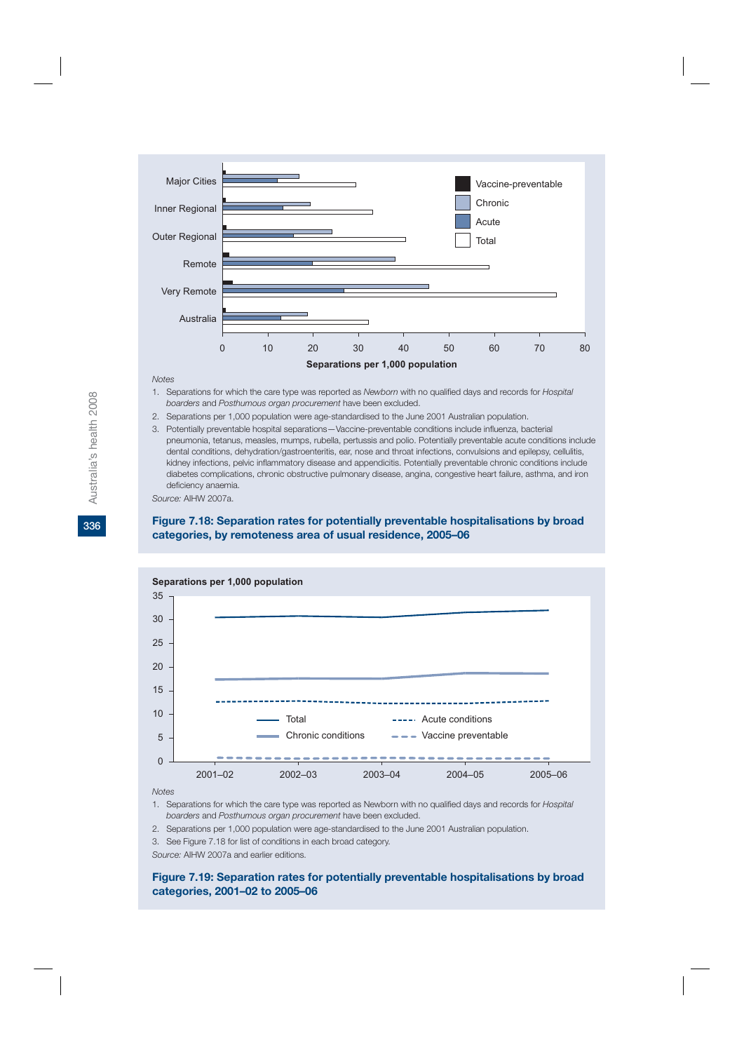

#### *Notes*

- 1. Separations for which the care type was reported as *Newborn* with no qualified days and records for *Hospital boarders* and *Posthumous organ procurement* have been excluded.
- 2. Separations per 1,000 population were age-standardised to the June 2001 Australian population.
- 3. Potentially preventable hospital separations—Vaccine-preventable conditions include influenza, bacterial pneumonia, tetanus, measles, mumps, rubella, pertussis and polio. Potentially preventable acute conditions include dental conditions, dehydration/gastroenteritis, ear, nose and throat infections, convulsions and epilepsy, cellulitis, kidney infections, pelvic inflammatory disease and appendicitis. Potentially preventable chronic conditions include diabetes complications, chronic obstructive pulmonary disease, angina, congestive heart failure, asthma, and iron deficiency anaemia.

*Source:* AIHW 2007a.

#### **Figure 7.18: Separation rates for potentially preventable hospitalisations by broad categories, by remoteness area of usual residence, 2005–06**



#### *Notes*

- 1. Separations for which the care type was reported as Newborn with no qualified days and records for *Hospital boarders* and *Posthumous organ procurement* have been excluded.
- 2. Separations per 1,000 population were age-standardised to the June 2001 Australian population.
- 3. See Figure 7.18 for list of conditions in each broad category.
- *Source:* AIHW 2007a and earlier editions.

#### **Figure 7.19: Separation rates for potentially preventable hospitalisations by broad categories, 2001–02 to 2005–06**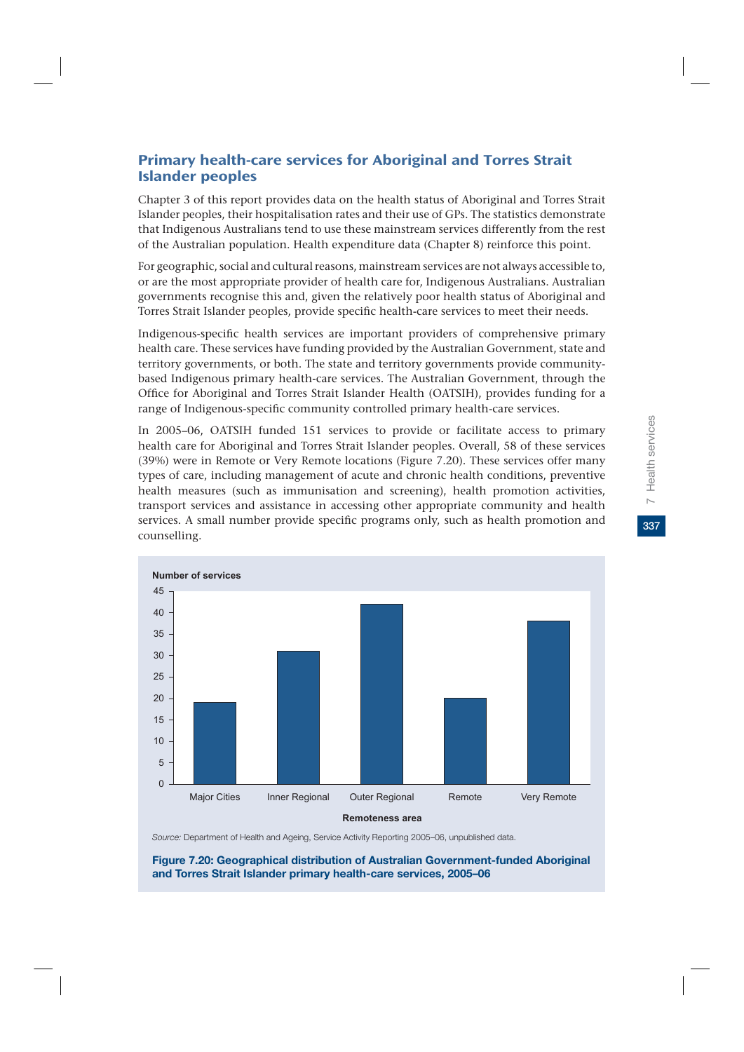## Primary health-care services for Aboriginal and Torres Strait Islander peoples

Chapter 3 of this report provides data on the health status of Aboriginal and Torres Strait Islander peoples, their hospitalisation rates and their use of GPs. The statistics demonstrate that Indigenous Australians tend to use these mainstream services differently from the rest of the Australian population. Health expenditure data (Chapter 8) reinforce this point.

For geographic, social and cultural reasons, mainstream services are not always accessible to, or are the most appropriate provider of health care for, Indigenous Australians. Australian governments recognise this and, given the relatively poor health status of Aboriginal and Torres Strait Islander peoples, provide specific health-care services to meet their needs.

Indigenous-specific health services are important providers of comprehensive primary health care. These services have funding provided by the Australian Government, state and territory governments, or both. The state and territory governments provide communitybased Indigenous primary health-care services. The Australian Government, through the Office for Aboriginal and Torres Strait Islander Health (OATSIH), provides funding for a range of Indigenous-specific community controlled primary health-care services.

In 2005–06, OATSIH funded 151 services to provide or facilitate access to primary health care for Aboriginal and Torres Strait Islander peoples. Overall, 58 of these services (39%) were in Remote or Very Remote locations (Figure 7.20). These services offer many types of care, including management of acute and chronic health conditions, preventive health measures (such as immunisation and screening), health promotion activities, transport services and assistance in accessing other appropriate community and health services. A small number provide specific programs only, such as health promotion and counselling.



*Source:* Department of Health and Ageing, Service Activity Reporting 2005–06, unpublished data.

**Figure 7.20: Geographical distribution of Australian Government-funded Aboriginal and Torres Strait Islander primary health-care services, 2005–06**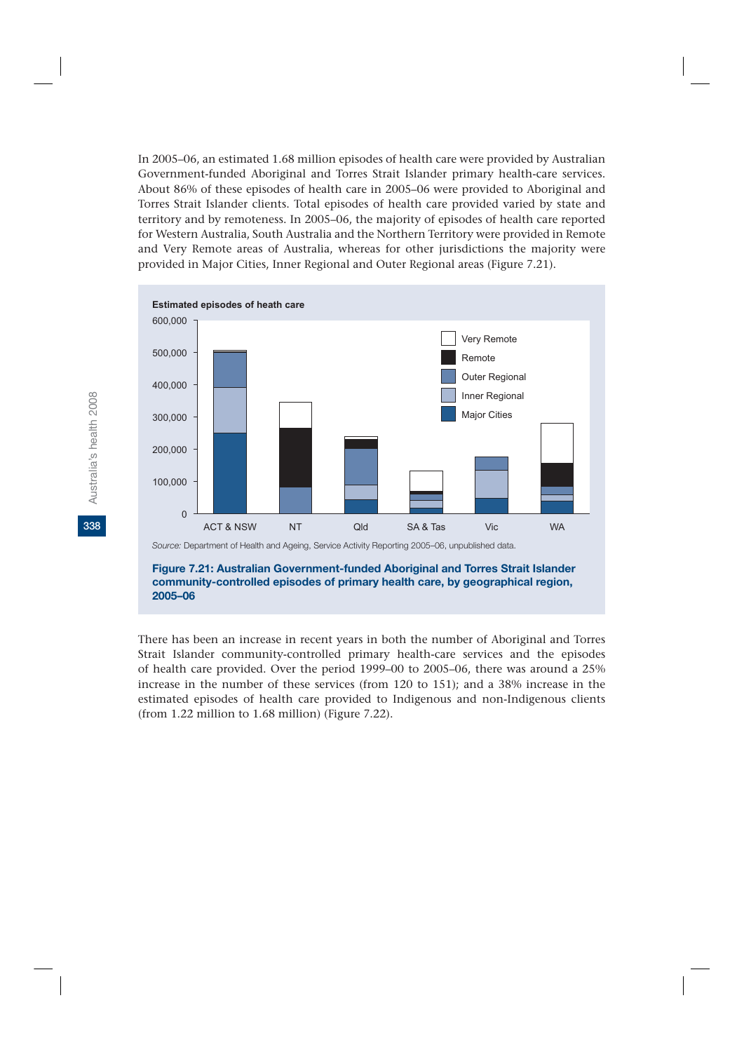In 2005–06, an estimated 1.68 million episodes of health care were provided by Australian Government-funded Aboriginal and Torres Strait Islander primary health-care services. About 86% of these episodes of health care in 2005–06 were provided to Aboriginal and Torres Strait Islander clients. Total episodes of health care provided varied by state and territory and by remoteness. In 2005–06, the majority of episodes of health care reported for Western Australia, South Australia and the Northern Territory were provided in Remote and Very Remote areas of Australia, whereas for other jurisdictions the majority were provided in Major Cities, Inner Regional and Outer Regional areas (Figure 7.21).



**2005–06**

There has been an increase in recent years in both the number of Aboriginal and Torres Strait Islander community-controlled primary health-care services and the episodes of health care provided. Over the period 1999–00 to 2005–06, there was around a 25% increase in the number of these services (from 120 to 151); and a 38% increase in the estimated episodes of health care provided to Indigenous and non-Indigenous clients (from 1.22 million to 1.68 million) (Figure 7.22).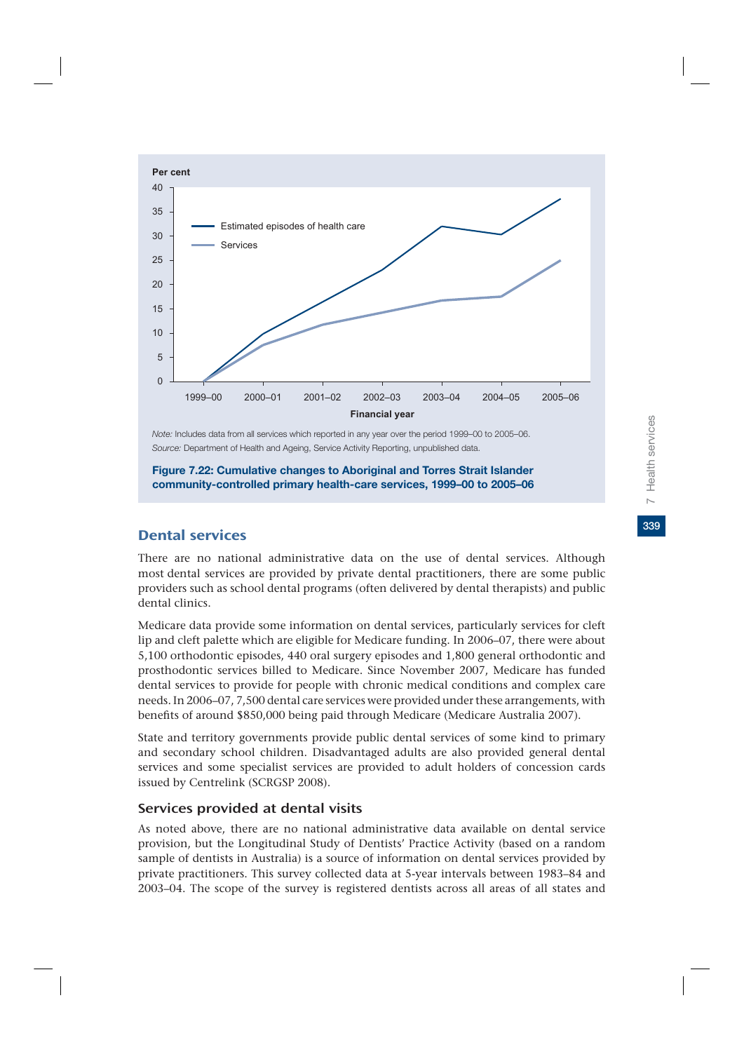

*Note:* Includes data from all services which reported in any year over the period 1999–00 to 2005–06. *Source:* Department of Health and Ageing, Service Activity Reporting, unpublished data.

**Figure 7.22: Cumulative changes to Aboriginal and Torres Strait Islander community-controlled primary health-care services, 1999–00 to 2005–06**

# Dental services

There are no national administrative data on the use of dental services. Although most dental services are provided by private dental practitioners, there are some public providers such as school dental programs (often delivered by dental therapists) and public dental clinics.

Medicare data provide some information on dental services, particularly services for cleft lip and cleft palette which are eligible for Medicare funding. In 2006–07, there were about 5,100 orthodontic episodes, 440 oral surgery episodes and 1,800 general orthodontic and prosthodontic services billed to Medicare. Since November 2007, Medicare has funded dental services to provide for people with chronic medical conditions and complex care needs. In 2006–07, 7,500 dental care services were provided under these arrangements, with benefits of around \$850,000 being paid through Medicare (Medicare Australia 2007).

State and territory governments provide public dental services of some kind to primary and secondary school children. Disadvantaged adults are also provided general dental services and some specialist services are provided to adult holders of concession cards issued by Centrelink (SCRGSP 2008).

### Services provided at dental visits

As noted above, there are no national administrative data available on dental service provision, but the Longitudinal Study of Dentists' Practice Activity (based on a random sample of dentists in Australia) is a source of information on dental services provided by private practitioners. This survey collected data at 5-year intervals between 1983–84 and 2003–04. The scope of the survey is registered dentists across all areas of all states and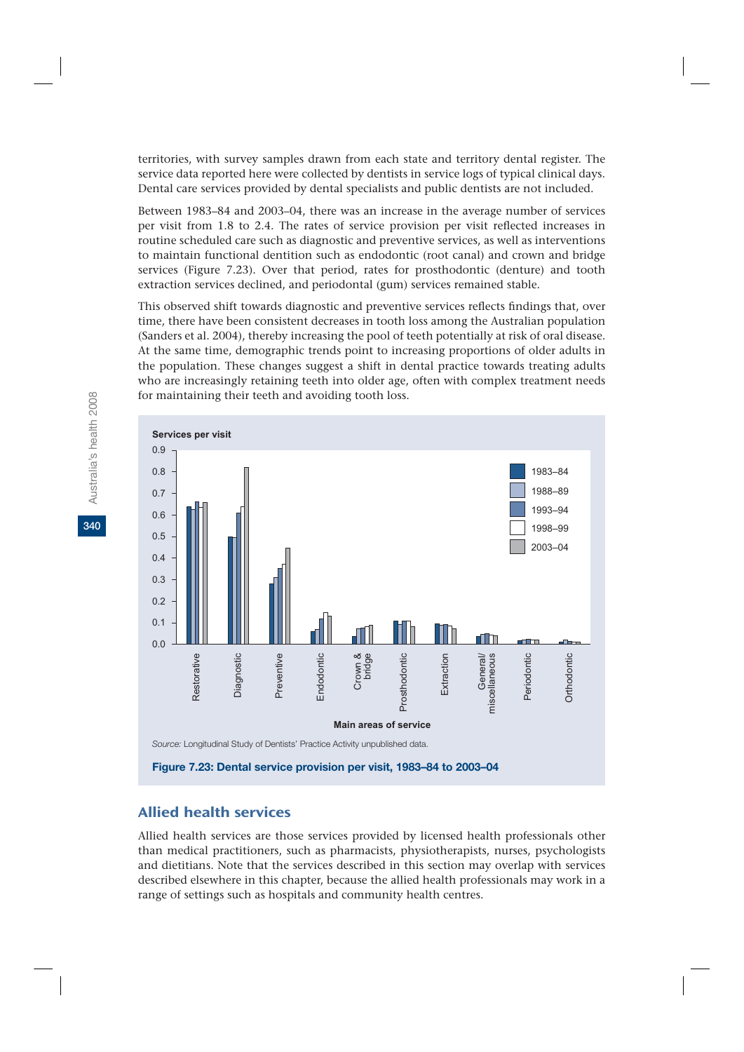territories, with survey samples drawn from each state and territory dental register. The service data reported here were collected by dentists in service logs of typical clinical days. Dental care services provided by dental specialists and public dentists are not included.

Between 1983–84 and 2003–04, there was an increase in the average number of services per visit from 1.8 to 2.4. The rates of service provision per visit reflected increases in routine scheduled care such as diagnostic and preventive services, as well as interventions to maintain functional dentition such as endodontic (root canal) and crown and bridge services (Figure 7.23). Over that period, rates for prosthodontic (denture) and tooth extraction services declined, and periodontal (gum) services remained stable.

This observed shift towards diagnostic and preventive services reflects findings that, over time, there have been consistent decreases in tooth loss among the Australian population (Sanders et al. 2004), thereby increasing the pool of teeth potentially at risk of oral disease. At the same time, demographic trends point to increasing proportions of older adults in the population. These changes suggest a shift in dental practice towards treating adults who are increasingly retaining teeth into older age, often with complex treatment needs for maintaining their teeth and avoiding tooth loss.



# Allied health services

Allied health services are those services provided by licensed health professionals other than medical practitioners, such as pharmacists, physiotherapists, nurses, psychologists and dietitians. Note that the services described in this section may overlap with services described elsewhere in this chapter, because the allied health professionals may work in a range of settings such as hospitals and community health centres.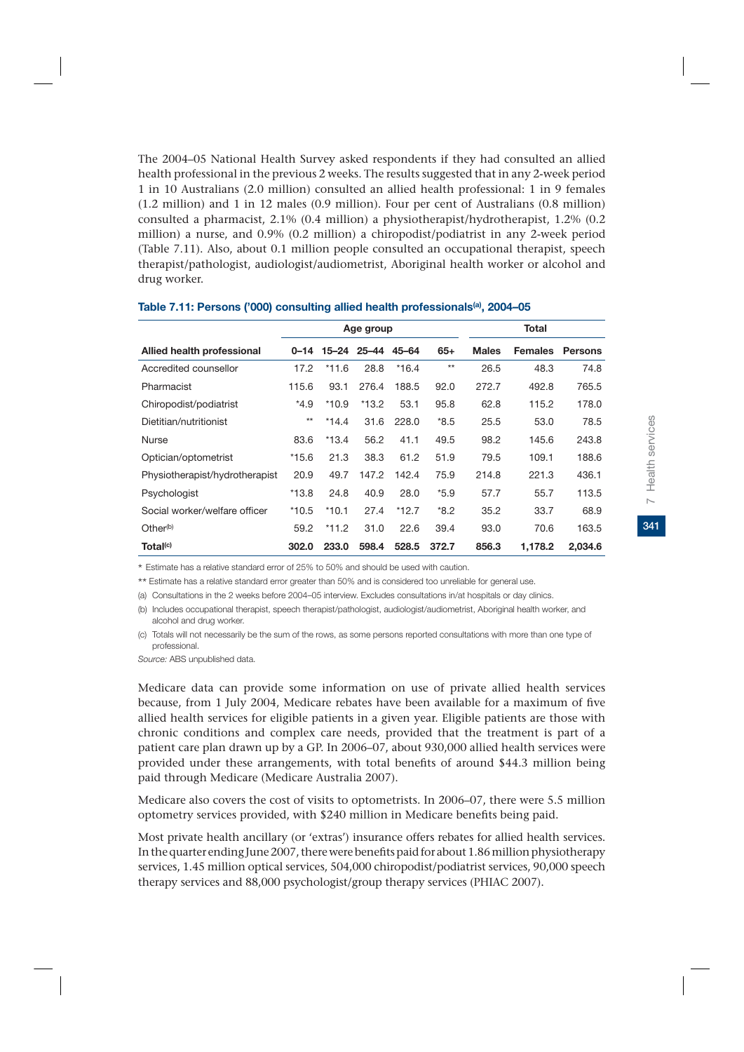The 2004–05 National Health Survey asked respondents if they had consulted an allied health professional in the previous 2 weeks. The results suggested that in any 2-week period 1 in 10 Australians (2.0 million) consulted an allied health professional: 1 in 9 females (1.2 million) and 1 in 12 males (0.9 million). Four per cent of Australians (0.8 million) consulted a pharmacist, 2.1% (0.4 million) a physiotherapist/hydrotherapist, 1.2% (0.2 million) a nurse, and 0.9% (0.2 million) a chiropodist/podiatrist in any 2-week period (Table 7.11). Also, about 0.1 million people consulted an occupational therapist, speech therapist/pathologist, audiologist/audiometrist, Aboriginal health worker or alcohol and drug worker.

|                                |         |         | Age group         |         | Total  |              |                |                |
|--------------------------------|---------|---------|-------------------|---------|--------|--------------|----------------|----------------|
| Allied health professional     | 0–14    |         | 15-24 25-44 45-64 |         | $65+$  | <b>Males</b> | <b>Females</b> | <b>Persons</b> |
| Accredited counsellor          | 17.2    | $*11.6$ | 28.8              | $*16.4$ | $***$  | 26.5         | 48.3           | 74.8           |
| Pharmacist                     | 115.6   | 93.1    | 276.4             | 188.5   | 92.0   | 272.7        | 492.8          | 765.5          |
| Chiropodist/podiatrist         | $*4.9$  | $*10.9$ | $*13.2$           | 53.1    | 95.8   | 62.8         | 115.2          | 178.0          |
| Dietitian/nutritionist         | $**$    | $*14.4$ | 31.6              | 228.0   | $*8.5$ | 25.5         | 53.0           | 78.5           |
| <b>Nurse</b>                   | 83.6    | $*13.4$ | 56.2              | 41.1    | 49.5   | 98.2         | 145.6          | 243.8          |
| Optician/optometrist           | $*15.6$ | 21.3    | 38.3              | 61.2    | 51.9   | 79.5         | 109.1          | 188.6          |
| Physiotherapist/hydrotherapist | 20.9    | 49.7    | 147.2             | 142.4   | 75.9   | 214.8        | 221.3          | 436.1          |
| Psychologist                   | $*13.8$ | 24.8    | 40.9              | 28.0    | $*5.9$ | 57.7         | 55.7           | 113.5          |
| Social worker/welfare officer  | $*10.5$ | $*10.1$ | 27.4              | $*12.7$ | $*8.2$ | 35.2         | 33.7           | 68.9           |
| Other <sup>(b)</sup>           | 59.2    | $*11.2$ | 31.0              | 22.6    | 39.4   | 93.0         | 70.6           | 163.5          |
| Total <sup>(c)</sup>           | 302.0   | 233.0   | 598.4             | 528.5   | 372.7  | 856.3        | 1,178.2        | 2,034.6        |

#### **Table 7.11: Persons ('000) consulting allied health professionals(a), 2004–05**

\* Estimate has a relative standard error of 25% to 50% and should be used with caution.

\*\* Estimate has a relative standard error greater than 50% and is considered too unreliable for general use.

(a) Consultations in the 2 weeks before 2004–05 interview. Excludes consultations in/at hospitals or day clinics.

(b) Includes occupational therapist, speech therapist/pathologist, audiologist/audiometrist, Aboriginal health worker, and alcohol and drug worker.

(c) Totals will not necessarily be the sum of the rows, as some persons reported consultations with more than one type of professional.

*Source:* ABS unpublished data.

Medicare data can provide some information on use of private allied health services because, from 1 July 2004, Medicare rebates have been available for a maximum of five allied health services for eligible patients in a given year. Eligible patients are those with chronic conditions and complex care needs, provided that the treatment is part of a patient care plan drawn up by a GP. In 2006–07, about 930,000 allied health services were provided under these arrangements, with total benefits of around \$44.3 million being paid through Medicare (Medicare Australia 2007).

Medicare also covers the cost of visits to optometrists. In 2006–07, there were 5.5 million optometry services provided, with \$240 million in Medicare benefits being paid.

Most private health ancillary (or 'extras') insurance offers rebates for allied health services. In the quarter ending June 2007, there were benefits paid for about 1.86 million physiotherapy services, 1.45 million optical services, 504,000 chiropodist/podiatrist services, 90,000 speech therapy services and 88,000 psychologist/group therapy services (PHIAC 2007).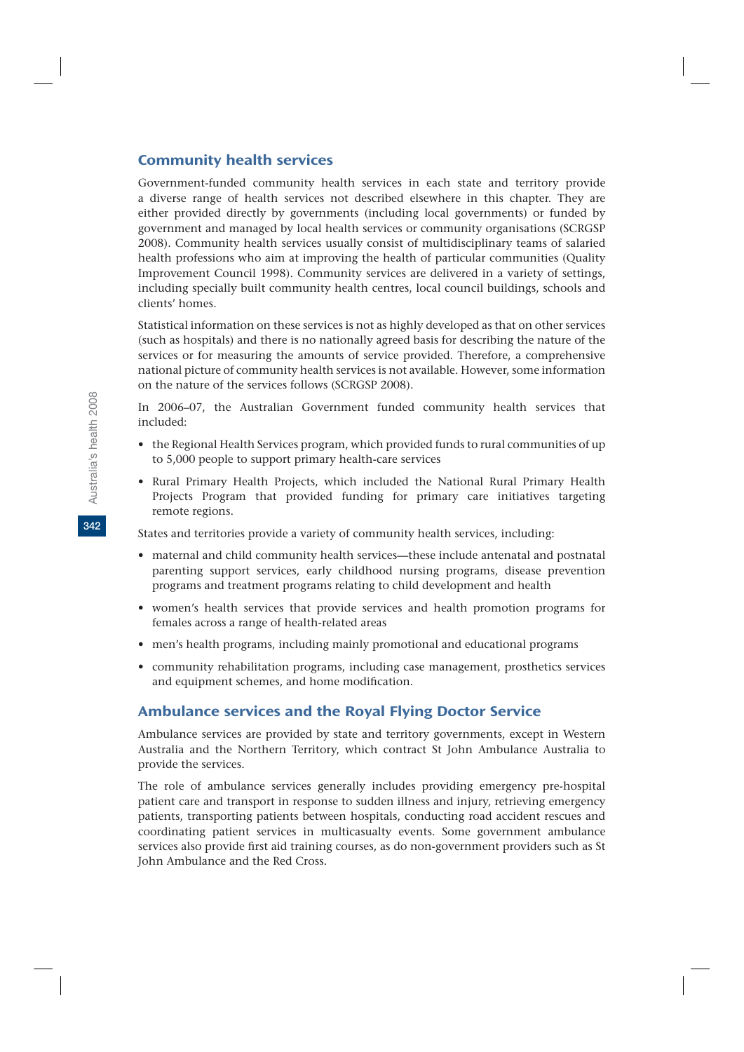# Community health services

Government-funded community health services in each state and territory provide a diverse range of health services not described elsewhere in this chapter. They are either provided directly by governments (including local governments) or funded by government and managed by local health services or community organisations (SCRGSP 2008). Community health services usually consist of multidisciplinary teams of salaried health professions who aim at improving the health of particular communities (Quality Improvement Council 1998). Community services are delivered in a variety of settings, including specially built community health centres, local council buildings, schools and clients' homes.

Statistical information on these services is not as highly developed as that on other services (such as hospitals) and there is no nationally agreed basis for describing the nature of the services or for measuring the amounts of service provided. Therefore, a comprehensive national picture of community health services is not available. However, some information on the nature of the services follows (SCRGSP 2008).

In 2006–07, the Australian Government funded community health services that included:

- the Regional Health Services program, which provided funds to rural communities of up to 5,000 people to support primary health-care services
- Rural Primary Health Projects, which included the National Rural Primary Health Projects Program that provided funding for primary care initiatives targeting remote regions.

States and territories provide a variety of community health services, including:

- maternal and child community health services—these include antenatal and postnatal parenting support services, early childhood nursing programs, disease prevention programs and treatment programs relating to child development and health
- women's health services that provide services and health promotion programs for females across a range of health-related areas
- men's health programs, including mainly promotional and educational programs
- community rehabilitation programs, including case management, prosthetics services and equipment schemes, and home modification.

# Ambulance services and the Royal Flying Doctor Service

Ambulance services are provided by state and territory governments, except in Western Australia and the Northern Territory, which contract St John Ambulance Australia to provide the services.

The role of ambulance services generally includes providing emergency pre-hospital patient care and transport in response to sudden illness and injury, retrieving emergency patients, transporting patients between hospitals, conducting road accident rescues and coordinating patient services in multicasualty events. Some government ambulance services also provide first aid training courses, as do non-government providers such as St John Ambulance and the Red Cross.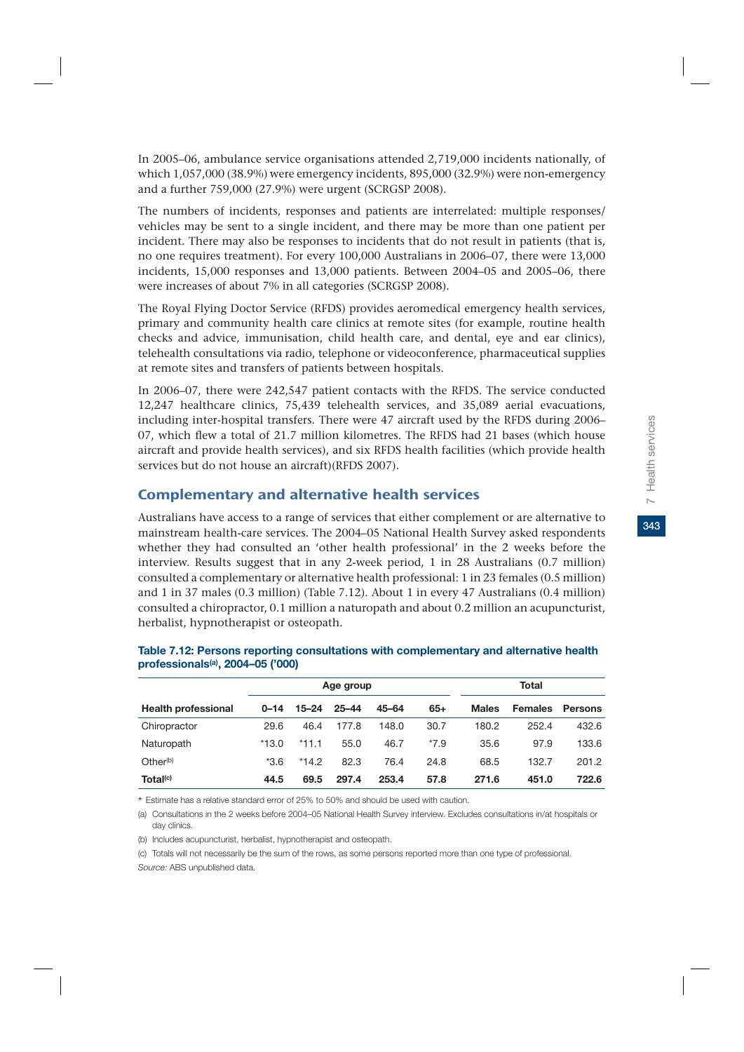In 2005–06, ambulance service organisations attended 2,719,000 incidents nationally, of which 1,057,000 (38.9%) were emergency incidents, 895,000 (32.9%) were non-emergency and a further 759,000 (27.9%) were urgent (SCRGSP 2008).

The numbers of incidents, responses and patients are interrelated: multiple responses/ vehicles may be sent to a single incident, and there may be more than one patient per incident. There may also be responses to incidents that do not result in patients (that is, no one requires treatment). For every 100,000 Australians in 2006–07, there were 13,000 incidents, 15,000 responses and 13,000 patients. Between 2004–05 and 2005–06, there were increases of about 7% in all categories (SCRGSP 2008).

The Royal Flying Doctor Service (RFDS) provides aeromedical emergency health services, primary and community health care clinics at remote sites (for example, routine health checks and advice, immunisation, child health care, and dental, eye and ear clinics), telehealth consultations via radio, telephone or videoconference, pharmaceutical supplies at remote sites and transfers of patients between hospitals.

In 2006–07, there were 242,547 patient contacts with the RFDS. The service conducted 12,247 healthcare clinics, 75,439 telehealth services, and 35,089 aerial evacuations, including inter-hospital transfers. There were 47 aircraft used by the RFDS during 2006– 07, which flew a total of 21.7 million kilometres. The RFDS had 21 bases (which house aircraft and provide health services), and six RFDS health facilities (which provide health services but do not house an aircraft)(RFDS 2007).

# Complementary and alternative health services

Australians have access to a range of services that either complement or are alternative to mainstream health-care services. The 2004–05 National Health Survey asked respondents whether they had consulted an 'other health professional' in the 2 weeks before the interview. Results suggest that in any 2-week period, 1 in 28 Australians (0.7 million) consulted a complementary or alternative health professional: 1 in 23 females (0.5 million) and 1 in 37 males (0.3 million) (Table 7.12). About 1 in every 47 Australians (0.4 million) consulted a chiropractor, 0.1 million a naturopath and about 0.2 million an acupuncturist, herbalist, hypnotherapist or osteopath.

|                            |          |           | Age group |           | Total  |              |                |                |
|----------------------------|----------|-----------|-----------|-----------|--------|--------------|----------------|----------------|
| <b>Health professional</b> | $0 - 14$ | $15 - 24$ | $25 - 44$ | $45 - 64$ | $65+$  | <b>Males</b> | <b>Females</b> | <b>Persons</b> |
| Chiropractor               | 29.6     | 46.4      | 177.8     | 148.0     | 30.7   | 180.2        | 252.4          | 432.6          |
| Naturopath                 | $*13.0$  | $*11.1$   | 55.0      | 46.7      | $*7.9$ | 35.6         | 97.9           | 133.6          |
| Other <sup>(b)</sup>       | $*3.6$   | $*14.2$   | 82.3      | 76.4      | 24.8   | 68.5         | 132.7          | 201.2          |
| Total <sup>(c)</sup>       | 44.5     | 69.5      | 297.4     | 253.4     | 57.8   | 271.6        | 451.0          | 722.6          |

### **Table 7.12: Persons reporting consultations with complementary and alternative health professionals(a), 2004–05 ('000)**

\* Estimate has a relative standard error of 25% to 50% and should be used with caution.

(a) Consultations in the 2 weeks before 2004–05 National Health Survey interview. Excludes consultations in/at hospitals or day clinics.

(b) Includes acupuncturist, herbalist, hypnotherapist and osteopath.

(c) Totals will not necessarily be the sum of the rows, as some persons reported more than one type of professional. *Source:* ABS unpublished data.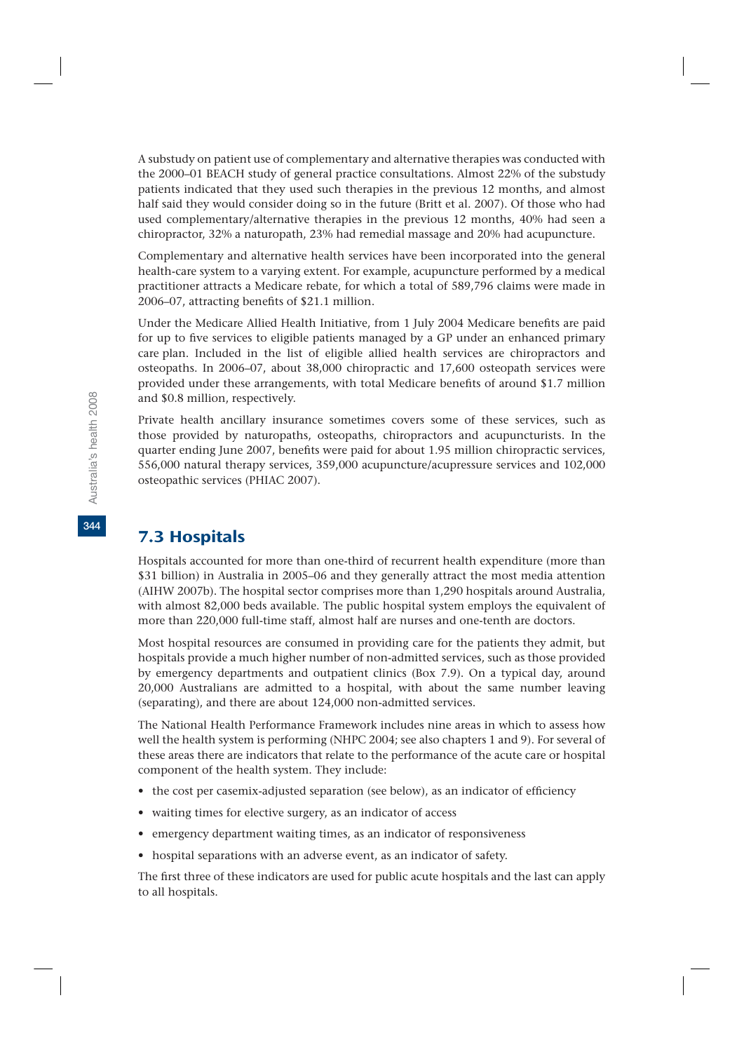A substudy on patient use of complementary and alternative therapies was conducted with the 2000–01 BEACH study of general practice consultations. Almost 22% of the substudy patients indicated that they used such therapies in the previous 12 months, and almost half said they would consider doing so in the future (Britt et al. 2007). Of those who had used complementary/alternative therapies in the previous 12 months, 40% had seen a chiropractor, 32% a naturopath, 23% had remedial massage and 20% had acupuncture.

Complementary and alternative health services have been incorporated into the general health-care system to a varying extent. For example, acupuncture performed by a medical practitioner attracts a Medicare rebate, for which a total of 589,796 claims were made in 2006–07, attracting benefits of \$21.1 million.

Under the Medicare Allied Health Initiative, from 1 July 2004 Medicare benefits are paid for up to five services to eligible patients managed by a GP under an enhanced primary care plan. Included in the list of eligible allied health services are chiropractors and osteopaths. In 2006–07, about 38,000 chiropractic and 17,600 osteopath services were provided under these arrangements, with total Medicare benefits of around \$1.7 million and \$0.8 million, respectively.

Private health ancillary insurance sometimes covers some of these services, such as those provided by naturopaths, osteopaths, chiropractors and acupuncturists. In the quarter ending June 2007, benefits were paid for about 1.95 million chiropractic services, 556,000 natural therapy services, 359,000 acupuncture/acupressure services and 102,000 osteopathic services (PHIAC 2007).

# 7.3 Hospitals

Hospitals accounted for more than one-third of recurrent health expenditure (more than \$31 billion) in Australia in 2005–06 and they generally attract the most media attention (AIHW 2007b). The hospital sector comprises more than 1,290 hospitals around Australia, with almost 82,000 beds available. The public hospital system employs the equivalent of more than 220,000 full-time staff, almost half are nurses and one-tenth are doctors.

Most hospital resources are consumed in providing care for the patients they admit, but hospitals provide a much higher number of non-admitted services, such as those provided by emergency departments and outpatient clinics (Box 7.9). On a typical day, around 20,000 Australians are admitted to a hospital, with about the same number leaving (separating), and there are about 124,000 non-admitted services.

The National Health Performance Framework includes nine areas in which to assess how well the health system is performing (NHPC 2004; see also chapters 1 and 9). For several of these areas there are indicators that relate to the performance of the acute care or hospital component of the health system. They include:

- the cost per casemix-adjusted separation (see below), as an indicator of efficiency
- waiting times for elective surgery, as an indicator of access
- emergency department waiting times, as an indicator of responsiveness
- hospital separations with an adverse event, as an indicator of safety.

The first three of these indicators are used for public acute hospitals and the last can apply to all hospitals.

**344**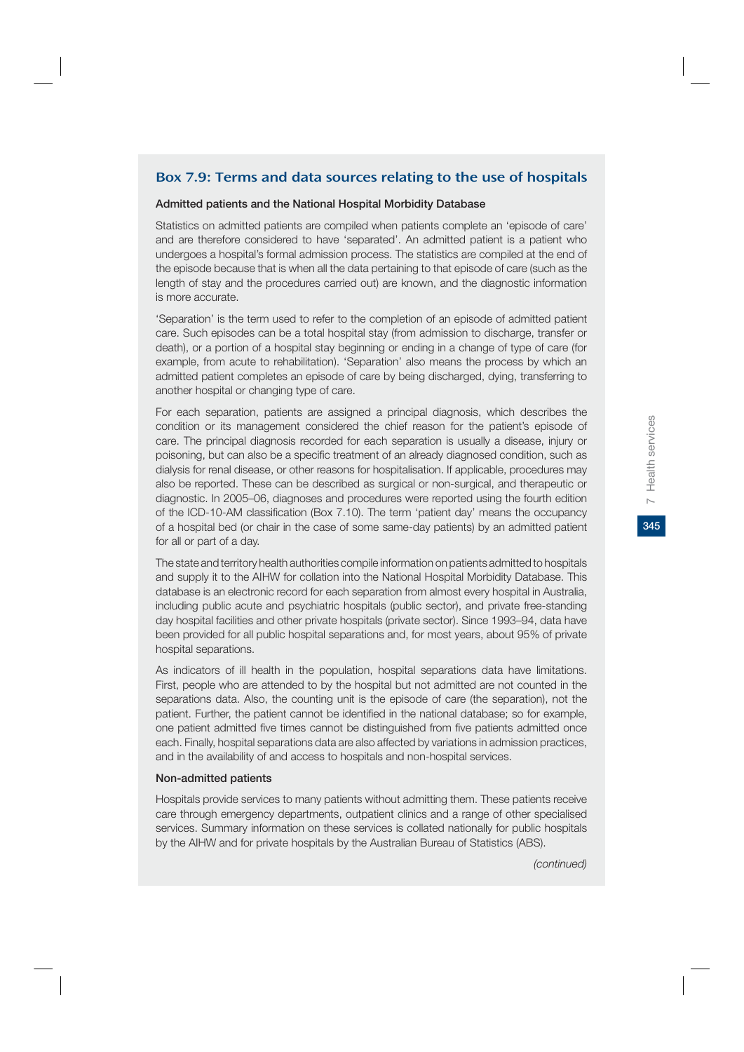# Box 7.9: Terms and data sources relating to the use of hospitals

### **Admitted patients and the National Hospital Morbidity Database**

Statistics on admitted patients are compiled when patients complete an 'episode of care' and are therefore considered to have 'separated'. An admitted patient is a patient who undergoes a hospital's formal admission process. The statistics are compiled at the end of the episode because that is when all the data pertaining to that episode of care (such as the length of stay and the procedures carried out) are known, and the diagnostic information is more accurate.

'Separation' is the term used to refer to the completion of an episode of admitted patient care. Such episodes can be a total hospital stay (from admission to discharge, transfer or death), or a portion of a hospital stay beginning or ending in a change of type of care (for example, from acute to rehabilitation). 'Separation' also means the process by which an admitted patient completes an episode of care by being discharged, dying, transferring to another hospital or changing type of care.

For each separation, patients are assigned a principal diagnosis, which describes the condition or its management considered the chief reason for the patient's episode of care. The principal diagnosis recorded for each separation is usually a disease, injury or poisoning, but can also be a specific treatment of an already diagnosed condition, such as dialysis for renal disease, or other reasons for hospitalisation. If applicable, procedures may also be reported. These can be described as surgical or non-surgical, and therapeutic or diagnostic. In 2005–06, diagnoses and procedures were reported using the fourth edition of the ICD-10-AM classification (Box 7.10). The term 'patient day' means the occupancy of a hospital bed (or chair in the case of some same-day patients) by an admitted patient for all or part of a day.

The state and territory health authorities compile information on patients admitted to hospitals and supply it to the AIHW for collation into the National Hospital Morbidity Database. This database is an electronic record for each separation from almost every hospital in Australia, including public acute and psychiatric hospitals (public sector), and private free-standing day hospital facilities and other private hospitals (private sector). Since 1993–94, data have been provided for all public hospital separations and, for most years, about 95% of private hospital separations.

As indicators of ill health in the population, hospital separations data have limitations. First, people who are attended to by the hospital but not admitted are not counted in the separations data. Also, the counting unit is the episode of care (the separation), not the patient. Further, the patient cannot be identified in the national database; so for example, one patient admitted five times cannot be distinguished from five patients admitted once each. Finally, hospital separations data are also affected by variations in admission practices, and in the availability of and access to hospitals and non-hospital services.

### **Non-admitted patients**

Hospitals provide services to many patients without admitting them. These patients receive care through emergency departments, outpatient clinics and a range of other specialised services. Summary information on these services is collated nationally for public hospitals by the AIHW and for private hospitals by the Australian Bureau of Statistics (ABS).

345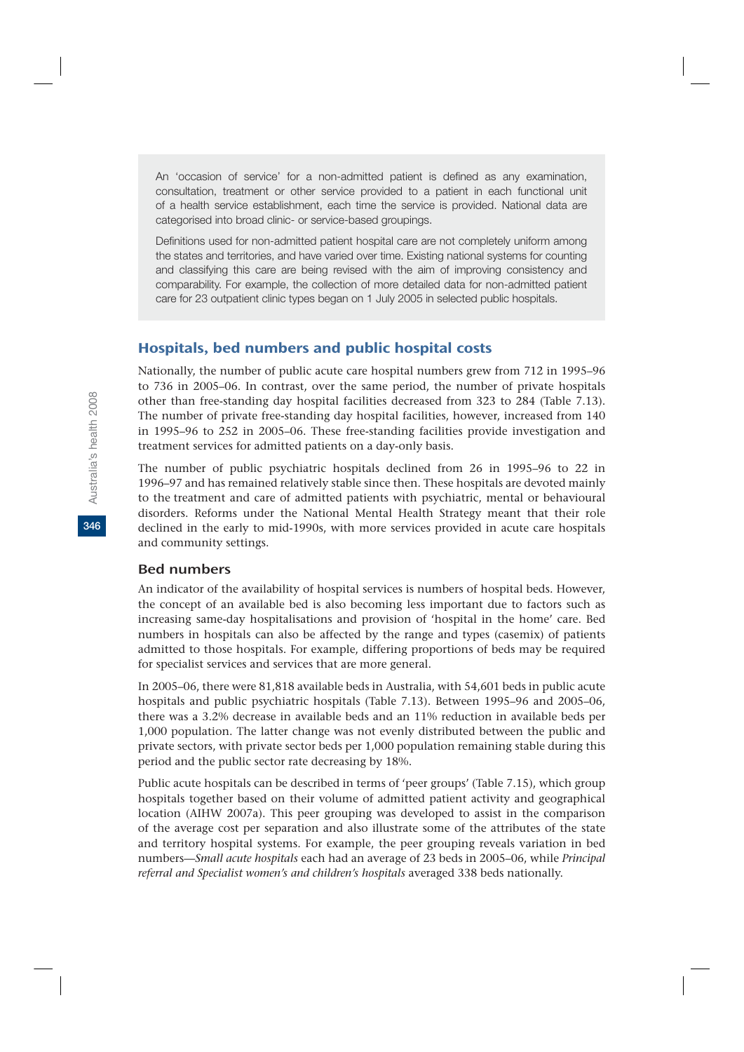An 'occasion of service' for a non-admitted patient is defined as any examination, consultation, treatment or other service provided to a patient in each functional unit of a health service establishment, each time the service is provided. National data are categorised into broad clinic- or service-based groupings.

Definitions used for non-admitted patient hospital care are not completely uniform among the states and territories, and have varied over time. Existing national systems for counting and classifying this care are being revised with the aim of improving consistency and comparability. For example, the collection of more detailed data for non-admitted patient care for 23 outpatient clinic types began on 1 July 2005 in selected public hospitals.

# Hospitals, bed numbers and public hospital costs

Nationally, the number of public acute care hospital numbers grew from 712 in 1995–96 to 736 in 2005–06. In contrast, over the same period, the number of private hospitals other than free-standing day hospital facilities decreased from 323 to 284 (Table 7.13). The number of private free-standing day hospital facilities, however, increased from 140 in 1995–96 to 252 in 2005–06. These free-standing facilities provide investigation and treatment services for admitted patients on a day-only basis.

The number of public psychiatric hospitals declined from 26 in 1995–96 to 22 in 1996–97 and has remained relatively stable since then. These hospitals are devoted mainly to the treatment and care of admitted patients with psychiatric, mental or behavioural disorders. Reforms under the National Mental Health Strategy meant that their role declined in the early to mid-1990s, with more services provided in acute care hospitals and community settings.

### Bed numbers

An indicator of the availability of hospital services is numbers of hospital beds. However, the concept of an available bed is also becoming less important due to factors such as increasing same-day hospitalisations and provision of 'hospital in the home' care. Bed numbers in hospitals can also be affected by the range and types (casemix) of patients admitted to those hospitals. For example, differing proportions of beds may be required for specialist services and services that are more general.

In 2005–06, there were 81,818 available beds in Australia, with 54,601 beds in public acute hospitals and public psychiatric hospitals (Table 7.13). Between 1995–96 and 2005–06, there was a 3.2% decrease in available beds and an 11% reduction in available beds per 1,000 population. The latter change was not evenly distributed between the public and private sectors, with private sector beds per 1,000 population remaining stable during this period and the public sector rate decreasing by 18%.

Public acute hospitals can be described in terms of 'peer groups' (Table 7.15), which group hospitals together based on their volume of admitted patient activity and geographical location (AIHW 2007a). This peer grouping was developed to assist in the comparison of the average cost per separation and also illustrate some of the attributes of the state and territory hospital systems. For example, the peer grouping reveals variation in bed numbers—*Small acute hospitals* each had an average of 23 beds in 2005–06, while *Principal referral and Specialist women's and children's hospitals* averaged 338 beds nationally.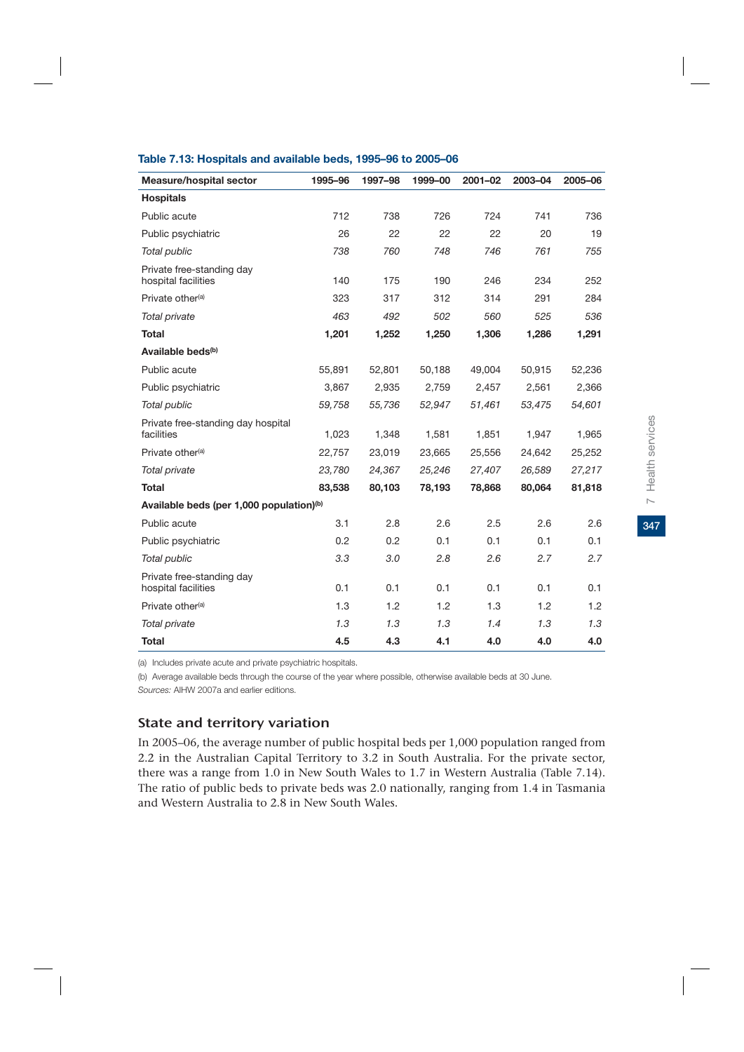| Measure/hospital sector                              | 1995-96 | 1997-98 | 1999-00 | 2001-02 | 2003-04 | 2005-06 |
|------------------------------------------------------|---------|---------|---------|---------|---------|---------|
| <b>Hospitals</b>                                     |         |         |         |         |         |         |
| Public acute                                         | 712     | 738     | 726     | 724     | 741     | 736     |
| Public psychiatric                                   | 26      | 22      | 22      | 22      | 20      | 19      |
| Total public                                         | 738     | 760     | 748     | 746     | 761     | 755     |
| Private free-standing day<br>hospital facilities     | 140     | 175     | 190     | 246     | 234     | 252     |
| Private other <sup>(a)</sup>                         | 323     | 317     | 312     | 314     | 291     | 284     |
| Total private                                        | 463     | 492     | 502     | 560     | 525     | 536     |
| <b>Total</b>                                         | 1,201   | 1,252   | 1,250   | 1,306   | 1,286   | 1,291   |
| Available beds <sup>(b)</sup>                        |         |         |         |         |         |         |
| Public acute                                         | 55,891  | 52,801  | 50,188  | 49,004  | 50,915  | 52,236  |
| Public psychiatric                                   | 3,867   | 2,935   | 2,759   | 2,457   | 2,561   | 2,366   |
| Total public                                         | 59,758  | 55,736  | 52,947  | 51,461  | 53,475  | 54,601  |
| Private free-standing day hospital<br>facilities     | 1,023   | 1,348   | 1,581   | 1,851   | 1,947   | 1,965   |
| Private other <sup>(a)</sup>                         | 22,757  | 23,019  | 23,665  | 25,556  | 24,642  | 25,252  |
| Total private                                        | 23,780  | 24,367  | 25,246  | 27,407  | 26,589  | 27,217  |
| <b>Total</b>                                         | 83,538  | 80,103  | 78,193  | 78,868  | 80,064  | 81,818  |
| Available beds (per 1,000 population) <sup>(b)</sup> |         |         |         |         |         |         |
| Public acute                                         | 3.1     | 2.8     | 2.6     | 2.5     | 2.6     | 2.6     |
| Public psychiatric                                   | 0.2     | 0.2     | 0.1     | 0.1     | 0.1     | 0.1     |
| Total public                                         | 3.3     | 3.0     | 2.8     | 2.6     | 2.7     | 2.7     |
| Private free-standing day<br>hospital facilities     | 0.1     | 0.1     | 0.1     | 0.1     | 0.1     | 0.1     |
| Private other <sup>(a)</sup>                         | 1.3     | 1.2     | 1.2     | 1.3     | 1.2     | 1.2     |
| Total private                                        | 1.3     | 1.3     | 1.3     | 1.4     | 1.3     | 1.3     |
| <b>Total</b>                                         | 4.5     | 4.3     | 4.1     | 4.0     | 4.0     | 4.0     |

### **Table 7.13: Hospitals and available beds, 1995–96 to 2005–06**

(a) Includes private acute and private psychiatric hospitals.

(b) Average available beds through the course of the year where possible, otherwise available beds at 30 June.

*Sources:* AIHW 2007a and earlier editions.

# State and territory variation

In 2005–06, the average number of public hospital beds per 1,000 population ranged from 2.2 in the Australian Capital Territory to 3.2 in South Australia. For the private sector, there was a range from 1.0 in New South Wales to 1.7 in Western Australia (Table 7.14). The ratio of public beds to private beds was 2.0 nationally, ranging from 1.4 in Tasmania and Western Australia to 2.8 in New South Wales.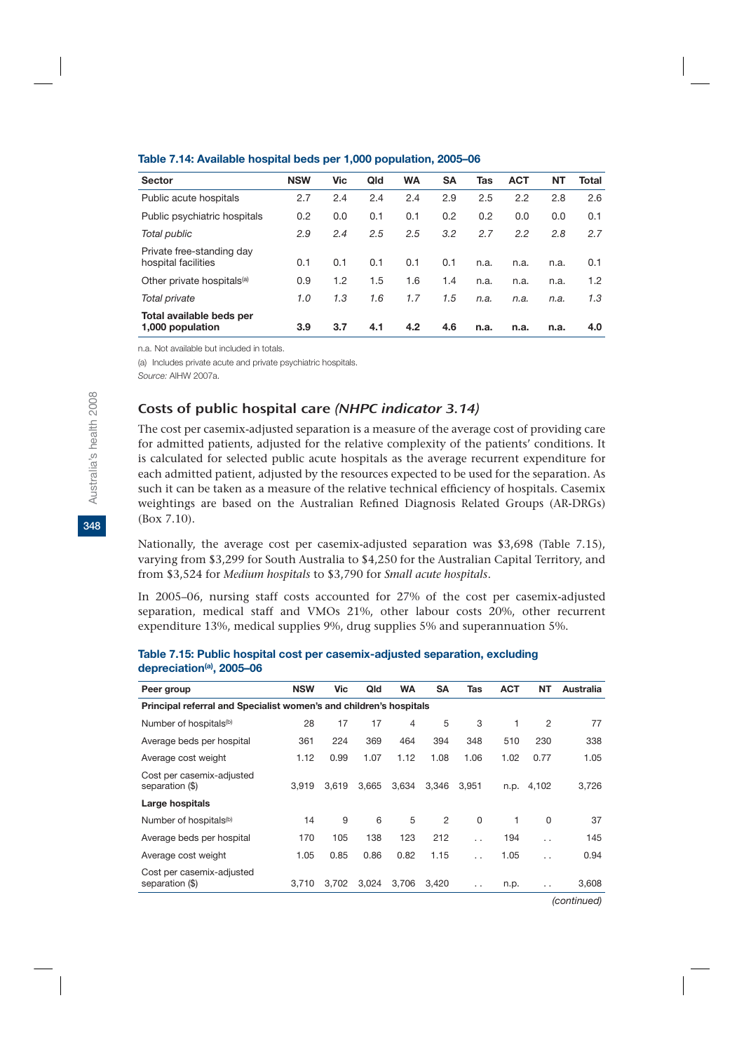| <b>Sector</b>                                    | <b>NSW</b> | <b>Vic</b> | Qld | <b>WA</b> | SΑ  | Tas  | <b>ACT</b> | NΤ   | Total |
|--------------------------------------------------|------------|------------|-----|-----------|-----|------|------------|------|-------|
| Public acute hospitals                           | 2.7        | 2.4        | 2.4 | 2.4       | 2.9 | 2.5  | 2.2        | 2.8  | 2.6   |
| Public psychiatric hospitals                     | 0.2        | 0.0        | 0.1 | 0.1       | 0.2 | 0.2  | 0.0        | 0.0  | 0.1   |
| Total public                                     | 2.9        | 2.4        | 2.5 | 2.5       | 3.2 | 2.7  | 2.2        | 2.8  | 2.7   |
| Private free-standing day<br>hospital facilities | 0.1        | 0.1        | 0.1 | 0.1       | 0.1 | n.a. | n.a.       | n.a. | 0.1   |
| Other private hospitals <sup>(a)</sup>           | 0.9        | 1.2        | 1.5 | 1.6       | 1.4 | n.a. | n.a.       | n.a. | 1.2   |
| Total private                                    | 1.0        | 1.3        | 1.6 | 1.7       | 1.5 | n.a. | n.a.       | n.a. | 1.3   |
| Total available beds per<br>1,000 population     | 3.9        | 3.7        | 4.1 | 4.2       | 4.6 | n.a. | n.a.       | n.a. | 4.0   |

#### **Table 7.14: Available hospital beds per 1,000 population, 2005–06**

n.a.Not available but included in totals.

(a) Includes private acute and private psychiatric hospitals.

*Source:* AIHW 2007a.

### Costs of public hospital care (NHPC indicator 3.14)

The cost per casemix-adjusted separation is a measure of the average cost of providing care for admitted patients, adjusted for the relative complexity of the patients' conditions. It is calculated for selected public acute hospitals as the average recurrent expenditure for each admitted patient, adjusted by the resources expected to be used for the separation. As such it can be taken as a measure of the relative technical efficiency of hospitals. Casemix weightings are based on the Australian Refined Diagnosis Related Groups (AR-DRGs) (Box 7.10).

Nationally, the average cost per casemix-adjusted separation was \$3,698 (Table 7.15), varying from \$3,299 for South Australia to \$4,250 for the Australian Capital Territory, and from \$3,524 for *Medium hospitals* to \$3,790 for *Small acute hospitals*.

In 2005–06, nursing staff costs accounted for 27% of the cost per casemix-adjusted separation, medical staff and VMOs 21%, other labour costs 20%, other recurrent expenditure 13%, medical supplies 9%, drug supplies 5% and superannuation 5%.

| Peer group                                                         | <b>NSW</b> | Vic   | Qld   | <b>WA</b> | <b>SA</b>      | Tas                  | <b>ACT</b> | <b>NT</b>            | Australia |  |  |  |
|--------------------------------------------------------------------|------------|-------|-------|-----------|----------------|----------------------|------------|----------------------|-----------|--|--|--|
| Principal referral and Specialist women's and children's hospitals |            |       |       |           |                |                      |            |                      |           |  |  |  |
| Number of hospitals <sup>(b)</sup>                                 | 28         | 17    | 17    | 4         | 5              | 3                    | 1          | 2                    | 77        |  |  |  |
| Average beds per hospital                                          | 361        | 224   | 369   | 464       | 394            | 348                  | 510        | 230                  | 338       |  |  |  |
| Average cost weight                                                | 1.12       | 0.99  | 1.07  | 1.12      | 1.08           | 1.06                 | 1.02       | 0.77                 | 1.05      |  |  |  |
| Cost per casemix-adjusted<br>separation (\$)                       | 3.919      | 3.619 | 3,665 | 3.634     | 3.346          | 3.951                | n.p.       | 4,102                | 3,726     |  |  |  |
| Large hospitals                                                    |            |       |       |           |                |                      |            |                      |           |  |  |  |
| Number of hospitals <sup>(b)</sup>                                 | 14         | 9     | 6     | 5         | $\mathfrak{p}$ | $\Omega$             | 1          | 0                    | 37        |  |  |  |
| Average beds per hospital                                          | 170        | 105   | 138   | 123       | 212            | $\ddot{\phantom{0}}$ | 194        | $\ddot{\phantom{0}}$ | 145       |  |  |  |
| Average cost weight                                                | 1.05       | 0.85  | 0.86  | 0.82      | 1.15           | $\ddot{\phantom{0}}$ | 1.05       | $\ddot{\phantom{0}}$ | 0.94      |  |  |  |
| Cost per casemix-adjusted<br>separation (\$)                       | 3.710      | 3.702 | 3,024 | 3.706     | 3.420          | $\cdot$ $\cdot$      | n.p.       | $\cdot$ .            | 3,608     |  |  |  |

#### **Table 7.15: Public hospital cost per casemix-adjusted separation, excluding depreciation(a), 2005–06**

*(continued)*

**348**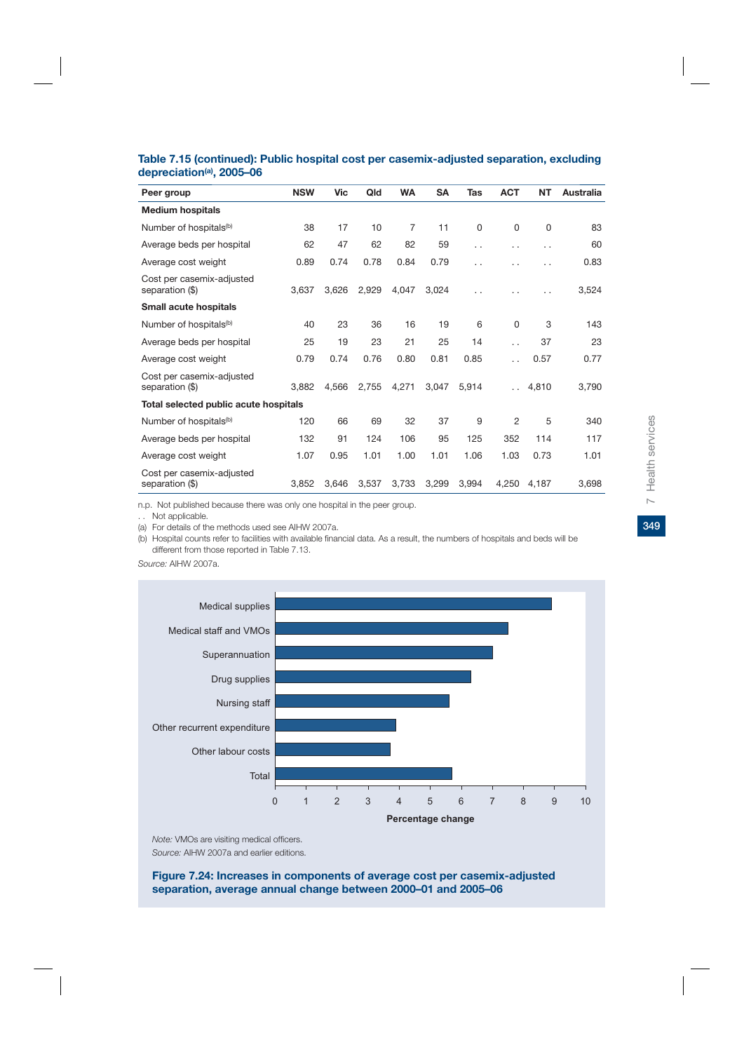| Peer group                                   | <b>NSW</b> | <b>Vic</b> | Qld   | <b>WA</b> | <b>SA</b> | Tas                  | <b>ACT</b>           | <b>NT</b> | Australia |
|----------------------------------------------|------------|------------|-------|-----------|-----------|----------------------|----------------------|-----------|-----------|
| <b>Medium hospitals</b>                      |            |            |       |           |           |                      |                      |           |           |
| Number of hospitals <sup>(b)</sup>           | 38         | 17         | 10    | 7         | 11        | 0                    | 0                    | $\Omega$  | 83        |
| Average beds per hospital                    | 62         | 47         | 62    | 82        | 59        | $\ddot{\phantom{0}}$ | . .                  | $\cdot$ . | 60        |
| Average cost weight                          | 0.89       | 0.74       | 0.78  | 0.84      | 0.79      | $\ddot{\phantom{0}}$ |                      | . .       | 0.83      |
| Cost per casemix-adjusted<br>separation (\$) | 3,637      | 3,626      | 2.929 | 4,047     | 3.024     | $\ddot{\phantom{0}}$ |                      |           | 3,524     |
| Small acute hospitals                        |            |            |       |           |           |                      |                      |           |           |
| Number of hospitals <sup>(b)</sup>           | 40         | 23         | 36    | 16        | 19        | 6                    | $\Omega$             | 3         | 143       |
| Average beds per hospital                    | 25         | 19         | 23    | 21        | 25        | 14                   |                      | 37        | 23        |
| Average cost weight                          | 0.79       | 0.74       | 0.76  | 0.80      | 0.81      | 0.85                 |                      | 0.57      | 0.77      |
| Cost per casemix-adjusted<br>separation (\$) | 3.882      | 4.566      | 2,755 | 4.271     | 3.047     | 5.914                | $\ddot{\phantom{0}}$ | 4,810     | 3,790     |
| Total selected public acute hospitals        |            |            |       |           |           |                      |                      |           |           |
| Number of hospitals <sup>(b)</sup>           | 120        | 66         | 69    | 32        | 37        | 9                    | 2                    | 5         | 340       |
| Average beds per hospital                    | 132        | 91         | 124   | 106       | 95        | 125                  | 352                  | 114       | 117       |
| Average cost weight                          | 1.07       | 0.95       | 1.01  | 1.00      | 1.01      | 1.06                 | 1.03                 | 0.73      | 1.01      |
| Cost per casemix-adjusted<br>separation (\$) | 3.852      | 3.646      | 3.537 | 3.733     | 3,299     | 3.994                | 4,250                | 4.187     | 3,698     |

### **Table 7.15 (continued): Public hospital cost per casemix-adjusted separation, excluding depreciation(a), 2005–06**

n.p. Not published because there was only one hospital in the peer group.

. . Not applicable.

(a) For details of the methods used see AIHW 2007a.

(b) Hospital counts refer to facilities with available financial data. As a result, the numbers of hospitals and beds will be different from those reported in Table 7.13.

*Source:* AIHW 2007a.



*Note:* VMOs are visiting medical officers. *Source:* AIHW 2007a and earlier editions.

**Figure 7.24: Increases in components of average cost per casemix-adjusted separation, average annual change between 2000–01 and 2005–06**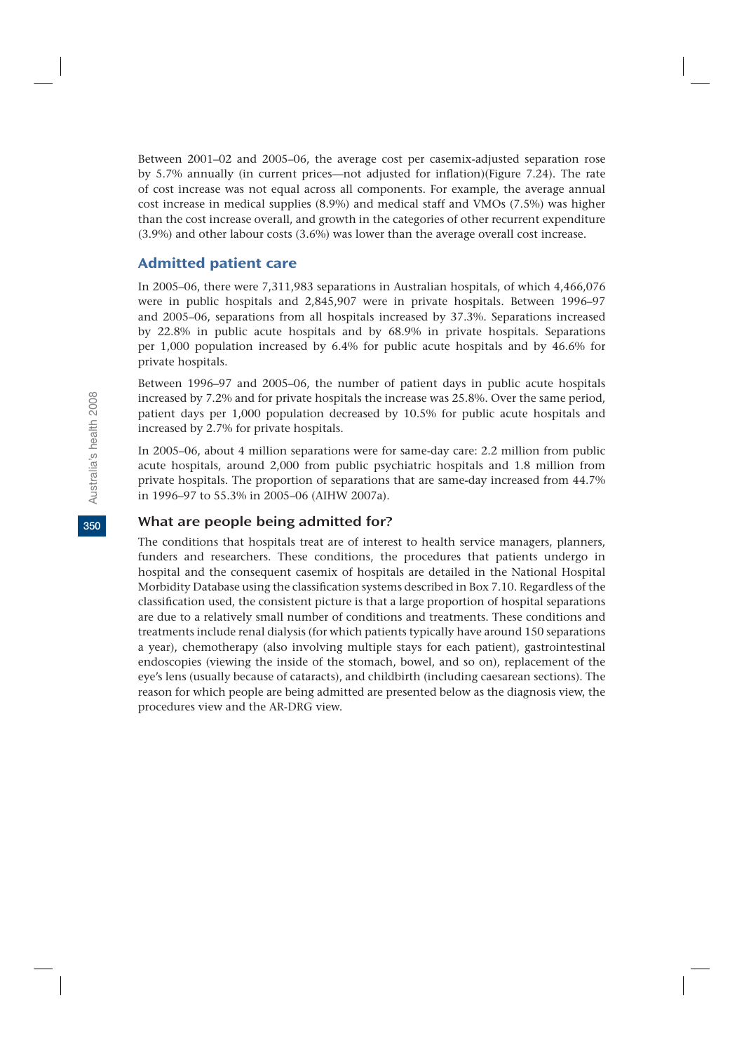Between 2001–02 and 2005–06, the average cost per casemix-adjusted separation rose by 5.7% annually (in current prices—not adjusted for inflation)(Figure 7.24). The rate of cost increase was not equal across all components. For example, the average annual cost increase in medical supplies (8.9%) and medical staff and VMOs (7.5%) was higher than the cost increase overall, and growth in the categories of other recurrent expenditure (3.9%) and other labour costs (3.6%) was lower than the average overall cost increase.

## Admitted patient care

In 2005–06, there were 7,311,983 separations in Australian hospitals, of which 4,466,076 were in public hospitals and 2,845,907 were in private hospitals. Between 1996–97 and 2005–06, separations from all hospitals increased by 37.3%. Separations increased by 22.8% in public acute hospitals and by 68.9% in private hospitals. Separations per 1,000 population increased by 6.4% for public acute hospitals and by 46.6% for private hospitals.

Between 1996–97 and 2005–06, the number of patient days in public acute hospitals increased by 7.2% and for private hospitals the increase was 25.8%. Over the same period, patient days per 1,000 population decreased by 10.5% for public acute hospitals and increased by 2.7% for private hospitals.

In 2005–06, about 4 million separations were for same-day care: 2.2 million from public acute hospitals, around 2,000 from public psychiatric hospitals and 1.8 million from private hospitals. The proportion of separations that are same-day increased from 44.7% in 1996–97 to 55.3% in 2005–06 (AIHW 2007a).

### What are people being admitted for?

The conditions that hospitals treat are of interest to health service managers, planners, funders and researchers. These conditions, the procedures that patients undergo in hospital and the consequent casemix of hospitals are detailed in the National Hospital Morbidity Database using the classification systems described in Box 7.10. Regardless of the classification used, the consistent picture is that a large proportion of hospital separations are due to a relatively small number of conditions and treatments. These conditions and treatments include renal dialysis (for which patients typically have around 150 separations a year), chemotherapy (also involving multiple stays for each patient), gastrointestinal endoscopies (viewing the inside of the stomach, bowel, and so on), replacement of the eye's lens (usually because of cataracts), and childbirth (including caesarean sections). The reason for which people are being admitted are presented below as the diagnosis view, the procedures view and the AR-DRG view.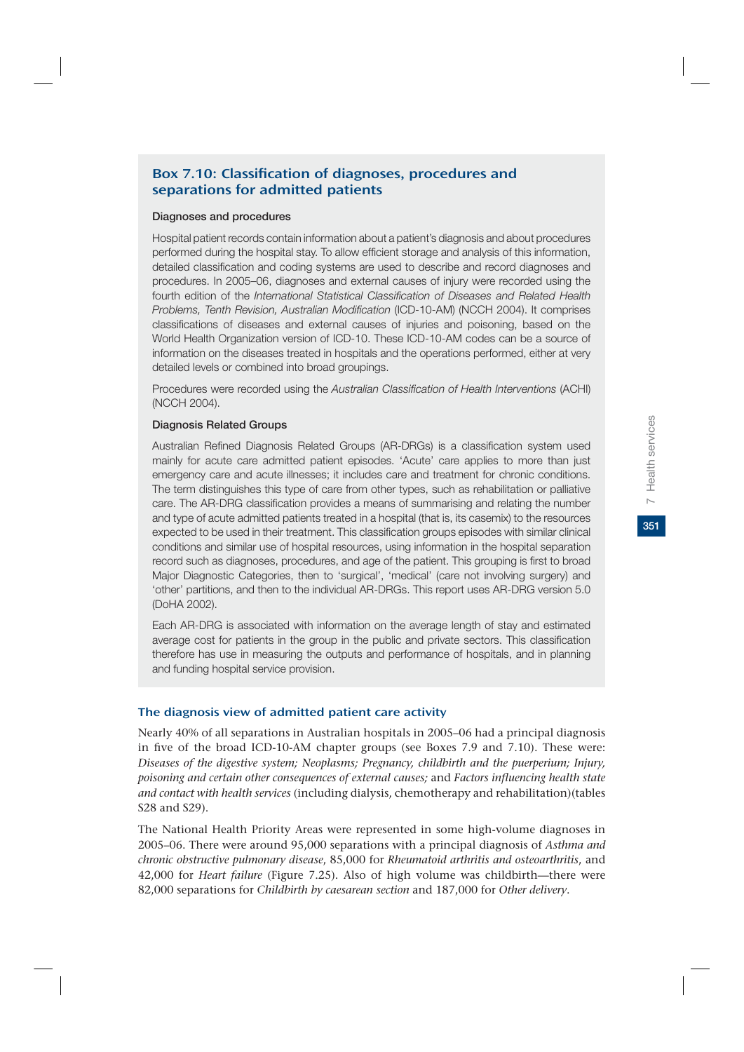# Box 7.10: Classification of diagnoses, procedures and separations for admitted patients

#### **Diagnoses and procedures**

Hospital patient records contain information about a patient's diagnosis and about procedures performed during the hospital stay. To allow efficient storage and analysis of this information, detailed classification and coding systems are used to describe and record diagnoses and procedures. In 2005–06, diagnoses and external causes of injury were recorded using the fourth edition of the *International Statistical Classification of Diseases and Related Health Problems, Tenth Revision, Australian Modification* (ICD-10-AM) (NCCH 2004). It comprises classifications of diseases and external causes of injuries and poisoning, based on the World Health Organization version of ICD-10. These ICD-10-AM codes can be a source of information on the diseases treated in hospitals and the operations performed, either at very detailed levels or combined into broad groupings.

Procedures were recorded using the *Australian Classification of Health Interventions* (ACHI) (NCCH 2004).

### **Diagnosis Related Groups**

Australian Refined Diagnosis Related Groups (AR-DRGs) is a classification system used mainly for acute care admitted patient episodes. 'Acute' care applies to more than just emergency care and acute illnesses; it includes care and treatment for chronic conditions. The term distinguishes this type of care from other types, such as rehabilitation or palliative care. The AR-DRG classification provides a means of summarising and relating the number and type of acute admitted patients treated in a hospital (that is, its casemix) to the resources expected to be used in their treatment. This classification groups episodes with similar clinical conditions and similar use of hospital resources, using information in the hospital separation record such as diagnoses, procedures, and age of the patient. This grouping is first to broad Major Diagnostic Categories, then to 'surgical', 'medical' (care not involving surgery) and 'other' partitions, and then to the individual AR-DRGs. This report uses AR-DRG version 5.0 (DoHA 2002).

Each AR-DRG is associated with information on the average length of stay and estimated average cost for patients in the group in the public and private sectors. This classification therefore has use in measuring the outputs and performance of hospitals, and in planning and funding hospital service provision.

### The diagnosis view of admitted patient care activity

Nearly 40% of all separations in Australian hospitals in 2005–06 had a principal diagnosis in five of the broad ICD-10-AM chapter groups (see Boxes 7.9 and 7.10). These were: *Diseases of the digestive system; Neoplasms; Pregnancy, childbirth and the puerperium; Injury, poisoning and certain other consequences of external causes;* and *Factors influencing health state and contact with health services* (including dialysis, chemotherapy and rehabilitation)(tables S28 and S29).

The National Health Priority Areas were represented in some high-volume diagnoses in 2005–06. There were around 95,000 separations with a principal diagnosis of *Asthma and chronic obstructive pulmonary disease*, 85,000 for *Rheumatoid arthritis and osteoarthritis*, and 42,000 for *Heart failure* (Figure 7.25). Also of high volume was childbirth—there were 82,000 separations for *Childbirth by caesarean section* and 187,000 for *Other delivery*.

351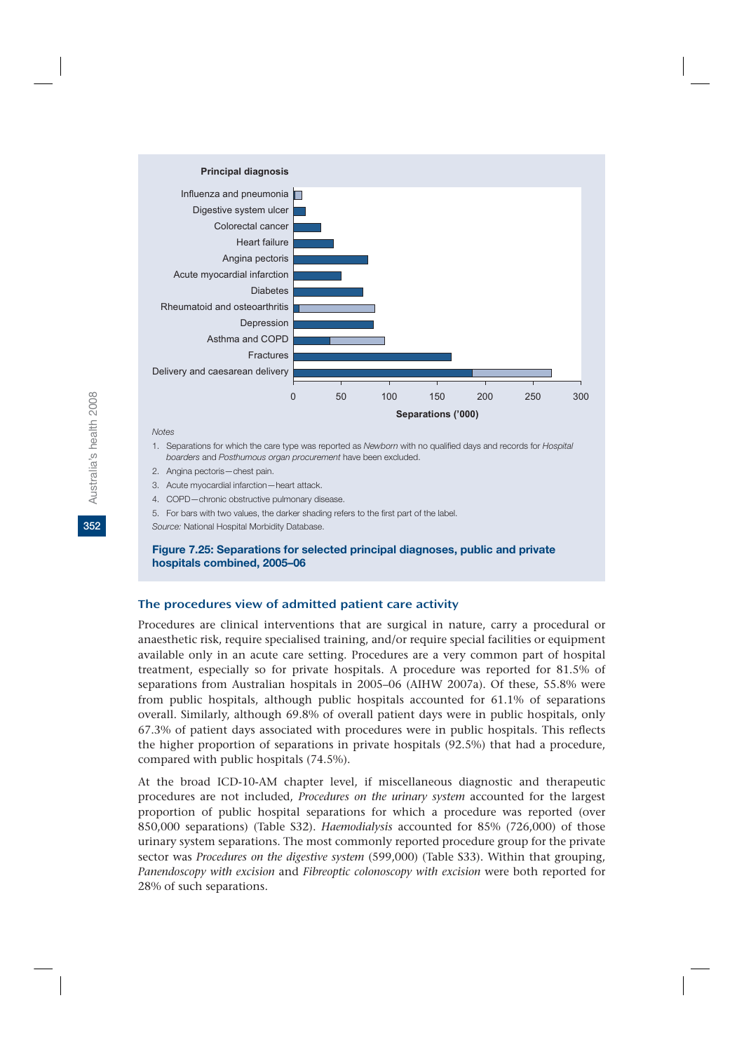

#### *Notes*

- 1. Separations for which the care type was reported as *Newborn* with no qualified days and records for *Hospital boarders* and *Posthumous organ procurement* have been excluded.
- 2. Angina pectoris—chest pain.
- 3. Acute myocardial infarction—heart attack.
- 4. COPD—chronic obstructive pulmonary disease.
- 5. For bars with two values, the darker shading refers to the first part of the label.

*Source:* National Hospital Morbidity Database.

### **Figure 7.25: Separations for selected principal diagnoses, public and private hospitals combined, 2005–06**

#### The procedures view of admitted patient care activity

Procedures are clinical interventions that are surgical in nature, carry a procedural or anaesthetic risk, require specialised training, and/or require special facilities or equipment available only in an acute care setting. Procedures are a very common part of hospital treatment, especially so for private hospitals. A procedure was reported for 81.5% of separations from Australian hospitals in 2005–06 (AIHW 2007a). Of these, 55.8% were from public hospitals, although public hospitals accounted for 61.1% of separations overall. Similarly, although 69.8% of overall patient days were in public hospitals, only 67.3% of patient days associated with procedures were in public hospitals. This reflects the higher proportion of separations in private hospitals (92.5%) that had a procedure, compared with public hospitals (74.5%).

At the broad ICD-10-AM chapter level, if miscellaneous diagnostic and therapeutic procedures are not included, *Procedures on the urinary system* accounted for the largest proportion of public hospital separations for which a procedure was reported (over 850,000 separations) (Table S32). *Haemodialysis* accounted for 85% (726,000) of those urinary system separations. The most commonly reported procedure group for the private sector was *Procedures on the digestive system* (599,000) (Table S33). Within that grouping, *Panendoscopy with excision* and *Fibreoptic colonoscopy with excision* were both reported for 28% of such separations.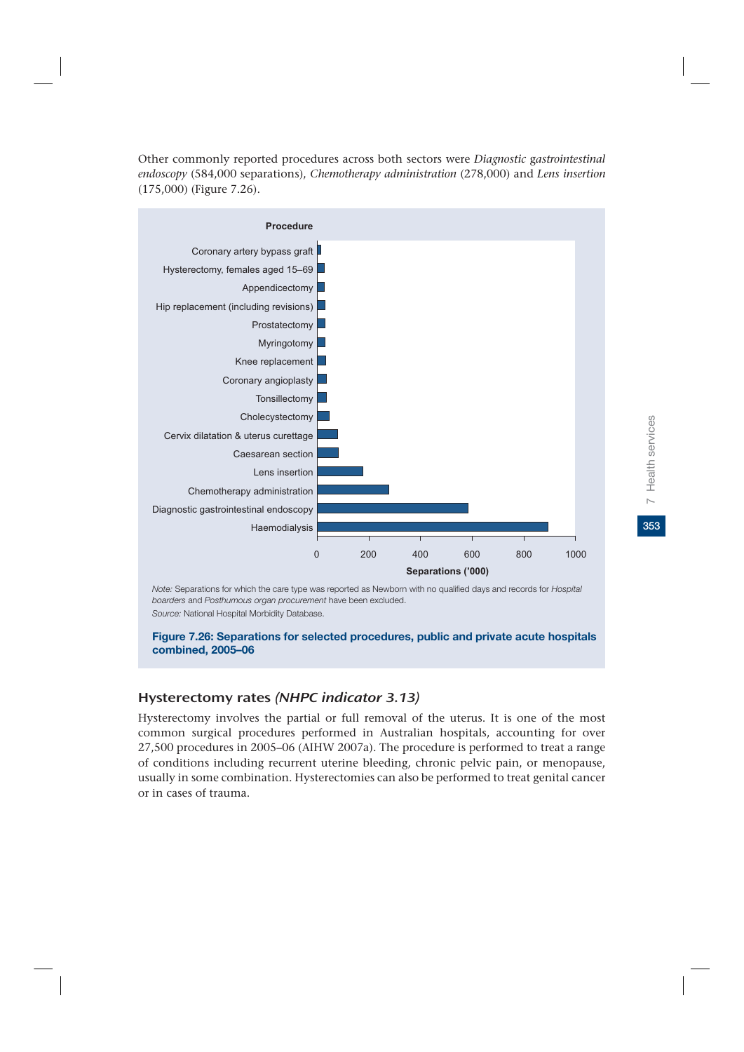Other commonly reported procedures across both sectors were *Diagnostic* g*astrointestinal endoscopy* (584,000 separations), *Chemotherapy administration* (278,000) and *Lens insertion* (175,000) (Figure 7.26).



*Note:* Separations for which the care type was reported as Newborn with no qualified days and records for *Hospital boarders* and *Posthumous organ procurement* have been excluded. *Source:* National Hospital Morbidity Database.

### **Figure 7.26: Separations for selected procedures, public and private acute hospitals combined, 2005–06**

### Hysterectomy rates (NHPC indicator 3.13)

Hysterectomy involves the partial or full removal of the uterus. It is one of the most common surgical procedures performed in Australian hospitals, accounting for over 27,500 procedures in 2005–06 (AIHW 2007a). The procedure is performed to treat a range of conditions including recurrent uterine bleeding, chronic pelvic pain, or menopause, usually in some combination. Hysterectomies can also be performed to treat genital cancer or in cases of trauma.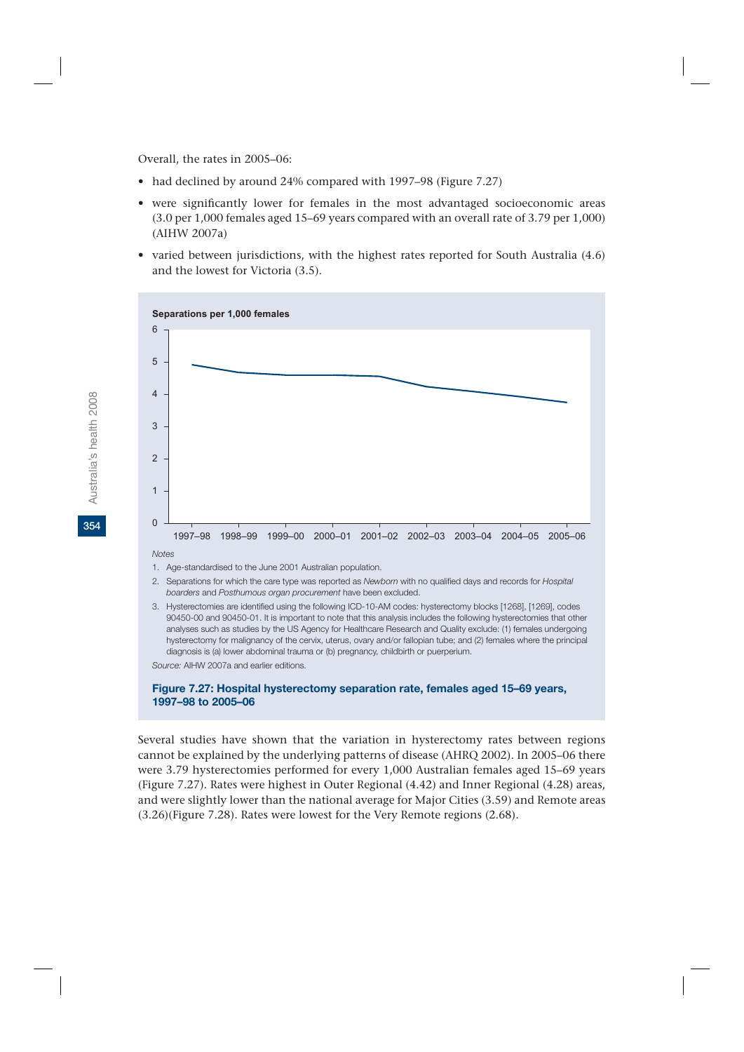Overall, the rates in 2005–06:

- had declined by around 24% compared with 1997–98 (Figure 7.27)
- were significantly lower for females in the most advantaged socioeconomic areas (3.0 per 1,000 females aged 15–69 years compared with an overall rate of 3.79 per 1,000) (AIHW 2007a)
- varied between jurisdictions, with the highest rates reported for South Australia (4.6) and the lowest for Victoria (3.5).



90450-00 and 90450-01. It is important to note that this analysis includes the following hysterectomies that other analyses such as studies by the US Agency for Healthcare Research and Quality exclude: (1) females undergoing hysterectomy for malignancy of the cervix, uterus, ovary and/or fallopian tube; and (2) females where the principal diagnosis is (a) lower abdominal trauma or (b) pregnancy, childbirth or puerperium.

*Source:* AIHW 2007a and earlier editions.

#### **Figure 7.27: Hospital hysterectomy separation rate, females aged 15–69 years, 1997–98 to 2005–06**

Several studies have shown that the variation in hysterectomy rates between regions cannot be explained by the underlying patterns of disease (AHRQ 2002). In 2005–06 there were 3.79 hysterectomies performed for every 1,000 Australian females aged 15–69 years (Figure 7.27). Rates were highest in Outer Regional (4.42) and Inner Regional (4.28) areas, and were slightly lower than the national average for Major Cities (3.59) and Remote areas (3.26)(Figure 7.28). Rates were lowest for the Very Remote regions (2.68).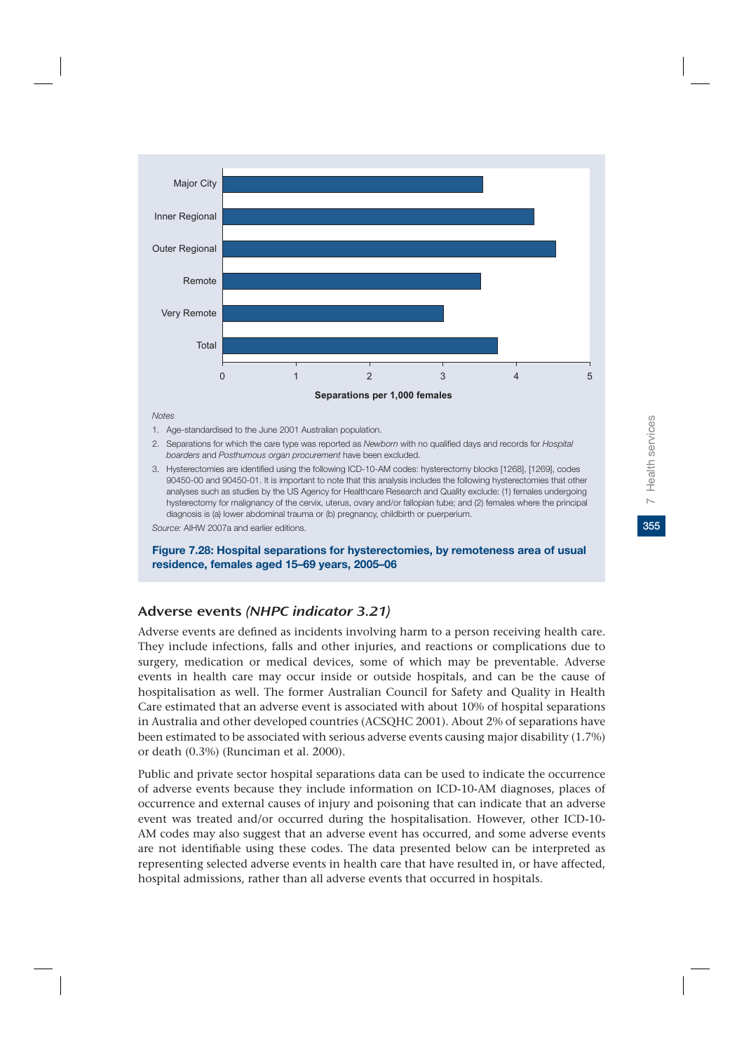

*Notes*

- 1. Age-standardised to the June 2001 Australian population.
- 2. Separations for which the care type was reported as *Newborn* with no qualified days and records for *Hospital boarders* and *Posthumous organ procurement* have been excluded.
- 3. Hysterectomies are identified using the following ICD-10-AM codes: hysterectomy blocks [1268], [1269], codes 90450-00 and 90450-01. It is important to note that this analysis includes the following hysterectomies that other analyses such as studies by the US Agency for Healthcare Research and Quality exclude: (1) females undergoing hysterectomy for malignancy of the cervix, uterus, ovary and/or fallopian tube; and (2) females where the principal diagnosis is (a) lower abdominal trauma or (b) pregnancy, childbirth or puerperium.

*Source:* AIHW 2007a and earlier editions.

**Figure 7.28: Hospital separations for hysterectomies, by remoteness area of usual residence, females aged 15–69 years, 2005–06**

### Adverse events (NHPC indicator 3.21)

Adverse events are defined as incidents involving harm to a person receiving health care. They include infections, falls and other injuries, and reactions or complications due to surgery, medication or medical devices, some of which may be preventable. Adverse events in health care may occur inside or outside hospitals, and can be the cause of hospitalisation as well. The former Australian Council for Safety and Quality in Health Care estimated that an adverse event is associated with about 10% of hospital separations in Australia and other developed countries (ACSQHC 2001). About 2% of separations have been estimated to be associated with serious adverse events causing major disability (1.7%) or death (0.3%) (Runciman et al. 2000).

Public and private sector hospital separations data can be used to indicate the occurrence of adverse events because they include information on ICD-10-AM diagnoses, places of occurrence and external causes of injury and poisoning that can indicate that an adverse event was treated and/or occurred during the hospitalisation. However, other ICD-10- AM codes may also suggest that an adverse event has occurred, and some adverse events are not identifiable using these codes. The data presented below can be interpreted as representing selected adverse events in health care that have resulted in, or have affected, hospital admissions, rather than all adverse events that occurred in hospitals.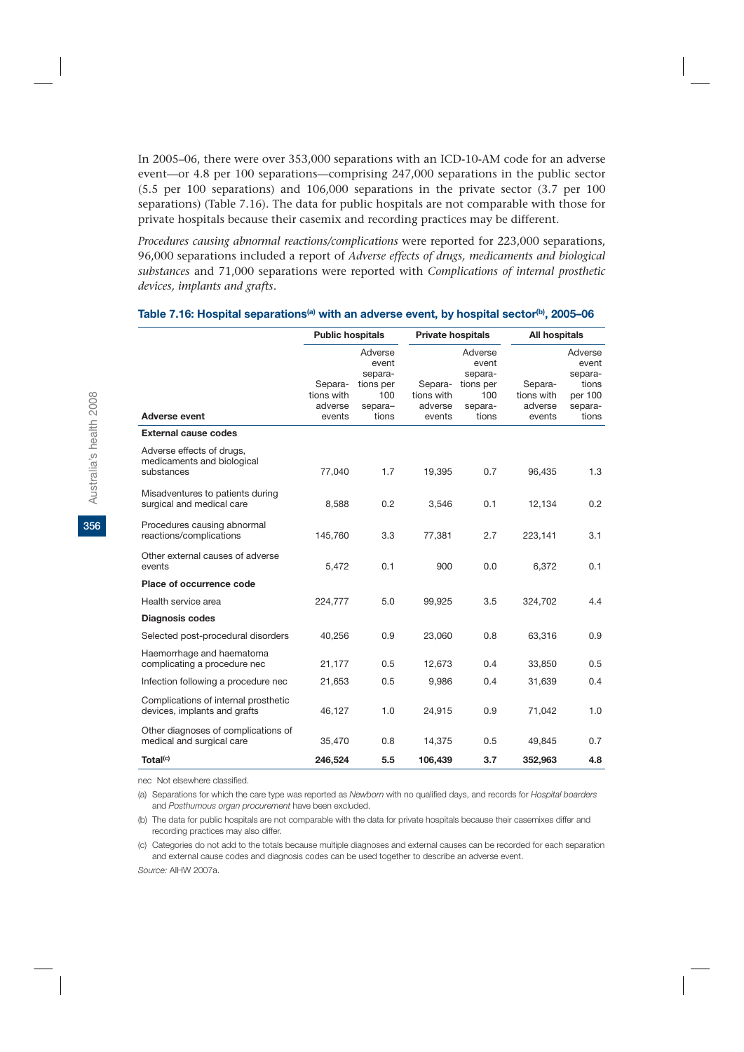In 2005–06, there were over 353,000 separations with an ICD-10-AM code for an adverse event—or 4.8 per 100 separations—comprising 247,000 separations in the public sector (5.5 per 100 separations) and 106,000 separations in the private sector (3.7 per 100 separations) (Table 7.16). The data for public hospitals are not comparable with those for private hospitals because their casemix and recording practices may be different.

*Procedures causing abnormal reactions/complications* were reported for 223,000 separations, 96,000 separations included a report of *Adverse effects of drugs, medicaments and biological substances* and 71,000 separations were reported with *Complications of internal prosthetic devices, implants and grafts*.

|                                                                       | <b>Public hospitals</b>                    |                                                                     | <b>Private hospitals</b>                   |                                                                     | All hospitals                              |                                                                     |  |
|-----------------------------------------------------------------------|--------------------------------------------|---------------------------------------------------------------------|--------------------------------------------|---------------------------------------------------------------------|--------------------------------------------|---------------------------------------------------------------------|--|
| <b>Adverse event</b>                                                  | Separa-<br>tions with<br>adverse<br>events | Adverse<br>event<br>separa-<br>tions per<br>100<br>separa-<br>tions | Separa-<br>tions with<br>adverse<br>events | Adverse<br>event<br>separa-<br>tions per<br>100<br>separa-<br>tions | Separa-<br>tions with<br>adverse<br>events | Adverse<br>event<br>separa-<br>tions<br>per 100<br>separa-<br>tions |  |
| <b>External cause codes</b>                                           |                                            |                                                                     |                                            |                                                                     |                                            |                                                                     |  |
| Adverse effects of drugs,<br>medicaments and biological<br>substances | 77,040                                     | 1.7                                                                 | 19,395                                     | 0.7                                                                 | 96,435                                     | 1.3                                                                 |  |
| Misadventures to patients during<br>surgical and medical care         | 8,588                                      | 0.2                                                                 | 3,546                                      | 0.1                                                                 | 12,134                                     | 0.2                                                                 |  |
| Procedures causing abnormal<br>reactions/complications                | 145,760                                    | 3.3                                                                 | 77,381                                     | 2.7                                                                 | 223,141                                    | 3.1                                                                 |  |
| Other external causes of adverse<br>events                            | 5,472                                      | 0.1                                                                 | 900                                        | 0.0                                                                 | 6,372                                      | 0.1                                                                 |  |
| Place of occurrence code                                              |                                            |                                                                     |                                            |                                                                     |                                            |                                                                     |  |
| Health service area                                                   | 224,777                                    | 5.0                                                                 | 99,925                                     | 3.5                                                                 | 324,702                                    | 4.4                                                                 |  |
| <b>Diagnosis codes</b>                                                |                                            |                                                                     |                                            |                                                                     |                                            |                                                                     |  |
| Selected post-procedural disorders                                    | 40,256                                     | 0.9                                                                 | 23,060                                     | 0.8                                                                 | 63,316                                     | 0.9                                                                 |  |
| Haemorrhage and haematoma<br>complicating a procedure nec             | 21,177                                     | 0.5                                                                 | 12,673                                     | 0.4                                                                 | 33,850                                     | 0.5                                                                 |  |
| Infection following a procedure nec                                   | 21,653                                     | 0.5                                                                 | 9,986                                      | 0.4                                                                 | 31,639                                     | 0.4                                                                 |  |
| Complications of internal prosthetic<br>devices, implants and grafts  | 46,127                                     | 1.0                                                                 | 24,915                                     | 0.9                                                                 | 71,042                                     | 1.0                                                                 |  |
| Other diagnoses of complications of<br>medical and surgical care      | 35,470                                     | 0.8                                                                 | 14,375                                     | 0.5                                                                 | 49,845                                     | 0.7                                                                 |  |
| Total <sup>(c)</sup>                                                  | 246,524                                    | 5.5                                                                 | 106,439                                    | 3.7                                                                 | 352,963                                    | 4.8                                                                 |  |

#### Table 7.16: Hospital separations<sup>(a)</sup> with an adverse event, by hospital sector<sup>(b)</sup>, 2005–06

nec Not elsewhere classified.

(a) Separations for which the care type was reported as *Newborn* with no qualified days, and records for *Hospital boarders* and *Posthumous organ procurement* have been excluded.

(b) The data for public hospitals are not comparable with the data for private hospitals because their casemixes differ and recording practices may also differ.

(c) Categories do not add to the totals because multiple diagnoses and external causes can be recorded for each separation and external cause codes and diagnosis codes can be used together to describe an adverse event.

*Source:* AIHW 2007a.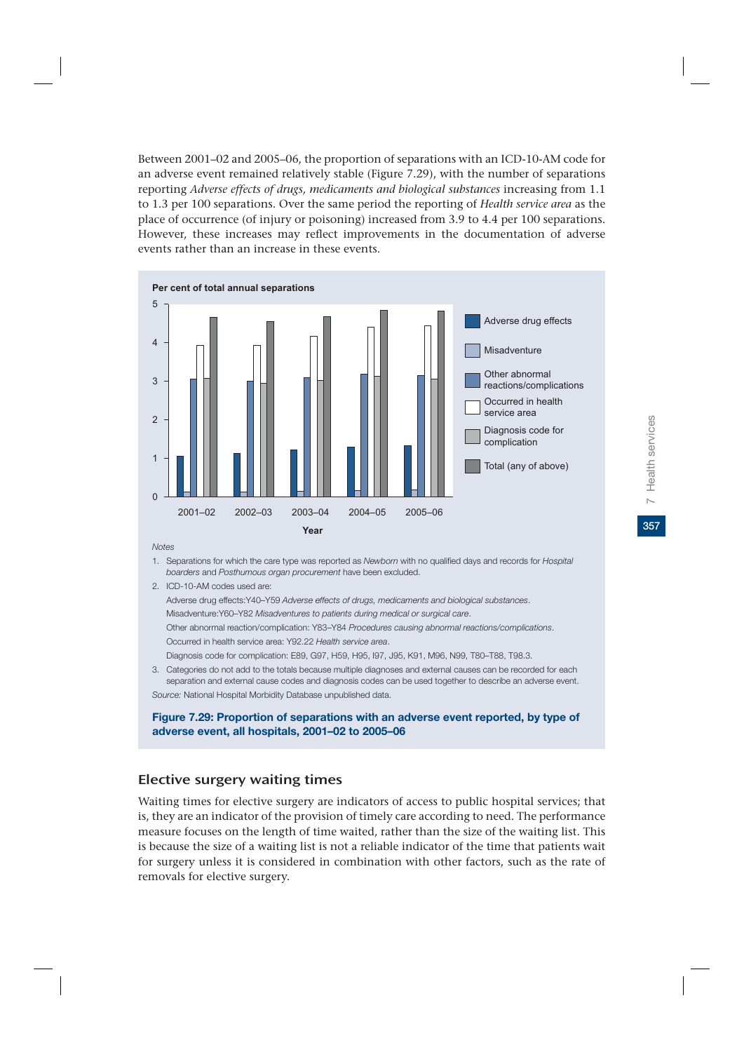Between 2001–02 and 2005–06, the proportion of separations with an ICD-10-AM code for an adverse event remained relatively stable (Figure 7.29), with the number of separations reporting *Adverse effects of drugs, medicaments and biological substances* increasing from 1.1 to 1.3 per 100 separations. Over the same period the reporting of *Health service area* as the place of occurrence (of injury or poisoning) increased from 3.9 to 4.4 per 100 separations. However, these increases may reflect improvements in the documentation of adverse events rather than an increase in these events.



*Notes*

- 1. Separations for which the care type was reported as *Newborn* with no qualified days and records for *Hospital boarders* and *Posthumous organ procurement* have been excluded.
- 2. ICD-10-AM codes used are:

Adverse drug effects:Y40–Y59 *Adverse effects of drugs, medicaments and biological substances*.

Misadventure:Y60–Y82 *Misadventures to patients during medical or surgical care*.

 Other abnormal reaction/complication: Y83–Y84 *Procedures causing abnormal reactions/complications*. Occurred in health service area: Y92.22 *Health service area*.

Diagnosis code for complication: E89, G97, H59, H95, I97, J95, K91, M96, N99, T80–T88, T98.3.

3. Categories do not add to the totals because multiple diagnoses and external causes can be recorded for each separation and external cause codes and diagnosis codes can be used together to describe an adverse event. *Source:* National Hospital Morbidity Database unpublished data.

**Figure 7.29: Proportion of separations with an adverse event reported, by type of adverse event, all hospitals, 2001–02 to 2005–06**

### Elective surgery waiting times

Waiting times for elective surgery are indicators of access to public hospital services; that is, they are an indicator of the provision of timely care according to need. The performance measure focuses on the length of time waited, rather than the size of the waiting list. This is because the size of a waiting list is not a reliable indicator of the time that patients wait for surgery unless it is considered in combination with other factors, such as the rate of removals for elective surgery.

357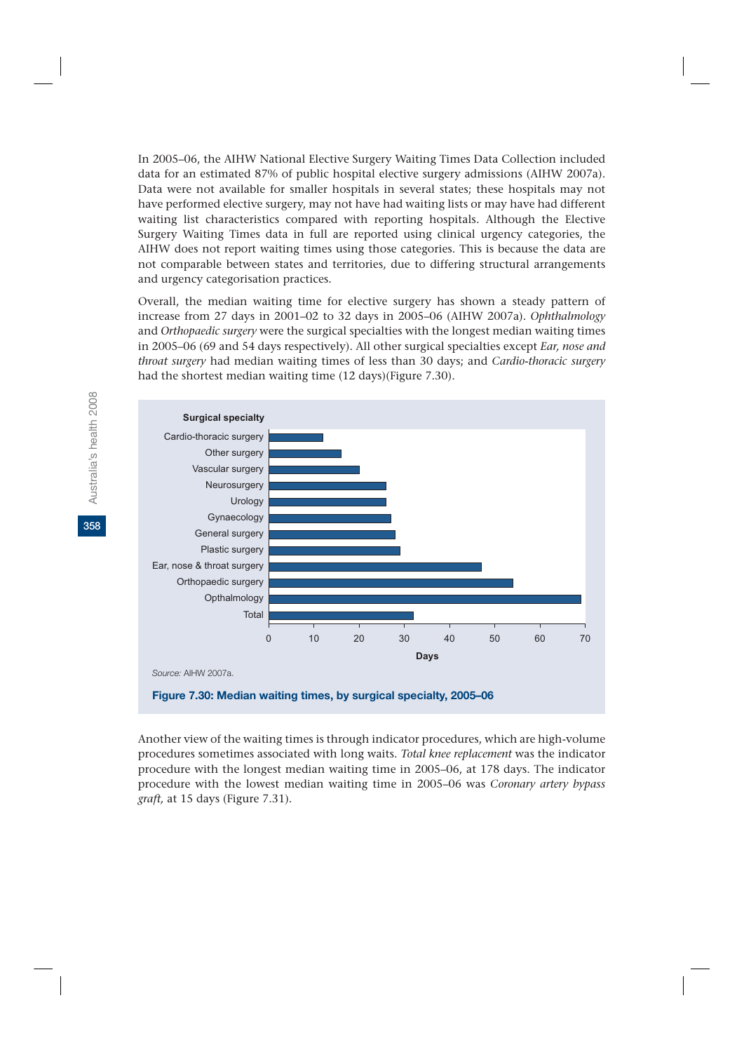In 2005–06, the AIHW National Elective Surgery Waiting Times Data Collection included data for an estimated 87% of public hospital elective surgery admissions (AIHW 2007a). Data were not available for smaller hospitals in several states; these hospitals may not have performed elective surgery, may not have had waiting lists or may have had different waiting list characteristics compared with reporting hospitals. Although the Elective Surgery Waiting Times data in full are reported using clinical urgency categories, the AIHW does not report waiting times using those categories. This is because the data are not comparable between states and territories, due to differing structural arrangements and urgency categorisation practices.

Overall, the median waiting time for elective surgery has shown a steady pattern of increase from 27 days in 2001–02 to 32 days in 2005–06 (AIHW 2007a). *Ophthalmology* and *Orthopaedic surgery* were the surgical specialties with the longest median waiting times in 2005–06 (69 and 54 days respectively). All other surgical specialties except *Ear, nose and throat surgery* had median waiting times of less than 30 days; and *Cardio-thoracic surgery* had the shortest median waiting time (12 days)(Figure 7.30).



Another view of the waiting times is through indicator procedures, which are high-volume procedures sometimes associated with long waits. *Total knee replacement* was the indicator procedure with the longest median waiting time in 2005–06, at 178 days. The indicator procedure with the lowest median waiting time in 2005–06 was *Coronary artery bypass graft,* at 15 days (Figure 7.31).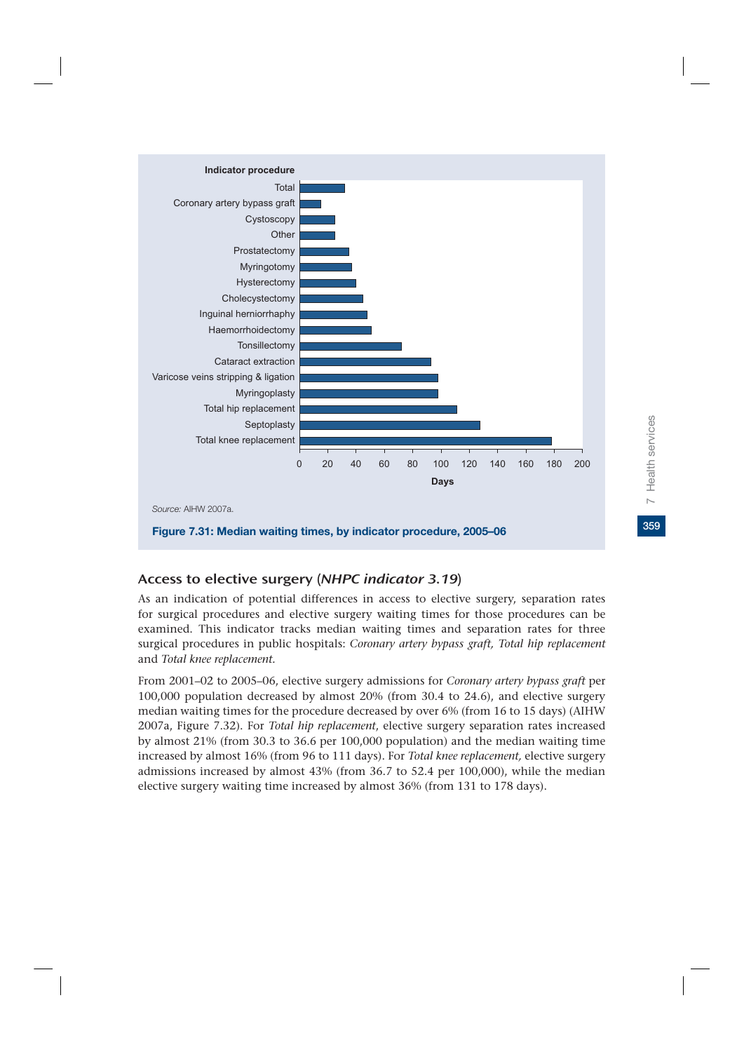

# Access to elective surgery (NHPC indicator 3.19)

As an indication of potential differences in access to elective surgery, separation rates for surgical procedures and elective surgery waiting times for those procedures can be examined. This indicator tracks median waiting times and separation rates for three surgical procedures in public hospitals: *Coronary artery bypass graft, Total hip replacement*  and *Total knee replacement.*

From 2001–02 to 2005–06, elective surgery admissions for *Coronary artery bypass graft* per 100,000 population decreased by almost 20% (from 30.4 to 24.6), and elective surgery median waiting times for the procedure decreased by over 6% (from 16 to 15 days) (AIHW 2007a, Figure 7.32). For *Total hip replacement*, elective surgery separation rates increased by almost 21% (from 30.3 to 36.6 per 100,000 population) and the median waiting time increased by almost 16% (from 96 to 111 days). For *Total knee replacement,* elective surgery admissions increased by almost 43% (from 36.7 to 52.4 per 100,000), while the median elective surgery waiting time increased by almost 36% (from 131 to 178 days).

359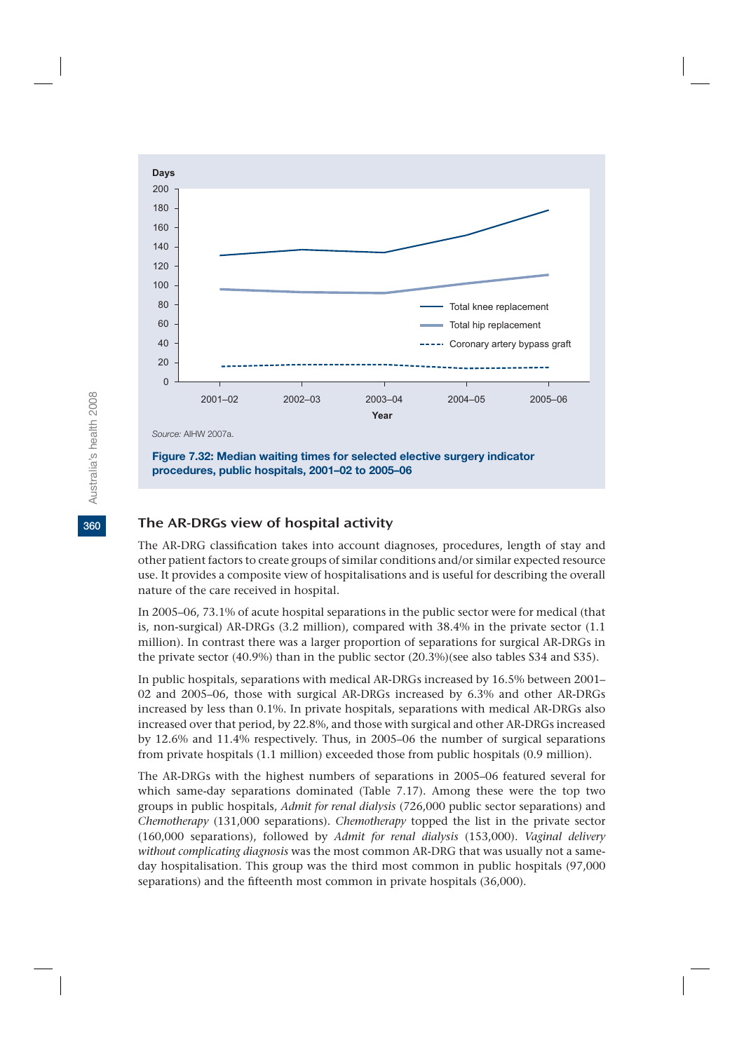

**Figure 7.32: Median waiting times for selected elective surgery indicator procedures, public hospitals, 2001–02 to 2005–06**

### The AR-DRGs view of hospital activity

The AR-DRG classification takes into account diagnoses, procedures, length of stay and other patient factors to create groups of similar conditions and/or similar expected resource use. It provides a composite view of hospitalisations and is useful for describing the overall nature of the care received in hospital.

In 2005–06, 73.1% of acute hospital separations in the public sector were for medical (that is, non-surgical) AR-DRGs (3.2 million), compared with 38.4% in the private sector (1.1 million). In contrast there was a larger proportion of separations for surgical AR-DRGs in the private sector (40.9%) than in the public sector (20.3%)(see also tables S34 and S35).

In public hospitals, separations with medical AR-DRGs increased by 16.5% between 2001– 02 and 2005–06, those with surgical AR-DRGs increased by 6.3% and other AR-DRGs increased by less than 0.1%. In private hospitals, separations with medical AR-DRGs also increased over that period, by 22.8%, and those with surgical and other AR-DRGs increased by 12.6% and 11.4% respectively. Thus, in 2005–06 the number of surgical separations from private hospitals (1.1 million) exceeded those from public hospitals (0.9 million).

The AR-DRGs with the highest numbers of separations in 2005–06 featured several for which same-day separations dominated (Table 7.17). Among these were the top two groups in public hospitals, *Admit for renal dialysis* (726,000 public sector separations) and *Chemotherapy* (131,000 separations). *Chemotherapy* topped the list in the private sector (160,000 separations), followed by *Admit for renal dialysis* (153,000). *Vaginal delivery without complicating diagnosis* was the most common AR-DRG that was usually not a sameday hospitalisation. This group was the third most common in public hospitals (97,000 separations) and the fifteenth most common in private hospitals (36,000).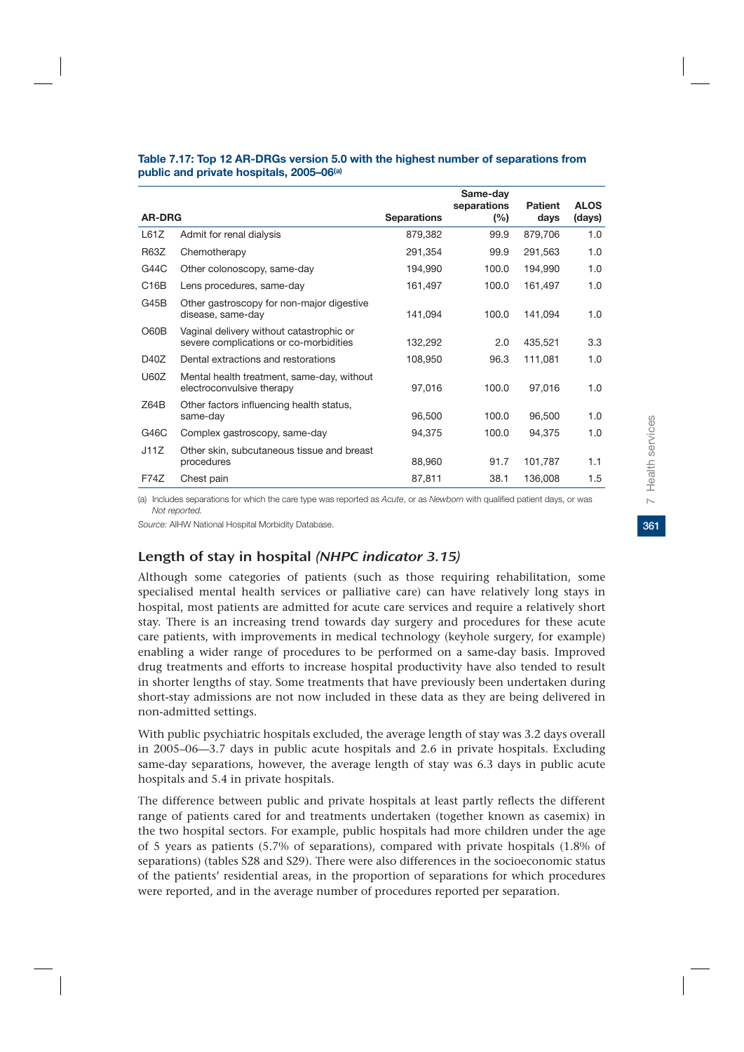|                   |                                                                                    |                    | Same-day<br>separations | <b>Patient</b> | <b>ALOS</b> |
|-------------------|------------------------------------------------------------------------------------|--------------------|-------------------------|----------------|-------------|
| <b>AR-DRG</b>     |                                                                                    | <b>Separations</b> | (%)                     | days           | (days)      |
| L61Z              | Admit for renal dialysis                                                           | 879,382            | 99.9                    | 879,706        | 1.0         |
| <b>R63Z</b>       | Chemotherapy                                                                       | 291,354            | 99.9                    | 291,563        | 1.0         |
| G44C              | Other colonoscopy, same-day                                                        | 194,990            | 100.0                   | 194,990        | 1.0         |
| C <sub>16</sub> B | Lens procedures, same-day                                                          | 161,497            | 100.0                   | 161,497        | 1.0         |
| G45B              | Other gastroscopy for non-major digestive<br>disease, same-day                     | 141,094            | 100.0                   | 141,094        | 1.0         |
| O60B              | Vaginal delivery without catastrophic or<br>severe complications or co-morbidities | 132,292            | 2.0                     | 435,521        | 3.3         |
| D <sub>4</sub> 0Z | Dental extractions and restorations                                                | 108,950            | 96.3                    | 111,081        | 1.0         |
| U60Z              | Mental health treatment, same-day, without<br>electroconvulsive therapy            | 97,016             | 100.0                   | 97,016         | 1.0         |
| Z64B              | Other factors influencing health status,<br>same-day                               | 96,500             | 100.0                   | 96,500         | 1.0         |
| G46C              | Complex gastroscopy, same-day                                                      | 94,375             | 100.0                   | 94,375         | 1.0         |
| J11Z              | Other skin, subcutaneous tissue and breast<br>procedures                           | 88,960             | 91.7                    | 101,787        | 1.1         |
| <b>F74Z</b>       | Chest pain                                                                         | 87,811             | 38.1                    | 136,008        | 1.5         |

### **Table 7.17: Top 12 AR-DRGs version 5.0 with the highest number of separations from public and private hospitals, 2005–06(a)**

(a) Includes separations for which the care type was reported as *Acute*, or as *Newborn* with qualified patient days, or was *Not reported.*

*Source:* AIHW National Hospital Morbidity Database.

# Length of stay in hospital (NHPC indicator 3.15)

Although some categories of patients (such as those requiring rehabilitation, some specialised mental health services or palliative care) can have relatively long stays in hospital, most patients are admitted for acute care services and require a relatively short stay. There is an increasing trend towards day surgery and procedures for these acute care patients, with improvements in medical technology (keyhole surgery, for example) enabling a wider range of procedures to be performed on a same-day basis. Improved drug treatments and efforts to increase hospital productivity have also tended to result in shorter lengths of stay. Some treatments that have previously been undertaken during short-stay admissions are not now included in these data as they are being delivered in non-admitted settings.

With public psychiatric hospitals excluded, the average length of stay was 3.2 days overall in 2005–06—3.7 days in public acute hospitals and 2.6 in private hospitals. Excluding same-day separations, however, the average length of stay was 6.3 days in public acute hospitals and 5.4 in private hospitals.

The difference between public and private hospitals at least partly reflects the different range of patients cared for and treatments undertaken (together known as casemix) in the two hospital sectors. For example, public hospitals had more children under the age of 5 years as patients (5.7% of separations), compared with private hospitals (1.8% of separations) (tables S28 and S29). There were also differences in the socioeconomic status of the patients' residential areas, in the proportion of separations for which procedures were reported, and in the average number of procedures reported per separation.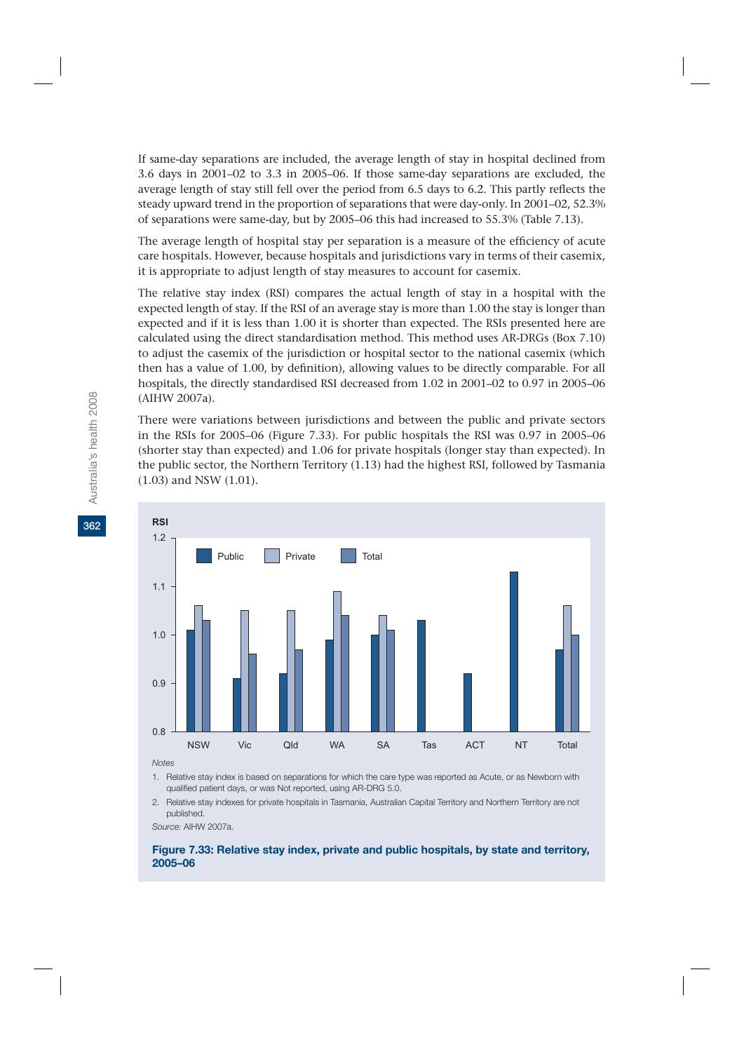If same-day separations are included, the average length of stay in hospital declined from 3.6 days in 2001–02 to 3.3 in 2005–06. If those same-day separations are excluded, the average length of stay still fell over the period from 6.5 days to 6.2. This partly reflects the steady upward trend in the proportion of separations that were day-only. In 2001–02, 52.3% of separations were same-day, but by 2005–06 this had increased to 55.3% (Table 7.13).

The average length of hospital stay per separation is a measure of the efficiency of acute care hospitals. However, because hospitals and jurisdictions vary in terms of their casemix, it is appropriate to adjust length of stay measures to account for casemix.

The relative stay index (RSI) compares the actual length of stay in a hospital with the expected length of stay. If the RSI of an average stay is more than 1.00 the stay is longer than expected and if it is less than 1.00 it is shorter than expected. The RSIs presented here are calculated using the direct standardisation method. This method uses AR-DRGs (Box 7.10) to adjust the casemix of the jurisdiction or hospital sector to the national casemix (which then has a value of 1.00, by definition), allowing values to be directly comparable. For all hospitals, the directly standardised RSI decreased from 1.02 in 2001–02 to 0.97 in 2005–06 (AIHW 2007a).

There were variations between jurisdictions and between the public and private sectors in the RSIs for 2005–06 (Figure 7.33). For public hospitals the RSI was 0.97 in 2005–06 (shorter stay than expected) and 1.06 for private hospitals (longer stay than expected). In the public sector, the Northern Territory (1.13) had the highest RSI, followed by Tasmania (1.03) and NSW (1.01).



*Notes*

1. Relative stay index is based on separations for which the care type was reported as Acute, or as Newborn with qualified patient days, or was Not reported, using AR-DRG 5.0.

2. Relative stay indexes for private hospitals in Tasmania, Australian Capital Territory and Northern Territory are not published.

*Source:* AIHW 2007a.

**Figure 7.33: Relative stay index, private and public hospitals, by state and territory, 2005–06**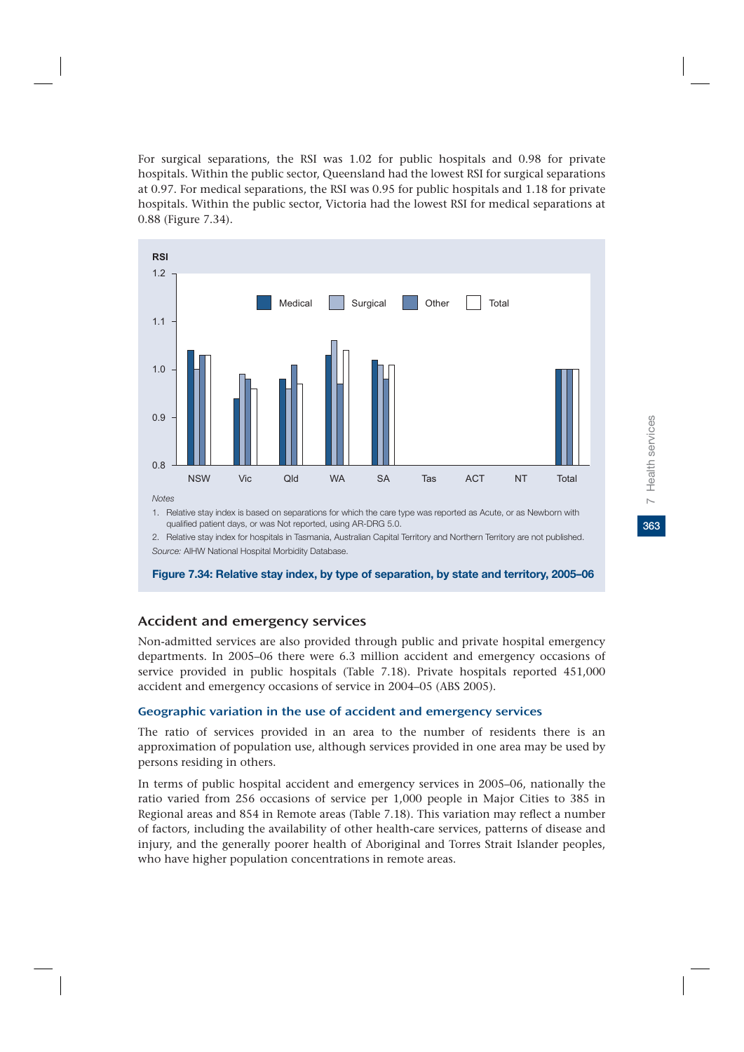Health services **363**7 Health services  $\overline{C}$ 

For surgical separations, the RSI was 1.02 for public hospitals and 0.98 for private hospitals. Within the public sector, Queensland had the lowest RSI for surgical separations at 0.97. For medical separations, the RSI was 0.95 for public hospitals and 1.18 for private hospitals. Within the public sector, Victoria had the lowest RSI for medical separations at 0.88 (Figure 7.34).



1. Relative stay index is based on separations for which the care type was reported as Acute, or as Newborn with qualified patient days, or was Not reported, using AR-DRG 5.0.

2. Relative stay index for hospitals in Tasmania, Australian Capital Territory and Northern Territory are not published. *Source:* AIHW National Hospital Morbidity Database.

**Figure 7.34: Relative stay index, by type of separation, by state and territory, 2005–06**

### Accident and emergency services

Non-admitted services are also provided through public and private hospital emergency departments. In 2005–06 there were 6.3 million accident and emergency occasions of service provided in public hospitals (Table 7.18). Private hospitals reported 451,000 accident and emergency occasions of service in 2004–05 (ABS 2005).

### Geographic variation in the use of accident and emergency services

The ratio of services provided in an area to the number of residents there is an approximation of population use, although services provided in one area may be used by persons residing in others.

In terms of public hospital accident and emergency services in 2005–06, nationally the ratio varied from 256 occasions of service per 1,000 people in Major Cities to 385 in Regional areas and 854 in Remote areas (Table 7.18). This variation may reflect a number of factors, including the availability of other health-care services, patterns of disease and injury, and the generally poorer health of Aboriginal and Torres Strait Islander peoples, who have higher population concentrations in remote areas.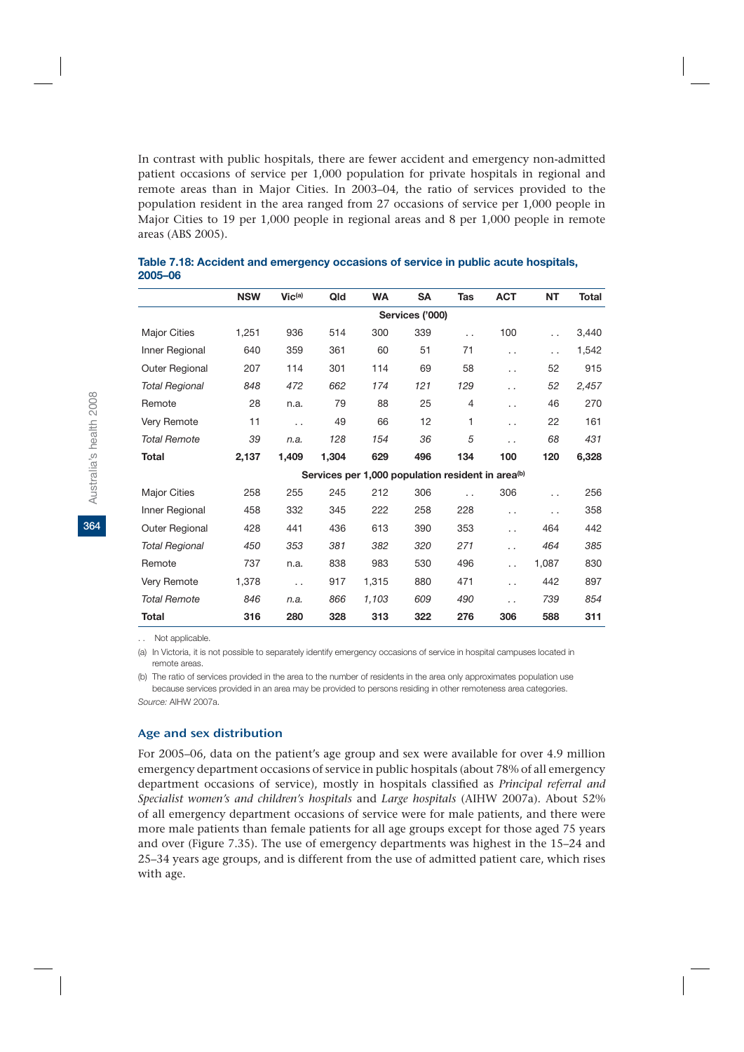In contrast with public hospitals, there are fewer accident and emergency non-admitted patient occasions of service per 1,000 population for private hospitals in regional and remote areas than in Major Cities. In 2003–04, the ratio of services provided to the population resident in the area ranged from 27 occasions of service per 1,000 people in Major Cities to 19 per 1,000 people in regional areas and 8 per 1,000 people in remote areas (ABS 2005).

|                       | <b>NSW</b> | Vic <sup>(a)</sup>   | Qld   | <b>WA</b> | <b>SA</b>       | Tas                  | <b>ACT</b>                                                    | <b>NT</b>            | <b>Total</b> |
|-----------------------|------------|----------------------|-------|-----------|-----------------|----------------------|---------------------------------------------------------------|----------------------|--------------|
|                       |            |                      |       |           | Services ('000) |                      |                                                               |                      |              |
| <b>Major Cities</b>   | 1,251      | 936                  | 514   | 300       | 339             | $\ddot{\phantom{0}}$ | 100                                                           | $\ddot{\phantom{0}}$ | 3,440        |
| Inner Regional        | 640        | 359                  | 361   | 60        | 51              | 71                   | . .                                                           | $\ddot{\phantom{0}}$ | 1,542        |
| Outer Regional        | 207        | 114                  | 301   | 114       | 69              | 58                   | . .                                                           | 52                   | 915          |
| <b>Total Regional</b> | 848        | 472                  | 662   | 174       | 121             | 129                  | $\cdot$ $\cdot$                                               | 52                   | 2,457        |
| Remote                | 28         | n.a.                 | 79    | 88        | 25              | $\overline{4}$       | . .                                                           | 46                   | 270          |
| Very Remote           | 11         | $\ddot{\phantom{0}}$ | 49    | 66        | 12              | 1                    | . .                                                           | 22                   | 161          |
| <b>Total Remote</b>   | 39         | n.a.                 | 128   | 154       | 36              | 5                    | . .                                                           | 68                   | 431          |
| Total                 | 2,137      | 1,409                | 1,304 | 629       | 496             | 134                  | 100                                                           | 120                  | 6,328        |
|                       |            |                      |       |           |                 |                      | Services per 1,000 population resident in area <sup>(b)</sup> |                      |              |
| <b>Major Cities</b>   | 258        | 255                  | 245   | 212       | 306             | $\ddot{\phantom{0}}$ | 306                                                           | $\ddot{\phantom{0}}$ | 256          |
| Inner Regional        | 458        | 332                  | 345   | 222       | 258             | 228                  | $\ddot{\phantom{0}}$                                          | $\ddot{\phantom{0}}$ | 358          |
| Outer Regional        | 428        | 441                  | 436   | 613       | 390             | 353                  | $\ddot{\phantom{0}}$                                          | 464                  | 442          |
| <b>Total Regional</b> | 450        | 353                  | 381   | 382       | 320             | 271                  | $\cdot$ $\cdot$                                               | 464                  | 385          |
| Remote                | 737        | n.a.                 | 838   | 983       | 530             | 496                  | $\ddot{\phantom{0}}$                                          | 1.087                | 830          |
| Very Remote           | 1,378      | $\ddot{\phantom{0}}$ | 917   | 1,315     | 880             | 471                  | . .                                                           | 442                  | 897          |
| <b>Total Remote</b>   | 846        | n.a.                 | 866   | 1,103     | 609             | 490                  | $\cdot$ $\cdot$                                               | 739                  | 854          |
| Total                 | 316        | 280                  | 328   | 313       | 322             | 276                  | 306                                                           | 588                  | 311          |

**Table 7.18: Accident and emergency occasions of service in public acute hospitals, 2005–06**

. . Not applicable.

(a) In Victoria, it is not possible to separately identify emergency occasions of service in hospital campuses located in remote areas.

(b) The ratio of services provided in the area to the number of residents in the area only approximates population use because services provided in an area may be provided to persons residing in other remoteness area categories. *Source:* AIHW 2007a.

### Age and sex distribution

For 2005–06, data on the patient's age group and sex were available for over 4.9 million emergency department occasions of service in public hospitals (about 78% of all emergency department occasions of service), mostly in hospitals classified as *Principal referral and Specialist women's and children's hospitals* and *Large hospitals* (AIHW 2007a). About 52% of all emergency department occasions of service were for male patients, and there were more male patients than female patients for all age groups except for those aged 75 years and over (Figure 7.35). The use of emergency departments was highest in the 15–24 and 25–34 years age groups, and is different from the use of admitted patient care, which rises with age.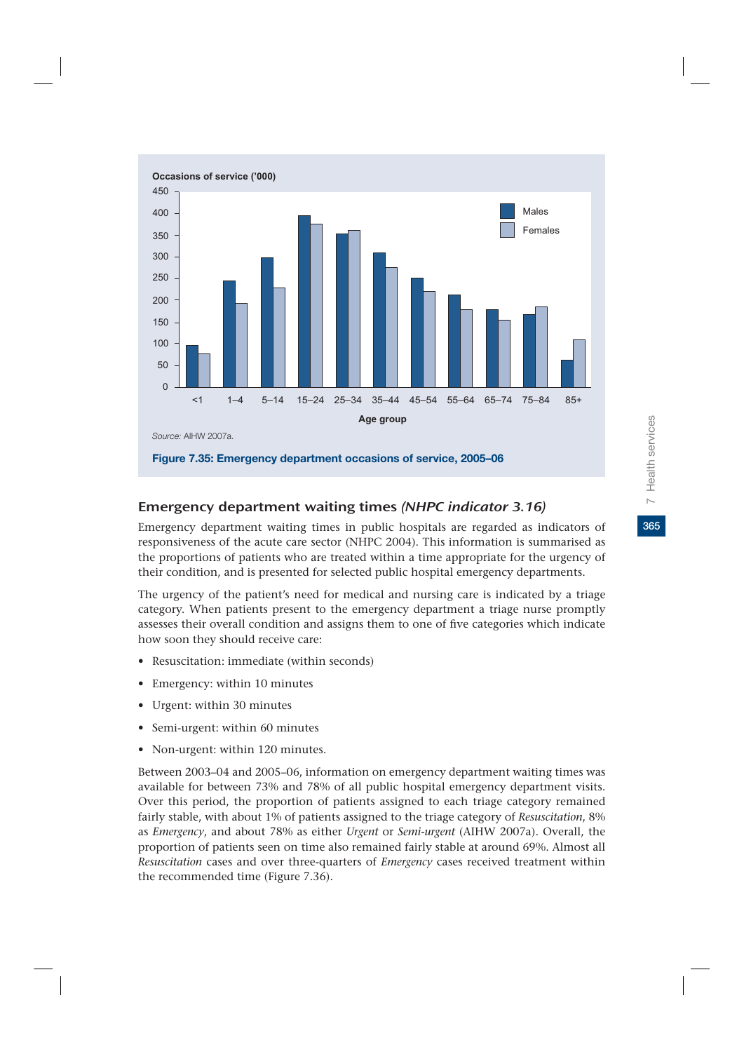

# Emergency department waiting times (NHPC indicator 3.16)

Emergency department waiting times in public hospitals are regarded as indicators of responsiveness of the acute care sector (NHPC 2004). This information is summarised as the proportions of patients who are treated within a time appropriate for the urgency of their condition, and is presented for selected public hospital emergency departments.

The urgency of the patient's need for medical and nursing care is indicated by a triage category. When patients present to the emergency department a triage nurse promptly assesses their overall condition and assigns them to one of five categories which indicate how soon they should receive care:

- Resuscitation: immediate (within seconds)
- Emergency: within 10 minutes
- Urgent: within 30 minutes
- Semi-urgent: within 60 minutes
- Non-urgent: within 120 minutes.

Between 2003–04 and 2005–06, information on emergency department waiting times was available for between 73% and 78% of all public hospital emergency department visits. Over this period, the proportion of patients assigned to each triage category remained fairly stable, with about 1% of patients assigned to the triage category of *Resuscitation*, 8% as *Emergency*, and about 78% as either *Urgent* or *Semi-urgent* (AIHW 2007a). Overall, the proportion of patients seen on time also remained fairly stable at around 69%. Almost all *Resuscitation* cases and over three-quarters of *Emergency* cases received treatment within the recommended time (Figure 7.36).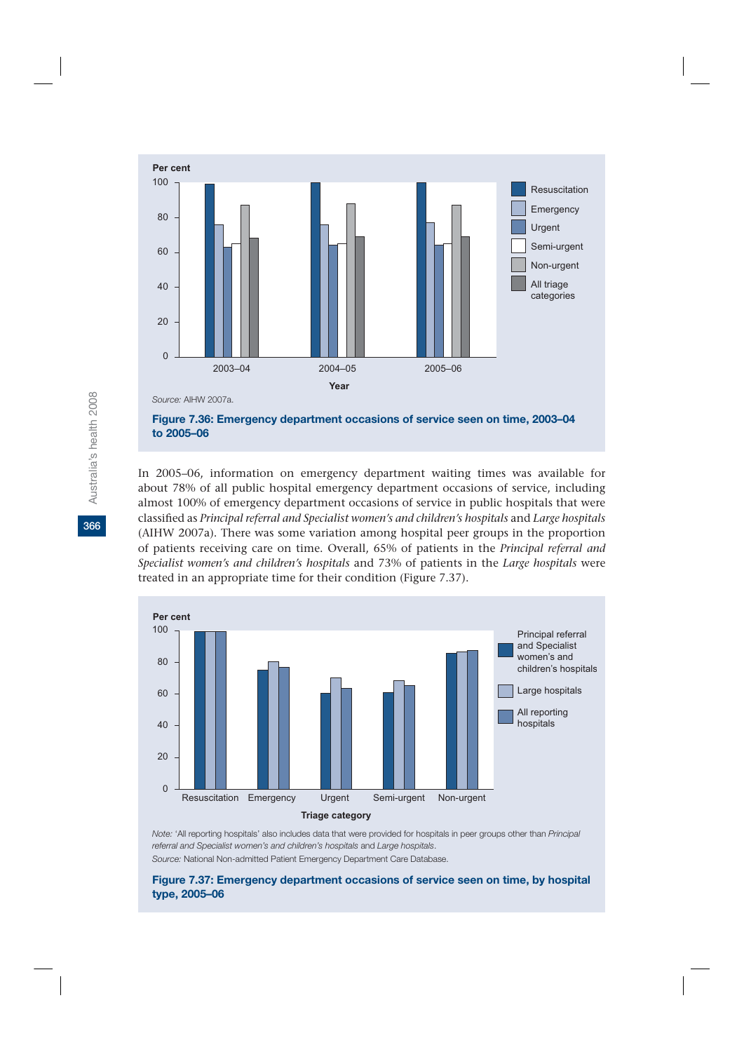

In 2005–06, information on emergency department waiting times was available for about 78% of all public hospital emergency department occasions of service, including almost 100% of emergency department occasions of service in public hospitals that were classified as *Principal referral and Specialist women's and children's hospitals* and *Large hospitals* (AIHW 2007a). There was some variation among hospital peer groups in the proportion of patients receiving care on time. Overall, 65% of patients in the *Principal referral and Specialist women's and children's hospitals* and 73% of patients in the *Large hospitals* were treated in an appropriate time for their condition (Figure 7.37).



*Note:* 'All reporting hospitals' also includes data that were provided for hospitals in peer groups other than *Principal referral and Specialist women's and children's hospitals* and *Large hospitals*.

*Source:* National Non-admitted Patient Emergency Department Care Database.

### **Figure 7.37: Emergency department occasions of service seen on time, by hospital type, 2005–06**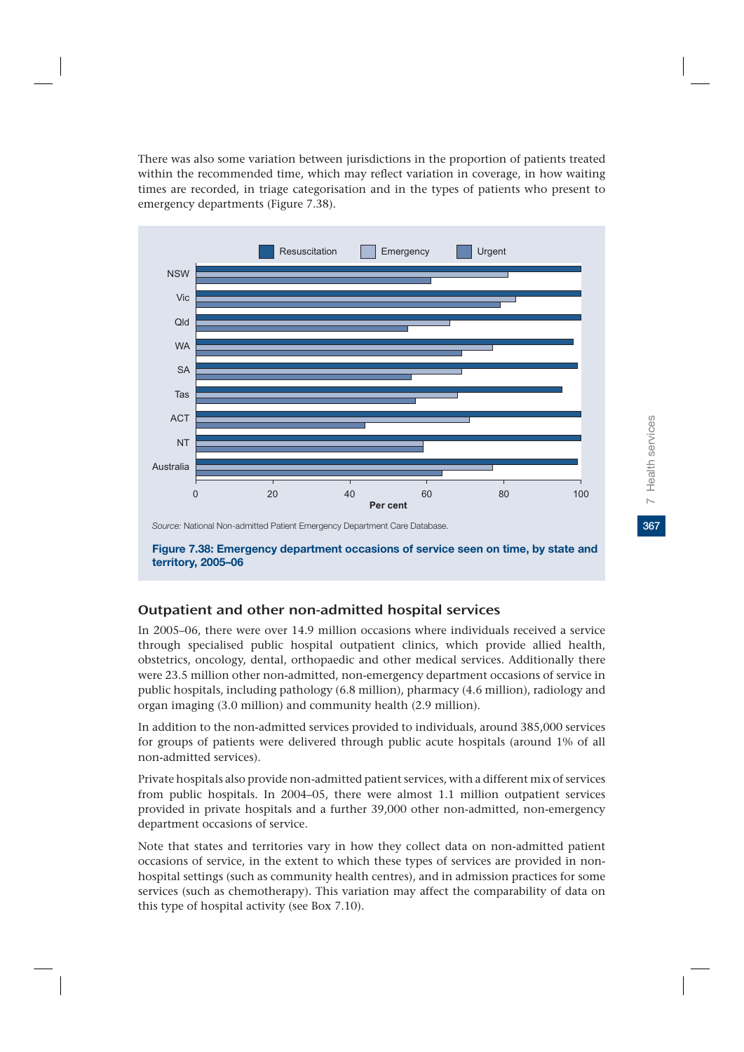There was also some variation between jurisdictions in the proportion of patients treated within the recommended time, which may reflect variation in coverage, in how waiting times are recorded, in triage categorisation and in the types of patients who present to emergency departments (Figure 7.38).



**Figure 7.38: Emergency department occasions of service seen on time, by state and territory, 2005–06**

# Outpatient and other non-admitted hospital services

In 2005–06, there were over 14.9 million occasions where individuals received a service through specialised public hospital outpatient clinics, which provide allied health, obstetrics, oncology, dental, orthopaedic and other medical services. Additionally there were 23.5 million other non-admitted, non-emergency department occasions of service in public hospitals, including pathology (6.8 million), pharmacy (4.6 million), radiology and organ imaging (3.0 million) and community health (2.9 million).

In addition to the non-admitted services provided to individuals, around 385,000 services for groups of patients were delivered through public acute hospitals (around 1% of all non-admitted services).

Private hospitals also provide non-admitted patient services, with a different mix of services from public hospitals. In 2004–05, there were almost 1.1 million outpatient services provided in private hospitals and a further 39,000 other non-admitted, non-emergency department occasions of service.

Note that states and territories vary in how they collect data on non-admitted patient occasions of service, in the extent to which these types of services are provided in nonhospital settings (such as community health centres), and in admission practices for some services (such as chemotherapy). This variation may affect the comparability of data on this type of hospital activity (see Box 7.10).

367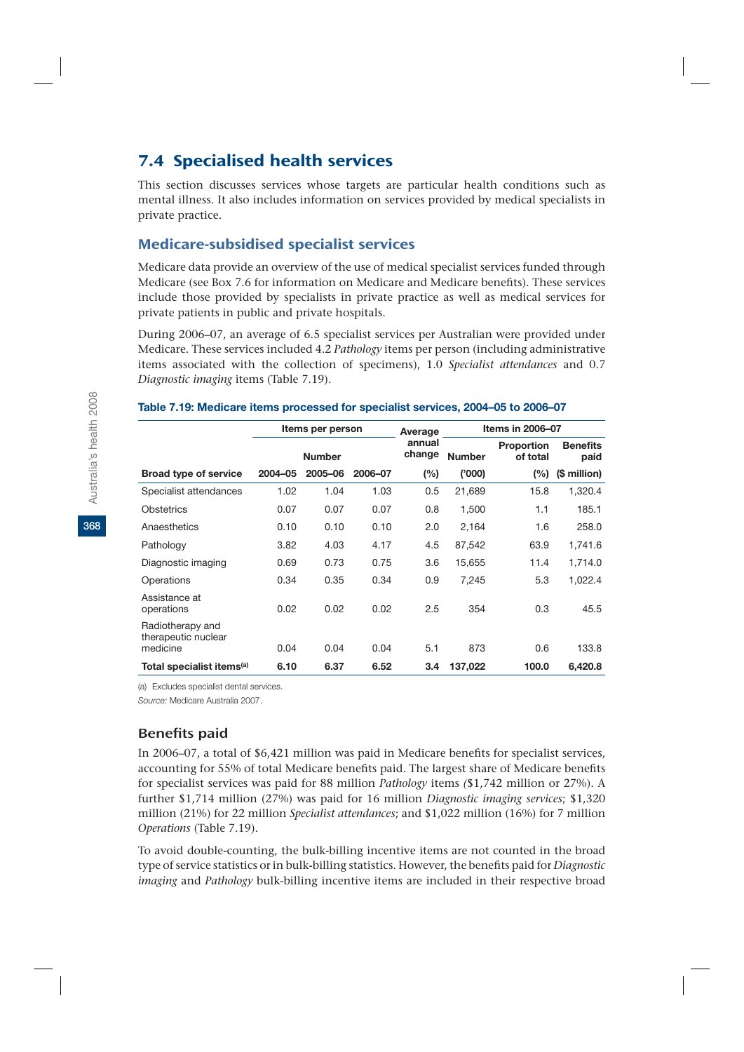# 7.4 Specialised health services

This section discusses services whose targets are particular health conditions such as mental illness. It also includes information on services provided by medical specialists in private practice.

# Medicare-subsidised specialist services

Medicare data provide an overview of the use of medical specialist services funded through Medicare (see Box 7.6 for information on Medicare and Medicare benefits). These services include those provided by specialists in private practice as well as medical services for private patients in public and private hospitals.

During 2006–07, an average of 6.5 specialist services per Australian were provided under Medicare. These services included 4.2 *Pathology* items per person (including administrative items associated with the collection of specimens), 1.0 *Specialist attendances* and 0.7 *Diagnostic imaging* items (Table 7.19).

### **Table 7.19: Medicare items processed for specialist services, 2004–05 to 2006–07**

|                                                     | Items per person |               |         | Average          |               | Items in 2006-07       |                         |  |  |
|-----------------------------------------------------|------------------|---------------|---------|------------------|---------------|------------------------|-------------------------|--|--|
|                                                     |                  | <b>Number</b> |         | annual<br>change | <b>Number</b> | Proportion<br>of total | <b>Benefits</b><br>paid |  |  |
| <b>Broad type of service</b>                        | 2004-05          | 2005-06       | 2006-07 | (%)              | (000)         | (%)                    | (\$ million)            |  |  |
| Specialist attendances                              | 1.02             | 1.04          | 1.03    | 0.5              | 21,689        | 15.8                   | 1,320.4                 |  |  |
| Obstetrics                                          | 0.07             | 0.07          | 0.07    | 0.8              | 1,500         | 1.1                    | 185.1                   |  |  |
| Anaesthetics                                        | 0.10             | 0.10          | 0.10    | 2.0              | 2,164         | 1.6                    | 258.0                   |  |  |
| Pathology                                           | 3.82             | 4.03          | 4.17    | 4.5              | 87,542        | 63.9                   | 1,741.6                 |  |  |
| Diagnostic imaging                                  | 0.69             | 0.73          | 0.75    | 3.6              | 15,655        | 11.4                   | 1,714.0                 |  |  |
| Operations                                          | 0.34             | 0.35          | 0.34    | 0.9              | 7,245         | 5.3                    | 1,022.4                 |  |  |
| Assistance at<br>operations                         | 0.02             | 0.02          | 0.02    | 2.5              | 354           | 0.3                    | 45.5                    |  |  |
| Radiotherapy and<br>therapeutic nuclear<br>medicine | 0.04             | 0.04          | 0.04    | 5.1              | 873           | 0.6                    | 133.8                   |  |  |
| Total specialist items <sup>(a)</sup>               | 6.10             | 6.37          | 6.52    | 3.4              | 137.022       | 100.0                  | 6.420.8                 |  |  |

(a) Excludes specialist dental services.

*Source:* Medicare Australia 2007.

# Benefits paid

In 2006–07, a total of \$6,421 million was paid in Medicare benefits for specialist services, accounting for 55% of total Medicare benefits paid. The largest share of Medicare benefits for specialist services was paid for 88 million *Pathology* items *(*\$1,742 million or 27%). A further \$1,714 million (27%) was paid for 16 million *Diagnostic imaging services*; \$1,320 million (21%) for 22 million *Specialist attendances*; and \$1,022 million (16%) for 7 million *Operations* (Table 7.19).

To avoid double-counting, the bulk-billing incentive items are not counted in the broad type of service statistics or in bulk-billing statistics. However, the benefits paid for *Diagnostic imaging* and *Pathology* bulk-billing incentive items are included in their respective broad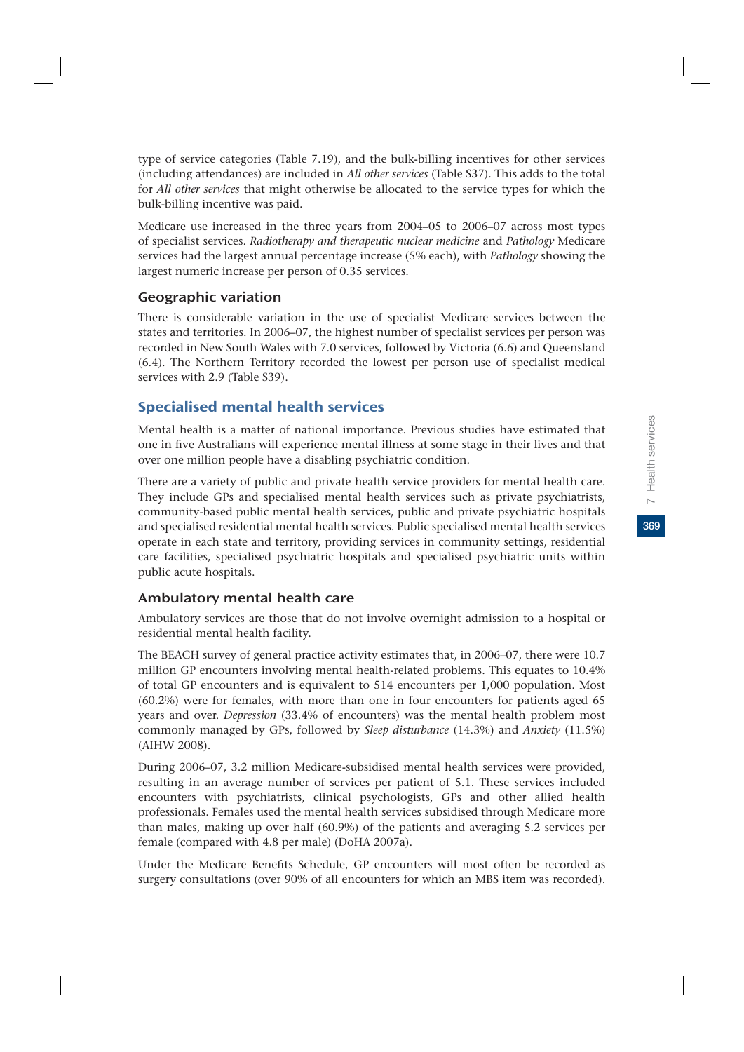369

type of service categories (Table 7.19), and the bulk-billing incentives for other services (including attendances) are included in *All other services* (Table S37). This adds to the total for *All other services* that might otherwise be allocated to the service types for which the bulk-billing incentive was paid.

Medicare use increased in the three years from 2004–05 to 2006–07 across most types of specialist services. *Radiotherapy and therapeutic nuclear medicine* and *Pathology* Medicare services had the largest annual percentage increase (5% each), with *Pathology* showing the largest numeric increase per person of 0.35 services.

# Geographic variation

There is considerable variation in the use of specialist Medicare services between the states and territories. In 2006–07, the highest number of specialist services per person was recorded in New South Wales with 7.0 services, followed by Victoria (6.6) and Queensland (6.4). The Northern Territory recorded the lowest per person use of specialist medical services with 2.9 (Table S39).

# Specialised mental health services

Mental health is a matter of national importance. Previous studies have estimated that one in five Australians will experience mental illness at some stage in their lives and that over one million people have a disabling psychiatric condition.

There are a variety of public and private health service providers for mental health care. They include GPs and specialised mental health services such as private psychiatrists, community-based public mental health services, public and private psychiatric hospitals and specialised residential mental health services. Public specialised mental health services operate in each state and territory, providing services in community settings, residential care facilities, specialised psychiatric hospitals and specialised psychiatric units within public acute hospitals.

# Ambulatory mental health care

Ambulatory services are those that do not involve overnight admission to a hospital or residential mental health facility.

The BEACH survey of general practice activity estimates that, in 2006–07, there were 10.7 million GP encounters involving mental health-related problems. This equates to 10.4% of total GP encounters and is equivalent to 514 encounters per 1,000 population. Most (60.2%) were for females, with more than one in four encounters for patients aged 65 years and over. *Depression* (33.4% of encounters) was the mental health problem most commonly managed by GPs, followed by *Sleep disturbance* (14.3%) and *Anxiety* (11.5%) (AIHW 2008).

During 2006–07, 3.2 million Medicare-subsidised mental health services were provided, resulting in an average number of services per patient of 5.1. These services included encounters with psychiatrists, clinical psychologists, GPs and other allied health professionals. Females used the mental health services subsidised through Medicare more than males, making up over half (60.9%) of the patients and averaging 5.2 services per female (compared with 4.8 per male) (DoHA 2007a).

Under the Medicare Benefits Schedule, GP encounters will most often be recorded as surgery consultations (over 90% of all encounters for which an MBS item was recorded).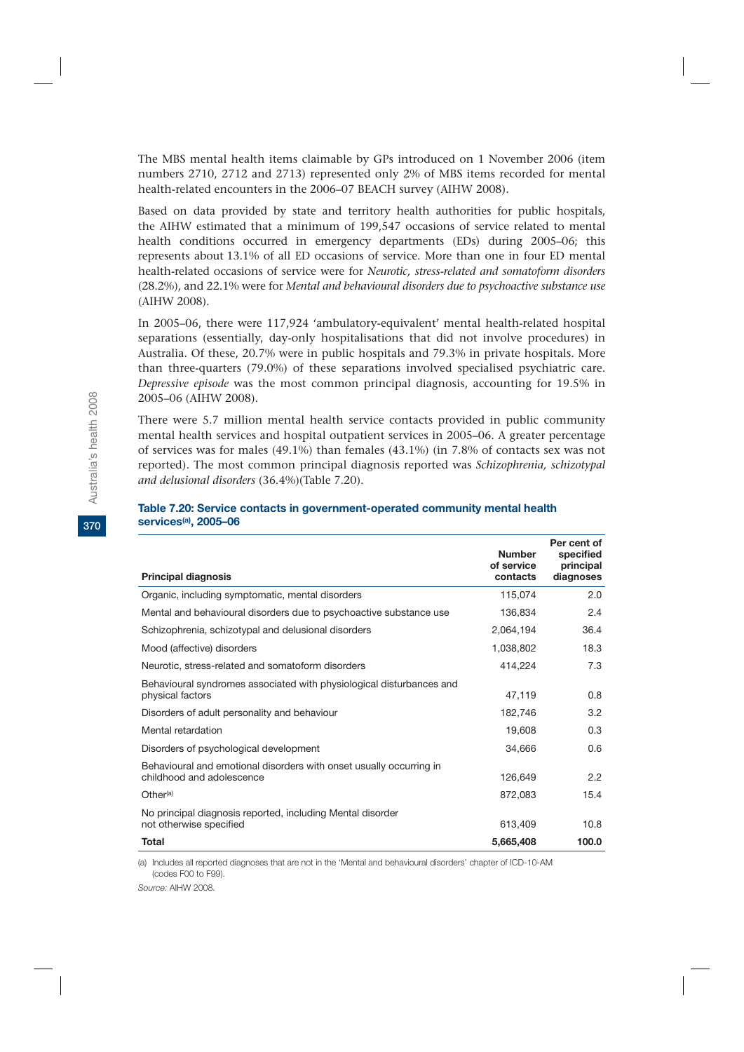The MBS mental health items claimable by GPs introduced on 1 November 2006 (item numbers 2710, 2712 and 2713) represented only 2% of MBS items recorded for mental health-related encounters in the 2006–07 BEACH survey (AIHW 2008).

Based on data provided by state and territory health authorities for public hospitals, the AIHW estimated that a minimum of 199,547 occasions of service related to mental health conditions occurred in emergency departments (EDs) during 2005–06; this represents about 13.1% of all ED occasions of service. More than one in four ED mental health-related occasions of service were for *Neurotic, stress-related and somatoform disorders* (28.2%), and 22.1% were for *Mental and behavioural disorders due to psychoactive substance use* (AIHW 2008).

In 2005–06, there were 117,924 'ambulatory-equivalent' mental health-related hospital separations (essentially, day-only hospitalisations that did not involve procedures) in Australia. Of these, 20.7% were in public hospitals and 79.3% in private hospitals. More than three-quarters (79.0%) of these separations involved specialised psychiatric care. *Depressive episode* was the most common principal diagnosis, accounting for 19.5% in 2005–06 (AIHW 2008).

There were 5.7 million mental health service contacts provided in public community mental health services and hospital outpatient services in 2005–06. A greater percentage of services was for males (49.1%) than females (43.1%) (in 7.8% of contacts sex was not reported). The most common principal diagnosis reported was *Schizophrenia, schizotypal and delusional disorders* (36.4%)(Table 7.20).

| <b>Principal diagnosis</b>                                                                       | <b>Number</b><br>of service<br>contacts | Per cent of<br>specified<br>principal<br>diagnoses |
|--------------------------------------------------------------------------------------------------|-----------------------------------------|----------------------------------------------------|
| Organic, including symptomatic, mental disorders                                                 | 115,074                                 | 2.0                                                |
| Mental and behavioural disorders due to psychoactive substance use                               | 136,834                                 | 2.4                                                |
| Schizophrenia, schizotypal and delusional disorders                                              | 2,064,194                               | 36.4                                               |
| Mood (affective) disorders                                                                       | 1,038,802                               | 18.3                                               |
| Neurotic, stress-related and somatoform disorders                                                | 414,224                                 | 7.3                                                |
| Behavioural syndromes associated with physiological disturbances and<br>physical factors         | 47,119                                  | 0.8                                                |
| Disorders of adult personality and behaviour                                                     | 182,746                                 | 3.2                                                |
| Mental retardation                                                                               | 19,608                                  | 0.3                                                |
| Disorders of psychological development                                                           | 34,666                                  | 0.6                                                |
| Behavioural and emotional disorders with onset usually occurring in<br>childhood and adolescence | 126,649                                 | 2.2                                                |
| Other <sup>(a)</sup>                                                                             | 872,083                                 | 15.4                                               |
| No principal diagnosis reported, including Mental disorder<br>not otherwise specified            | 613,409                                 | 10.8                                               |
| Total                                                                                            | 5,665,408                               | 100.0                                              |

### **Table 7.20: Service contacts in government-operated community mental health services(a), 2005–06**

(a) Includes all reported diagnoses that are not in the 'Mental and behavioural disorders' chapter of ICD-10-AM (codes F00 to F99).

*Source:* AIHW 2008.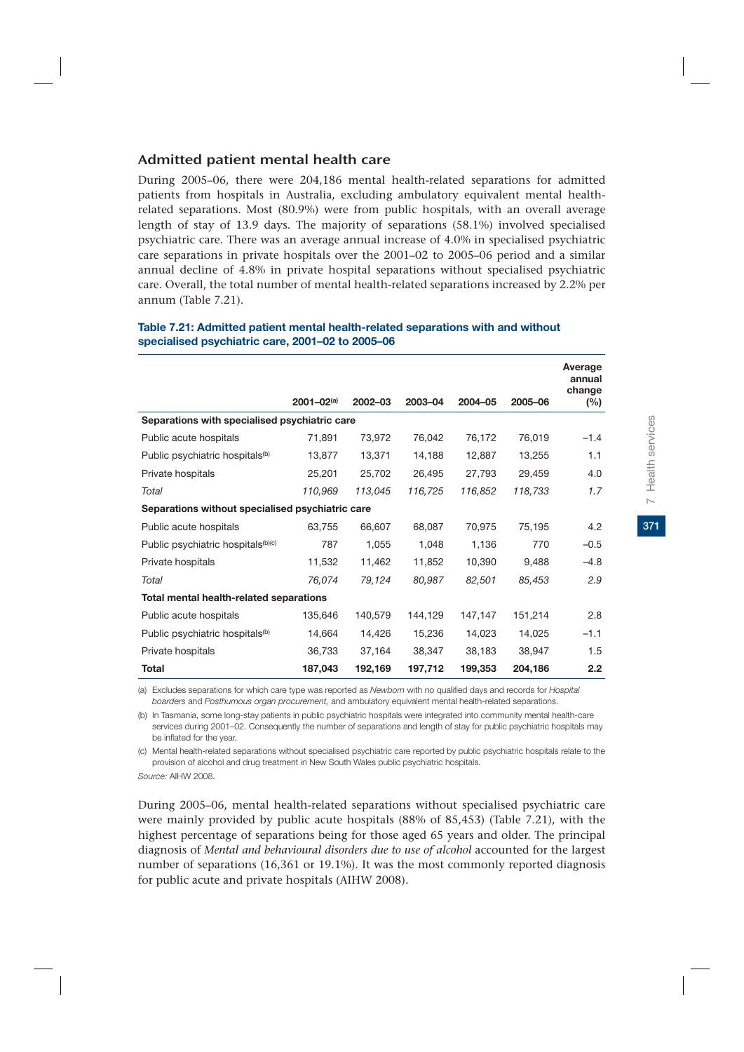# Admitted patient mental health care

During 2005–06, there were 204,186 mental health-related separations for admitted patients from hospitals in Australia, excluding ambulatory equivalent mental healthrelated separations. Most (80.9%) were from public hospitals, with an overall average length of stay of 13.9 days. The majority of separations (58.1%) involved specialised psychiatric care. There was an average annual increase of 4.0% in specialised psychiatric care separations in private hospitals over the 2001–02 to 2005–06 period and a similar annual decline of 4.8% in private hospital separations without specialised psychiatric care. Overall, the total number of mental health-related separations increased by 2.2% per annum (Table 7.21).

|                                                  |                   |         |         |         |         | Average<br>annual<br>change |
|--------------------------------------------------|-------------------|---------|---------|---------|---------|-----------------------------|
|                                                  | $2001 - 02^{(a)}$ | 2002-03 | 2003-04 | 2004-05 | 2005-06 | (%)                         |
| Separations with specialised psychiatric care    |                   |         |         |         |         |                             |
| Public acute hospitals                           | 71,891            | 73,972  | 76,042  | 76,172  | 76,019  | $-1.4$                      |
| Public psychiatric hospitals <sup>(b)</sup>      | 13,877            | 13,371  | 14,188  | 12,887  | 13,255  | 1.1                         |
| Private hospitals                                | 25,201            | 25,702  | 26,495  | 27,793  | 29,459  | 4.0                         |
| Total                                            | 110,969           | 113,045 | 116,725 | 116,852 | 118,733 | 1.7                         |
| Separations without specialised psychiatric care |                   |         |         |         |         |                             |
| Public acute hospitals                           | 63,755            | 66,607  | 68,087  | 70,975  | 75,195  | 4.2                         |
| Public psychiatric hospitals <sup>(b)(c)</sup>   | 787               | 1,055   | 1,048   | 1,136   | 770     | $-0.5$                      |
| Private hospitals                                | 11,532            | 11,462  | 11,852  | 10,390  | 9,488   | $-4.8$                      |
| Total                                            | 76,074            | 79,124  | 80,987  | 82,501  | 85,453  | 2.9                         |
| Total mental health-related separations          |                   |         |         |         |         |                             |
| Public acute hospitals                           | 135,646           | 140,579 | 144,129 | 147,147 | 151,214 | 2.8                         |
| Public psychiatric hospitals <sup>(b)</sup>      | 14,664            | 14,426  | 15,236  | 14,023  | 14,025  | $-1.1$                      |
| Private hospitals                                | 36,733            | 37,164  | 38,347  | 38,183  | 38,947  | 1.5                         |
| <b>Total</b>                                     | 187,043           | 192,169 | 197,712 | 199,353 | 204,186 | 2.2                         |

### **Table 7.21: Admitted patient mental health-related separations with and without specialised psychiatric care, 2001–02 to 2005–06**

(a) Excludes separations for which care type was reported as *Newborn* with no qualified days and records for *Hospital boarders* and *Posthumous organ procurement,* and ambulatory equivalent mental health-related separations.

(b) In Tasmania, some long-stay patients in public psychiatric hospitals were integrated into community mental health-care services during 2001–02. Consequently the number of separations and length of stay for public psychiatric hospitals may be inflated for the year.

(c) Mental health-related separations without specialised psychiatric care reported by public psychiatric hospitals relate to the provision of alcohol and drug treatment in New South Wales public psychiatric hospitals.

*Source:* AIHW 2008.

During 2005–06, mental health-related separations without specialised psychiatric care were mainly provided by public acute hospitals (88% of 85,453) (Table 7.21), with the highest percentage of separations being for those aged 65 years and older. The principal diagnosis of *Mental and behavioural disorders due to use of alcohol* accounted for the largest number of separations (16,361 or 19.1%). It was the most commonly reported diagnosis for public acute and private hospitals (AIHW 2008).

**Average**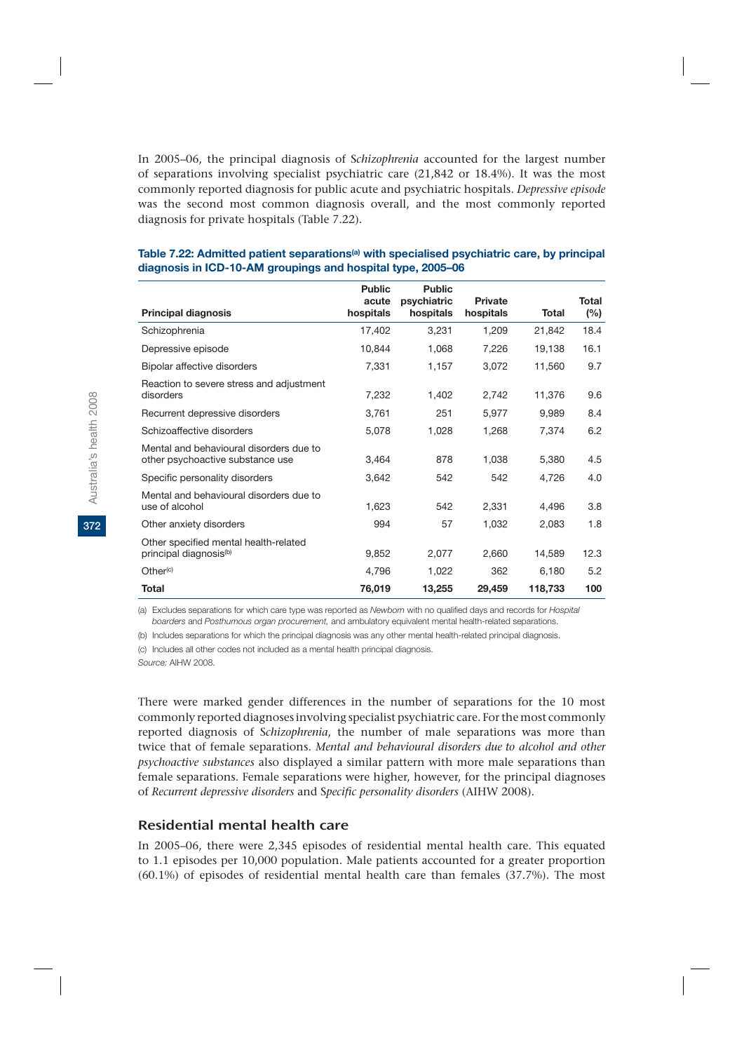In 2005–06, the principal diagnosis of S*chizophrenia* accounted for the largest number of separations involving specialist psychiatric care (21,842 or 18.4%). It was the most commonly reported diagnosis for public acute and psychiatric hospitals. *Depressive episode* was the second most common diagnosis overall, and the most commonly reported diagnosis for private hospitals (Table 7.22).

|                                                                             | <b>Public</b><br>acute | <b>Public</b><br>psychiatric | <b>Private</b> |         | Total |
|-----------------------------------------------------------------------------|------------------------|------------------------------|----------------|---------|-------|
| <b>Principal diagnosis</b>                                                  | hospitals              | hospitals                    | hospitals      | Total   | (%)   |
| Schizophrenia                                                               | 17,402                 | 3,231                        | 1,209          | 21,842  | 18.4  |
| Depressive episode                                                          | 10,844                 | 1,068                        | 7,226          | 19,138  | 16.1  |
| Bipolar affective disorders                                                 | 7,331                  | 1,157                        | 3,072          | 11,560  | 9.7   |
| Reaction to severe stress and adjustment<br>disorders                       | 7,232                  | 1,402                        | 2,742          | 11,376  | 9.6   |
| Recurrent depressive disorders                                              | 3,761                  | 251                          | 5,977          | 9,989   | 8.4   |
| Schizoaffective disorders                                                   | 5,078                  | 1,028                        | 1,268          | 7,374   | 6.2   |
| Mental and behavioural disorders due to<br>other psychoactive substance use | 3,464                  | 878                          | 1,038          | 5,380   | 4.5   |
| Specific personality disorders                                              | 3,642                  | 542                          | 542            | 4,726   | 4.0   |
| Mental and behavioural disorders due to<br>use of alcohol                   | 1,623                  | 542                          | 2,331          | 4,496   | 3.8   |
| Other anxiety disorders                                                     | 994                    | 57                           | 1,032          | 2,083   | 1.8   |
| Other specified mental health-related<br>principal diagnosis <sup>(b)</sup> | 9,852                  | 2,077                        | 2,660          | 14,589  | 12.3  |
| Other <sup>(c)</sup>                                                        | 4,796                  | 1,022                        | 362            | 6,180   | 5.2   |
| <b>Total</b>                                                                | 76,019                 | 13,255                       | 29,459         | 118,733 | 100   |

### Table 7.22: Admitted patient separations<sup>(a)</sup> with specialised psychiatric care, by principal **diagnosis in ICD-10-AM groupings and hospital type, 2005–06**

(a) Excludes separations for which care type was reported as *Newborn* with no qualified days and records for *Hospital boarders* and *Posthumous organ procurement,* and ambulatory equivalent mental health-related separations.

(b) Includes separations for which the principal diagnosis was any other mental health-related principal diagnosis.

(c) Includes all other codes not included as a mental health principal diagnosis.

*Source:* AIHW 2008.

There were marked gender differences in the number of separations for the 10 most commonly reported diagnoses involving specialist psychiatric care. For the most commonly reported diagnosis of S*chizophrenia*, the number of male separations was more than twice that of female separations. *Mental and behavioural disorders due to alcohol and other psychoactive substances* also displayed a similar pattern with more male separations than female separations. Female separations were higher, however, for the principal diagnoses of *Recurrent depressive disorders* and S*pecific personality disorders* (AIHW 2008).

### Residential mental health care

In 2005–06, there were 2,345 episodes of residential mental health care. This equated to 1.1 episodes per 10,000 population. Male patients accounted for a greater proportion (60.1%) of episodes of residential mental health care than females (37.7%). The most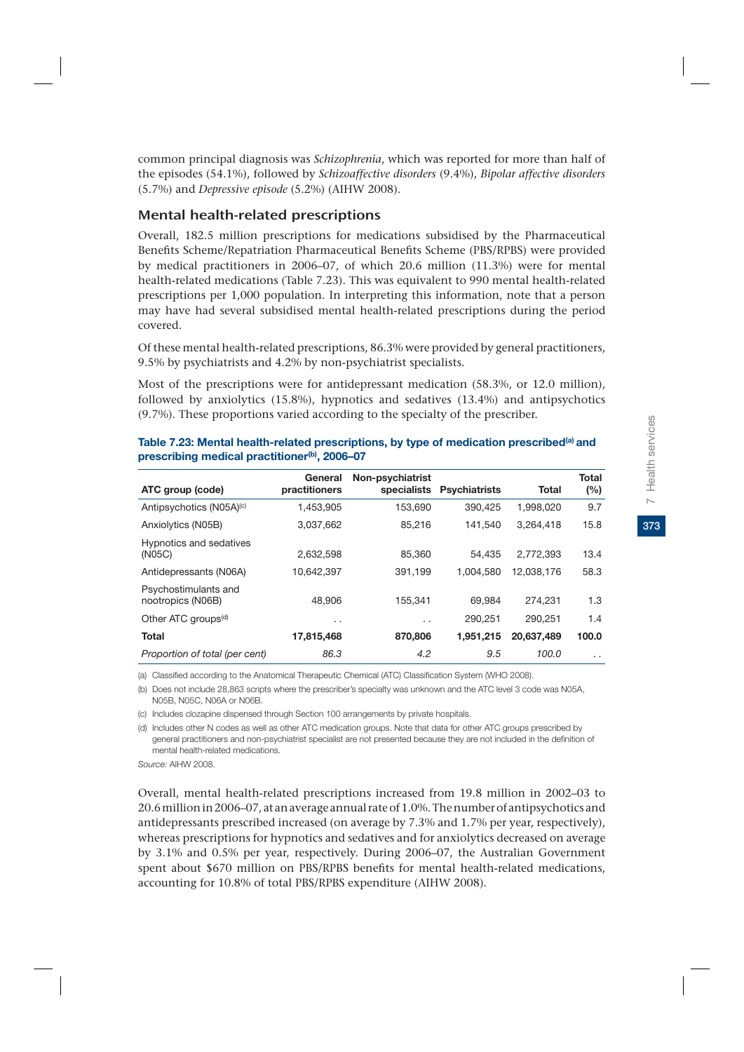common principal diagnosis was *Schizophrenia*, which was reported for more than half of the episodes (54.1%), followed by *Schizoaffective disorders* (9.4%), *Bipolar affective disorders* (5.7%) and *Depressive episode* (5.2%) (AIHW 2008).

# Mental health-related prescriptions

Overall, 182.5 million prescriptions for medications subsidised by the Pharmaceutical Benefits Scheme/Repatriation Pharmaceutical Benefits Scheme (PBS/RPBS) were provided by medical practitioners in 2006–07, of which 20.6 million (11.3%) were for mental health-related medications (Table 7.23). This was equivalent to 990 mental health-related prescriptions per 1,000 population. In interpreting this information, note that a person may have had several subsidised mental health-related prescriptions during the period covered.

Of these mental health-related prescriptions, 86.3% were provided by general practitioners, 9.5% by psychiatrists and 4.2% by non-psychiatrist specialists.

Most of the prescriptions were for antidepressant medication (58.3%, or 12.0 million), followed by anxiolytics (15.8%), hypnotics and sedatives (13.4%) and antipsychotics (9.7%). These proportions varied according to the specialty of the prescriber.

|                                           | General         | Non-psychiatrist |                      |            | <b>Total</b> |
|-------------------------------------------|-----------------|------------------|----------------------|------------|--------------|
| ATC group (code)                          | practitioners   | specialists      | <b>Psychiatrists</b> | Total      | (%)          |
| Antipsychotics (N05A)(c)                  | 1.453.905       | 153.690          | 390,425              | 1.998.020  | 9.7          |
| Anxiolytics (N05B)                        | 3,037,662       | 85,216           | 141.540              | 3.264.418  | 15.8         |
| Hypnotics and sedatives<br>(N05C)         | 2.632.598       | 85,360           | 54.435               | 2.772.393  | 13.4         |
| Antidepressants (N06A)                    | 10,642,397      | 391,199          | 1.004.580            | 12.038.176 | 58.3         |
| Psychostimulants and<br>nootropics (N06B) | 48.906          | 155,341          | 69.984               | 274.231    | 1.3          |
| Other ATC groups <sup>(d)</sup>           | $\cdot$ $\cdot$ | . .              | 290,251              | 290.251    | 1.4          |
| <b>Total</b>                              | 17,815,468      | 870,806          | 1,951,215            | 20.637.489 | 100.0        |
| Proportion of total (per cent)            | 86.3            | 4.2              | 9.5                  | 100.0      | . .          |

Table 7.23: Mental health-related prescriptions, by type of medication prescribed<sup>(a)</sup> and **prescribing medical practitioner(b), 2006–07**

(a) Classified according to the Anatomical Therapeutic Chemical (ATC) Classification System (WHO 2008).

(b) Does not include 28,863 scripts where the prescriber's specialty was unknown and the ATC level 3 code was N05A, N05B, N05C, N06A or N06B.

(c) Includes clozapine dispensed through Section 100 arrangements by private hospitals.

(d) Includes other N codes as well as other ATC medication groups. Note that data for other ATC groups prescribed by general practitioners and non-psychiatrist specialist are not presented because they are not included in the definition of mental health-related medications.

*Source:* AIHW 2008.

Overall, mental health-related prescriptions increased from 19.8 million in 2002–03 to 20.6 million in 2006–07, at an average annual rate of 1.0%. The number of antipsychotics and antidepressants prescribed increased (on average by 7.3% and 1.7% per year, respectively), whereas prescriptions for hypnotics and sedatives and for anxiolytics decreased on average by 3.1% and 0.5% per year, respectively. During 2006–07, the Australian Government spent about \$670 million on PBS/RPBS benefits for mental health-related medications, accounting for 10.8% of total PBS/RPBS expenditure (AIHW 2008).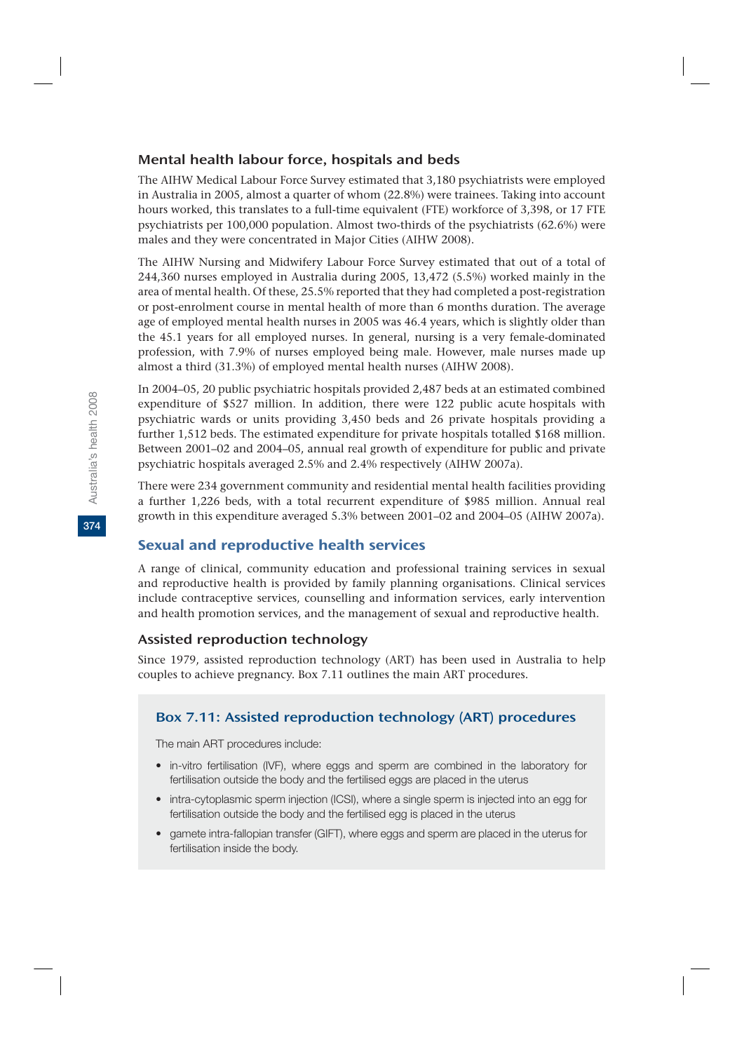# Mental health labour force, hospitals and beds

The AIHW Medical Labour Force Survey estimated that 3,180 psychiatrists were employed in Australia in 2005, almost a quarter of whom (22.8%) were trainees. Taking into account hours worked, this translates to a full-time equivalent (FTE) workforce of 3,398, or 17 FTE psychiatrists per 100,000 population. Almost two-thirds of the psychiatrists (62.6%) were males and they were concentrated in Major Cities (AIHW 2008).

The AIHW Nursing and Midwifery Labour Force Survey estimated that out of a total of 244,360 nurses employed in Australia during 2005, 13,472 (5.5%) worked mainly in the area of mental health. Of these, 25.5% reported that they had completed a post-registration or post-enrolment course in mental health of more than 6 months duration. The average age of employed mental health nurses in 2005 was 46.4 years, which is slightly older than the 45.1 years for all employed nurses. In general, nursing is a very female-dominated profession, with 7.9% of nurses employed being male. However, male nurses made up almost a third (31.3%) of employed mental health nurses (AIHW 2008).

In 2004–05, 20 public psychiatric hospitals provided 2,487 beds at an estimated combined expenditure of \$527 million. In addition, there were 122 public acute hospitals with psychiatric wards or units providing 3,450 beds and 26 private hospitals providing a further 1,512 beds. The estimated expenditure for private hospitals totalled \$168 million. Between 2001–02 and 2004–05, annual real growth of expenditure for public and private psychiatric hospitals averaged 2.5% and 2.4% respectively (AIHW 2007a).

There were 234 government community and residential mental health facilities providing a further 1,226 beds, with a total recurrent expenditure of \$985 million. Annual real growth in this expenditure averaged 5.3% between 2001–02 and 2004–05 (AIHW 2007a).

# Sexual and reproductive health services

A range of clinical, community education and professional training services in sexual and reproductive health is provided by family planning organisations. Clinical services include contraceptive services, counselling and information services, early intervention and health promotion services, and the management of sexual and reproductive health.

# Assisted reproduction technology

Since 1979, assisted reproduction technology (ART) has been used in Australia to help couples to achieve pregnancy. Box 7.11 outlines the main ART procedures.

# Box 7.11: Assisted reproduction technology (ART) procedures

The main ART procedures include:

- in-vitro fertilisation (IVF), where eggs and sperm are combined in the laboratory for fertilisation outside the body and the fertilised eggs are placed in the uterus
- intra-cytoplasmic sperm injection (ICSI), where a single sperm is injected into an egg for fertilisation outside the body and the fertilised egg is placed in the uterus
- gamete intra-fallopian transfer (GIFT), where eggs and sperm are placed in the uterus for fertilisation inside the body.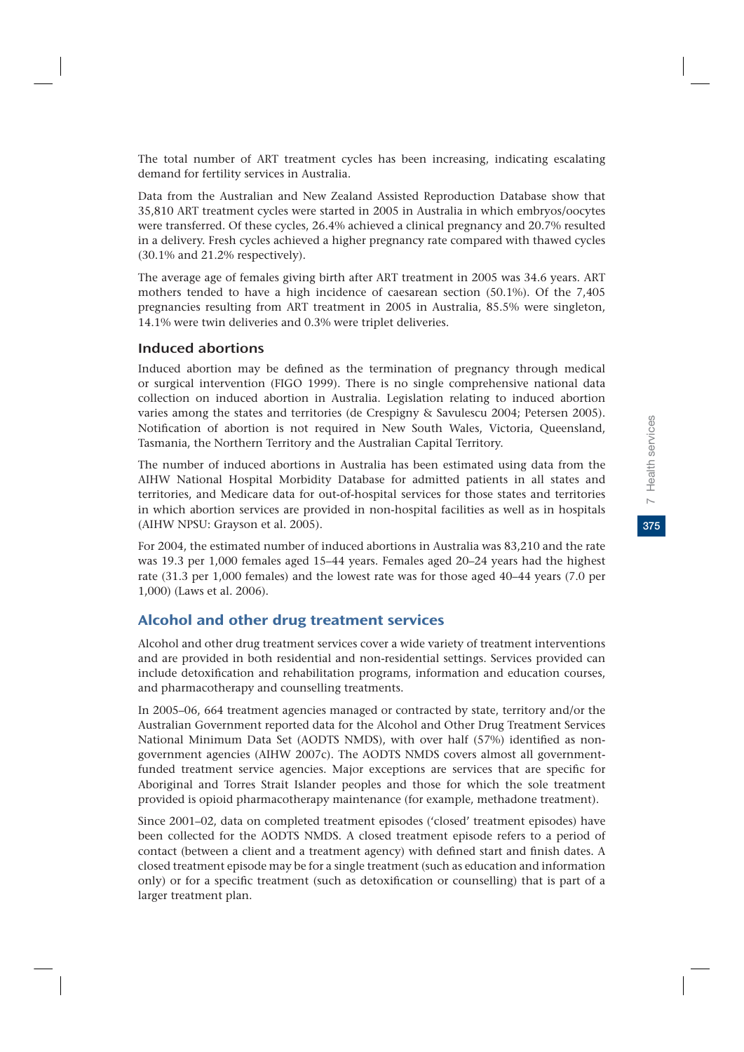375

The total number of ART treatment cycles has been increasing, indicating escalating demand for fertility services in Australia.

Data from the Australian and New Zealand Assisted Reproduction Database show that 35,810 ART treatment cycles were started in 2005 in Australia in which embryos/oocytes were transferred. Of these cycles, 26.4% achieved a clinical pregnancy and 20.7% resulted in a delivery. Fresh cycles achieved a higher pregnancy rate compared with thawed cycles (30.1% and 21.2% respectively).

The average age of females giving birth after ART treatment in 2005 was 34.6 years. ART mothers tended to have a high incidence of caesarean section (50.1%). Of the 7,405 pregnancies resulting from ART treatment in 2005 in Australia, 85.5% were singleton, 14.1% were twin deliveries and 0.3% were triplet deliveries.

### Induced abortions

Induced abortion may be defined as the termination of pregnancy through medical or surgical intervention (FIGO 1999). There is no single comprehensive national data collection on induced abortion in Australia. Legislation relating to induced abortion varies among the states and territories (de Crespigny & Savulescu 2004; Petersen 2005). Notification of abortion is not required in New South Wales, Victoria, Queensland, Tasmania, the Northern Territory and the Australian Capital Territory.

The number of induced abortions in Australia has been estimated using data from the AIHW National Hospital Morbidity Database for admitted patients in all states and territories, and Medicare data for out-of-hospital services for those states and territories in which abortion services are provided in non-hospital facilities as well as in hospitals (AIHW NPSU: Grayson et al. 2005).

For 2004, the estimated number of induced abortions in Australia was 83,210 and the rate was 19.3 per 1,000 females aged 15–44 years. Females aged 20–24 years had the highest rate (31.3 per 1,000 females) and the lowest rate was for those aged 40–44 years (7.0 per 1,000) (Laws et al. 2006).

## Alcohol and other drug treatment services

Alcohol and other drug treatment services cover a wide variety of treatment interventions and are provided in both residential and non-residential settings. Services provided can include detoxification and rehabilitation programs, information and education courses, and pharmacotherapy and counselling treatments.

In 2005–06, 664 treatment agencies managed or contracted by state, territory and/or the Australian Government reported data for the Alcohol and Other Drug Treatment Services National Minimum Data Set (AODTS NMDS), with over half (57%) identified as nongovernment agencies (AIHW 2007c). The AODTS NMDS covers almost all governmentfunded treatment service agencies. Major exceptions are services that are specific for Aboriginal and Torres Strait Islander peoples and those for which the sole treatment provided is opioid pharmacotherapy maintenance (for example, methadone treatment).

Since 2001–02, data on completed treatment episodes ('closed' treatment episodes) have been collected for the AODTS NMDS. A closed treatment episode refers to a period of contact (between a client and a treatment agency) with defined start and finish dates. A closed treatment episode may be for a single treatment (such as education and information only) or for a specific treatment (such as detoxification or counselling) that is part of a larger treatment plan.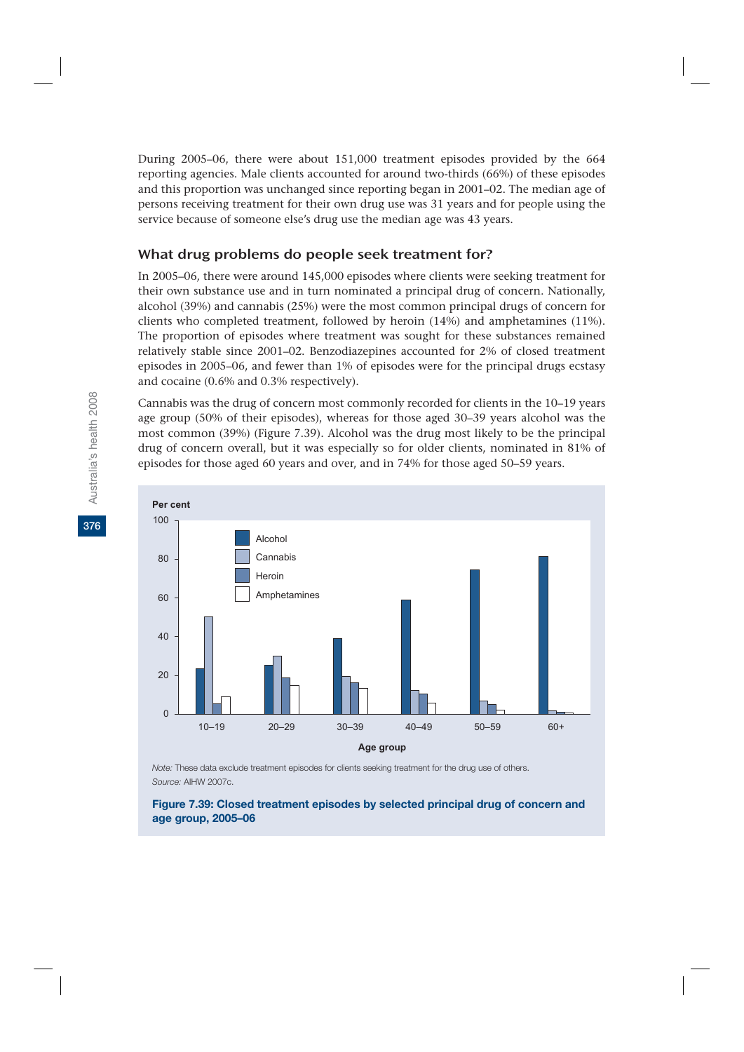During 2005–06, there were about 151,000 treatment episodes provided by the 664 reporting agencies. Male clients accounted for around two-thirds (66%) of these episodes and this proportion was unchanged since reporting began in 2001–02. The median age of persons receiving treatment for their own drug use was 31 years and for people using the service because of someone else's drug use the median age was 43 years.

### What drug problems do people seek treatment for?

In 2005–06, there were around 145,000 episodes where clients were seeking treatment for their own substance use and in turn nominated a principal drug of concern. Nationally, alcohol (39%) and cannabis (25%) were the most common principal drugs of concern for clients who completed treatment, followed by heroin (14%) and amphetamines (11%). The proportion of episodes where treatment was sought for these substances remained relatively stable since 2001–02. Benzodiazepines accounted for 2% of closed treatment episodes in 2005–06, and fewer than 1% of episodes were for the principal drugs ecstasy and cocaine (0.6% and 0.3% respectively).

Cannabis was the drug of concern most commonly recorded for clients in the 10–19 years age group (50% of their episodes), whereas for those aged 30–39 years alcohol was the most common (39%) (Figure 7.39). Alcohol was the drug most likely to be the principal drug of concern overall, but it was especially so for older clients, nominated in 81% of episodes for those aged 60 years and over, and in 74% for those aged 50–59 years.



*Note:* These data exclude treatment episodes for clients seeking treatment for the drug use of others. *Source:* AIHW 2007c.

#### **Figure 7.39: Closed treatment episodes by selected principal drug of concern and age group, 2005–06**

**376**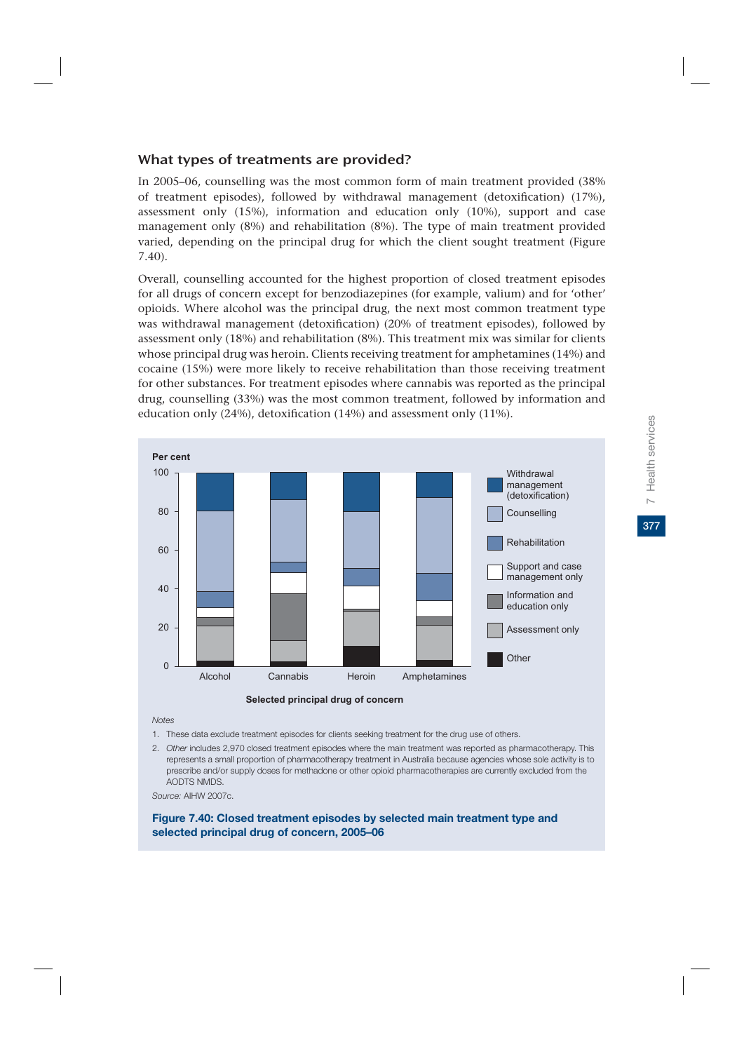### What types of treatments are provided?

In 2005–06, counselling was the most common form of main treatment provided (38% of treatment episodes), followed by withdrawal management (detoxification) (17%), assessment only (15%), information and education only (10%), support and case management only (8%) and rehabilitation (8%). The type of main treatment provided varied, depending on the principal drug for which the client sought treatment (Figure 7.40).

Overall, counselling accounted for the highest proportion of closed treatment episodes for all drugs of concern except for benzodiazepines (for example, valium) and for 'other' opioids. Where alcohol was the principal drug, the next most common treatment type was withdrawal management (detoxification) (20% of treatment episodes), followed by assessment only (18%) and rehabilitation (8%). This treatment mix was similar for clients whose principal drug was heroin. Clients receiving treatment for amphetamines (14%) and cocaine (15%) were more likely to receive rehabilitation than those receiving treatment for other substances. For treatment episodes where cannabis was reported as the principal drug, counselling (33%) was the most common treatment, followed by information and education only (24%), detoxification (14%) and assessment only (11%).





*Notes*

- 1. These data exclude treatment episodes for clients seeking treatment for the drug use of others.
- 2. *Other* includes 2,970 closed treatment episodes where the main treatment was reported as pharmacotherapy. This represents a small proportion of pharmacotherapy treatment in Australia because agencies whose sole activity is to prescribe and/or supply doses for methadone or other opioid pharmacotherapies are currently excluded from the AODTS NMDS.

*Source:* AIHW 2007c.

**Figure 7.40: Closed treatment episodes by selected main treatment type and selected principal drug of concern, 2005–06**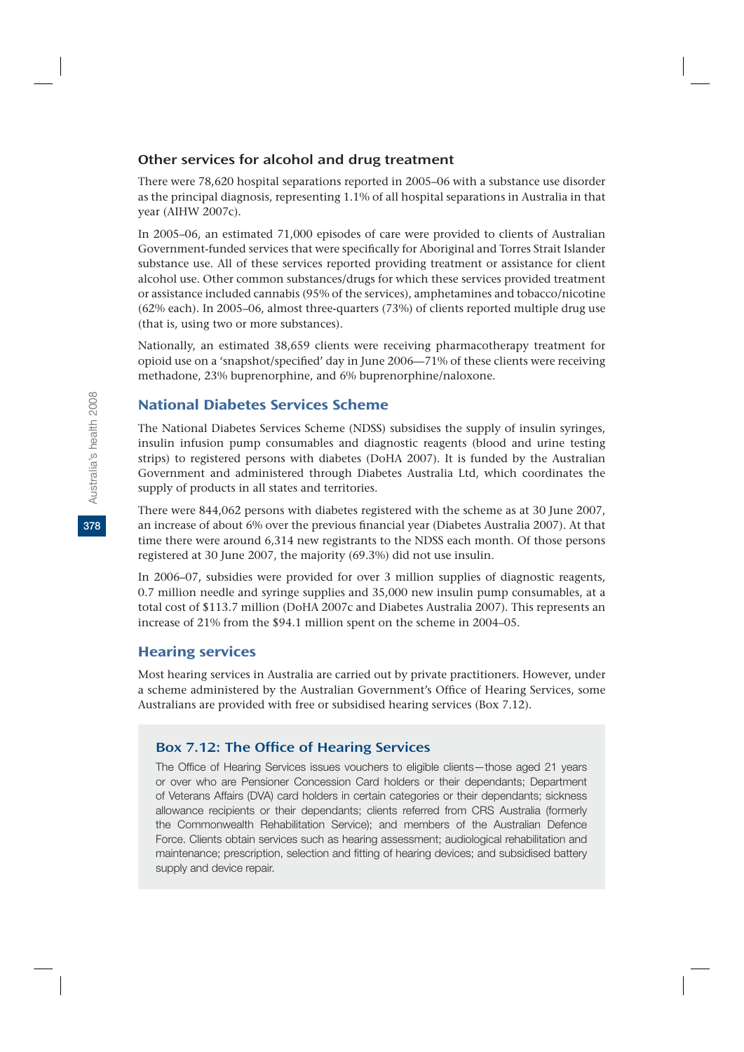### Other services for alcohol and drug treatment

There were 78,620 hospital separations reported in 2005–06 with a substance use disorder as the principal diagnosis, representing 1.1% of all hospital separations in Australia in that year (AIHW 2007c).

In 2005–06, an estimated 71,000 episodes of care were provided to clients of Australian Government-funded services that were specifically for Aboriginal and Torres Strait Islander substance use. All of these services reported providing treatment or assistance for client alcohol use. Other common substances/drugs for which these services provided treatment or assistance included cannabis (95% of the services), amphetamines and tobacco/nicotine (62% each). In 2005–06, almost three-quarters (73%) of clients reported multiple drug use (that is, using two or more substances).

Nationally, an estimated 38,659 clients were receiving pharmacotherapy treatment for opioid use on a 'snapshot/specified' day in June 2006—71% of these clients were receiving methadone, 23% buprenorphine, and 6% buprenorphine/naloxone.

## National Diabetes Services Scheme

The National Diabetes Services Scheme (NDSS) subsidises the supply of insulin syringes, insulin infusion pump consumables and diagnostic reagents (blood and urine testing strips) to registered persons with diabetes (DoHA 2007). It is funded by the Australian Government and administered through Diabetes Australia Ltd, which coordinates the supply of products in all states and territories.

There were 844,062 persons with diabetes registered with the scheme as at 30 June 2007, an increase of about 6% over the previous financial year (Diabetes Australia 2007). At that time there were around 6,314 new registrants to the NDSS each month. Of those persons registered at 30 June 2007, the majority (69.3%) did not use insulin.

In 2006–07, subsidies were provided for over 3 million supplies of diagnostic reagents, 0.7 million needle and syringe supplies and 35,000 new insulin pump consumables, at a total cost of \$113.7 million (DoHA 2007c and Diabetes Australia 2007). This represents an increase of 21% from the \$94.1 million spent on the scheme in 2004–05.

### Hearing services

Most hearing services in Australia are carried out by private practitioners. However, under a scheme administered by the Australian Government's Office of Hearing Services, some Australians are provided with free or subsidised hearing services (Box 7.12).

## Box 7.12: The Office of Hearing Services

The Office of Hearing Services issues vouchers to eligible clients—those aged 21 years or over who are Pensioner Concession Card holders or their dependants; Department of Veterans Affairs (DVA) card holders in certain categories or their dependants; sickness allowance recipients or their dependants; clients referred from CRS Australia (formerly the Commonwealth Rehabilitation Service); and members of the Australian Defence Force. Clients obtain services such as hearing assessment; audiological rehabilitation and maintenance; prescription, selection and fitting of hearing devices; and subsidised battery supply and device repair.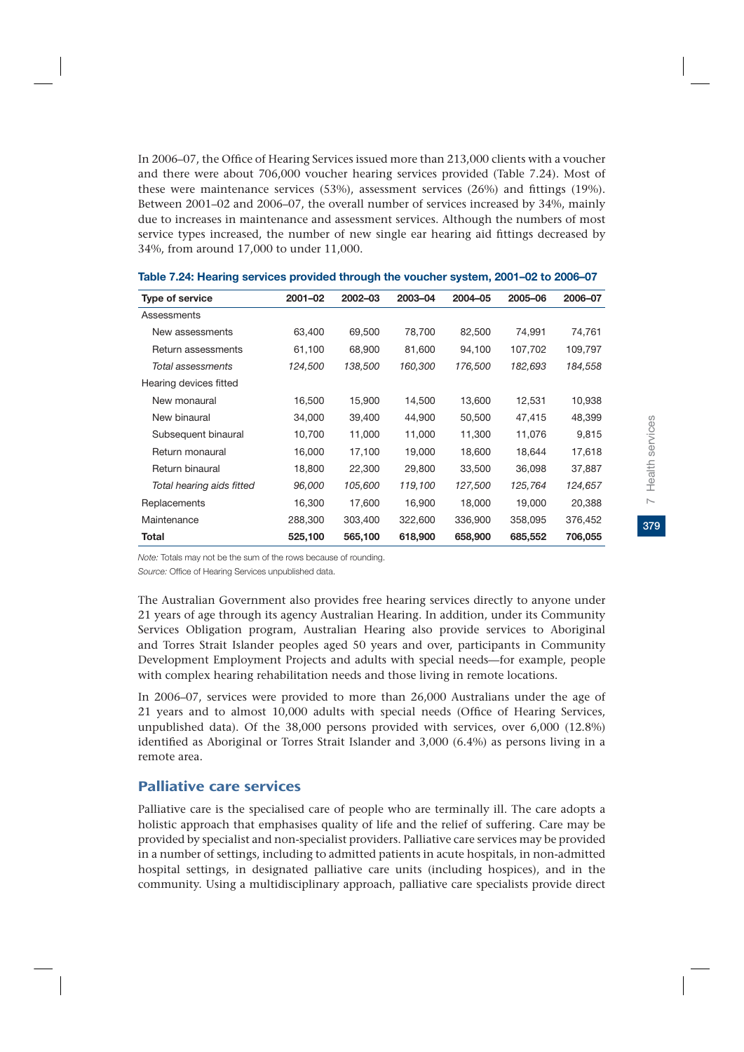In 2006–07, the Office of Hearing Services issued more than 213,000 clients with a voucher and there were about 706,000 voucher hearing services provided (Table 7.24). Most of these were maintenance services (53%), assessment services (26%) and fittings (19%). Between 2001–02 and 2006–07, the overall number of services increased by 34%, mainly due to increases in maintenance and assessment services. Although the numbers of most service types increased, the number of new single ear hearing aid fittings decreased by 34%, from around 17,000 to under 11,000.

| Type of service           | 2001-02 | 2002-03 | 2003-04 | 2004-05 | 2005-06 | 2006-07 |
|---------------------------|---------|---------|---------|---------|---------|---------|
| Assessments               |         |         |         |         |         |         |
| New assessments           | 63,400  | 69,500  | 78,700  | 82,500  | 74,991  | 74,761  |
| Return assessments        | 61,100  | 68,900  | 81,600  | 94,100  | 107,702 | 109,797 |
| Total assessments         | 124,500 | 138,500 | 160,300 | 176,500 | 182,693 | 184,558 |
| Hearing devices fitted    |         |         |         |         |         |         |
| New monaural              | 16,500  | 15,900  | 14,500  | 13,600  | 12,531  | 10,938  |
| New binaural              | 34,000  | 39,400  | 44,900  | 50,500  | 47,415  | 48,399  |
| Subsequent binaural       | 10,700  | 11,000  | 11,000  | 11,300  | 11,076  | 9,815   |
| Return monaural           | 16,000  | 17,100  | 19,000  | 18,600  | 18,644  | 17,618  |
| Return binaural           | 18,800  | 22,300  | 29,800  | 33,500  | 36,098  | 37,887  |
| Total hearing aids fitted | 96,000  | 105,600 | 119,100 | 127,500 | 125,764 | 124,657 |
| Replacements              | 16,300  | 17,600  | 16,900  | 18,000  | 19,000  | 20,388  |
| Maintenance               | 288,300 | 303,400 | 322,600 | 336,900 | 358,095 | 376,452 |
| Total                     | 525,100 | 565,100 | 618,900 | 658,900 | 685,552 | 706,055 |

#### **Table 7.24: Hearing services provided through the voucher system, 2001–02 to 2006–07**

*Note:* Totals may not be the sum of the rows because of rounding.

*Source:* Office of Hearing Services unpublished data.

The Australian Government also provides free hearing services directly to anyone under 21 years of age through its agency Australian Hearing. In addition, under its Community Services Obligation program, Australian Hearing also provide services to Aboriginal and Torres Strait Islander peoples aged 50 years and over, participants in Community Development Employment Projects and adults with special needs—for example, people with complex hearing rehabilitation needs and those living in remote locations.

In 2006–07, services were provided to more than 26,000 Australians under the age of 21 years and to almost 10,000 adults with special needs (Office of Hearing Services, unpublished data). Of the 38,000 persons provided with services, over 6,000 (12.8%) identified as Aboriginal or Torres Strait Islander and 3,000 (6.4%) as persons living in a remote area.

## Palliative care services

Palliative care is the specialised care of people who are terminally ill. The care adopts a holistic approach that emphasises quality of life and the relief of suffering. Care may be provided by specialist and non-specialist providers. Palliative care services may be provided in a number of settings, including to admitted patients in acute hospitals, in non-admitted hospital settings, in designated palliative care units (including hospices), and in the community. Using a multidisciplinary approach, palliative care specialists provide direct

379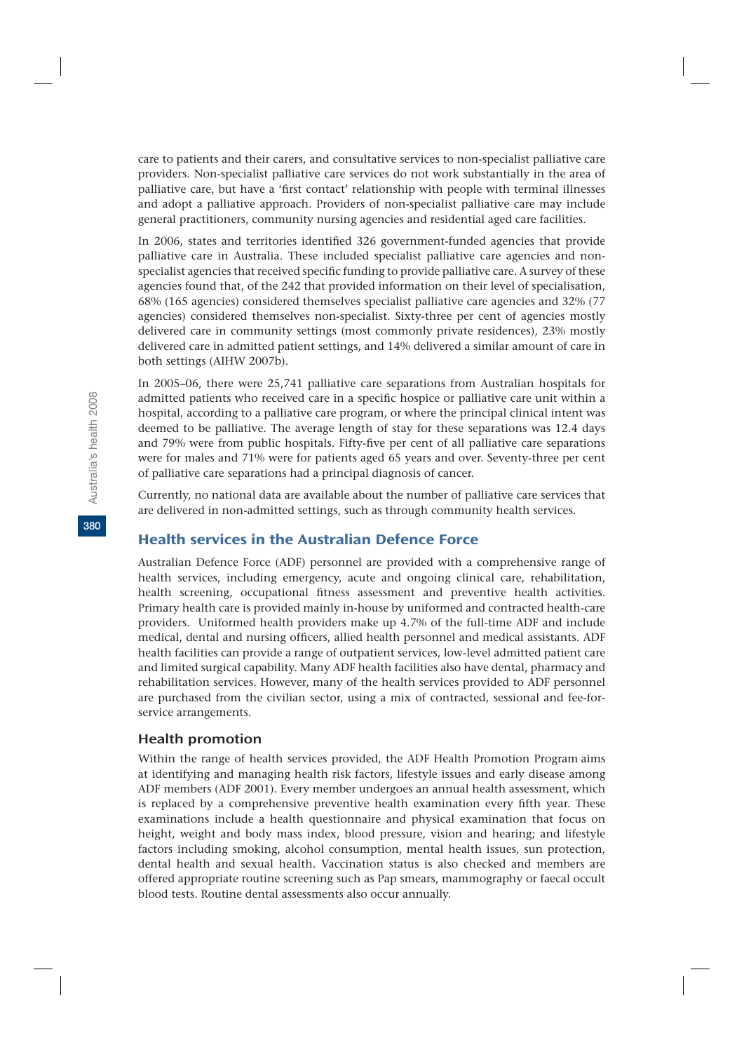care to patients and their carers, and consultative services to non-specialist palliative care providers. Non-specialist palliative care services do not work substantially in the area of palliative care, but have a 'first contact' relationship with people with terminal illnesses and adopt a palliative approach. Providers of non-specialist palliative care may include general practitioners, community nursing agencies and residential aged care facilities.

In 2006, states and territories identified 326 government-funded agencies that provide palliative care in Australia. These included specialist palliative care agencies and nonspecialist agencies that received specific funding to provide palliative care. A survey of these agencies found that, of the 242 that provided information on their level of specialisation, 68% (165 agencies) considered themselves specialist palliative care agencies and 32% (77 agencies) considered themselves non-specialist. Sixty-three per cent of agencies mostly delivered care in community settings (most commonly private residences), 23% mostly delivered care in admitted patient settings, and 14% delivered a similar amount of care in both settings (AIHW 2007b).

In 2005–06, there were 25,741 palliative care separations from Australian hospitals for admitted patients who received care in a specific hospice or palliative care unit within a hospital, according to a palliative care program, or where the principal clinical intent was deemed to be palliative. The average length of stay for these separations was 12.4 days and 79% were from public hospitals. Fifty-five per cent of all palliative care separations were for males and 71% were for patients aged 65 years and over. Seventy-three per cent of palliative care separations had a principal diagnosis of cancer.

Currently, no national data are available about the number of palliative care services that are delivered in non-admitted settings, such as through community health services.

### Health services in the Australian Defence Force

Australian Defence Force (ADF) personnel are provided with a comprehensive range of health services, including emergency, acute and ongoing clinical care, rehabilitation, health screening, occupational fitness assessment and preventive health activities. Primary health care is provided mainly in-house by uniformed and contracted health-care providers. Uniformed health providers make up 4.7% of the full-time ADF and include medical, dental and nursing officers, allied health personnel and medical assistants. ADF health facilities can provide a range of outpatient services, low-level admitted patient care and limited surgical capability. Many ADF health facilities also have dental, pharmacy and rehabilitation services. However, many of the health services provided to ADF personnel are purchased from the civilian sector, using a mix of contracted, sessional and fee-forservice arrangements.

### Health promotion

Within the range of health services provided, the ADF Health Promotion Program aims at identifying and managing health risk factors, lifestyle issues and early disease among ADF members (ADF 2001). Every member undergoes an annual health assessment, which is replaced by a comprehensive preventive health examination every fifth year. These examinations include a health questionnaire and physical examination that focus on height, weight and body mass index, blood pressure, vision and hearing; and lifestyle factors including smoking, alcohol consumption, mental health issues, sun protection, dental health and sexual health. Vaccination status is also checked and members are offered appropriate routine screening such as Pap smears, mammography or faecal occult blood tests. Routine dental assessments also occur annually.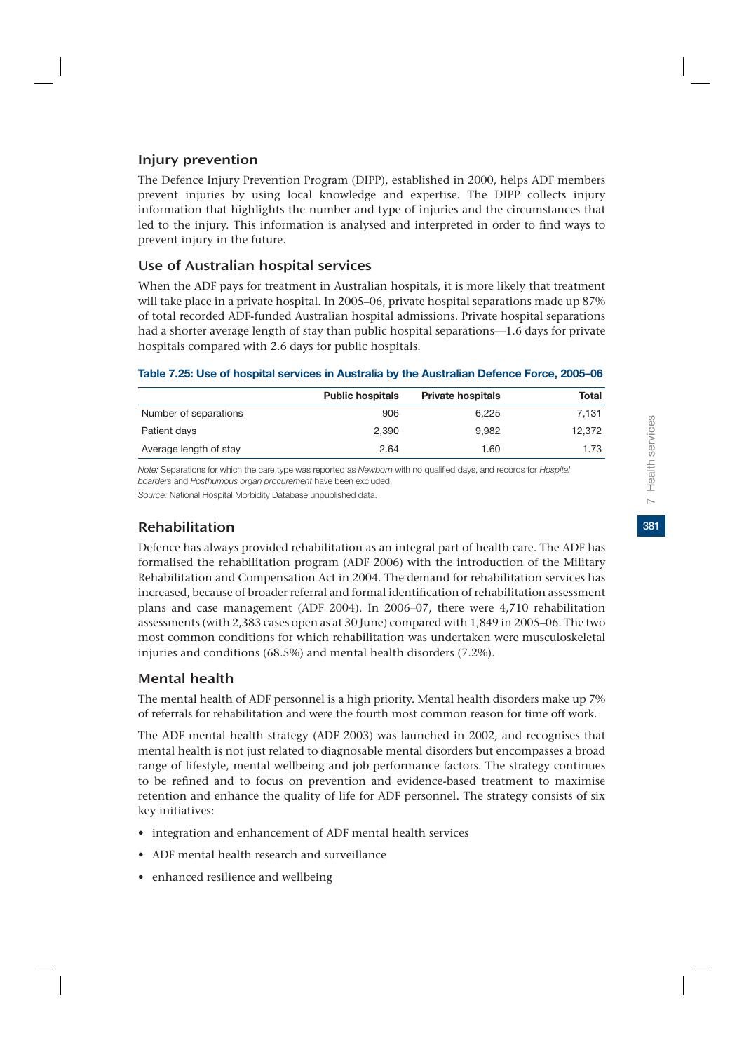## Injury prevention

The Defence Injury Prevention Program (DIPP), established in 2000, helps ADF members prevent injuries by using local knowledge and expertise. The DIPP collects injury information that highlights the number and type of injuries and the circumstances that led to the injury. This information is analysed and interpreted in order to find ways to prevent injury in the future.

## Use of Australian hospital services

When the ADF pays for treatment in Australian hospitals, it is more likely that treatment will take place in a private hospital. In 2005–06, private hospital separations made up 87% of total recorded ADF-funded Australian hospital admissions. Private hospital separations had a shorter average length of stay than public hospital separations—1.6 days for private hospitals compared with 2.6 days for public hospitals.

### **Table 7.25: Use of hospital services in Australia by the Australian Defence Force, 2005–06**

|                        | <b>Public hospitals</b> | <b>Private hospitals</b> | Total  |
|------------------------|-------------------------|--------------------------|--------|
| Number of separations  | 906                     | 6.225                    | 7.131  |
| Patient days           | 2.390                   | 9.982                    | 12,372 |
| Average length of stay | 2.64                    | 1.60                     | 1.73   |

*Note:* Separations for which the care type was reported as *Newborn* with no qualified days, and records for *Hospital boarders* and *Posthumous organ procurement* have been excluded.

*Source:* National Hospital Morbidity Database unpublished data.

## Rehabilitation

Defence has always provided rehabilitation as an integral part of health care. The ADF has formalised the rehabilitation program (ADF 2006) with the introduction of the Military Rehabilitation and Compensation Act in 2004. The demand for rehabilitation services has increased, because of broader referral and formal identification of rehabilitation assessment plans and case management (ADF 2004). In 2006–07, there were 4,710 rehabilitation assessments (with 2,383 cases open as at 30 June) compared with 1,849 in 2005–06. The two most common conditions for which rehabilitation was undertaken were musculoskeletal injuries and conditions (68.5%) and mental health disorders (7.2%).

## Mental health

The mental health of ADF personnel is a high priority. Mental health disorders make up 7% of referrals for rehabilitation and were the fourth most common reason for time off work.

The ADF mental health strategy (ADF 2003) was launched in 2002*,* and recognises that mental health is not just related to diagnosable mental disorders but encompasses a broad range of lifestyle, mental wellbeing and job performance factors. The strategy continues to be refined and to focus on prevention and evidence-based treatment to maximise retention and enhance the quality of life for ADF personnel. The strategy consists of six key initiatives:

- integration and enhancement of ADF mental health services
- ADF mental health research and surveillance
- enhanced resilience and wellbeing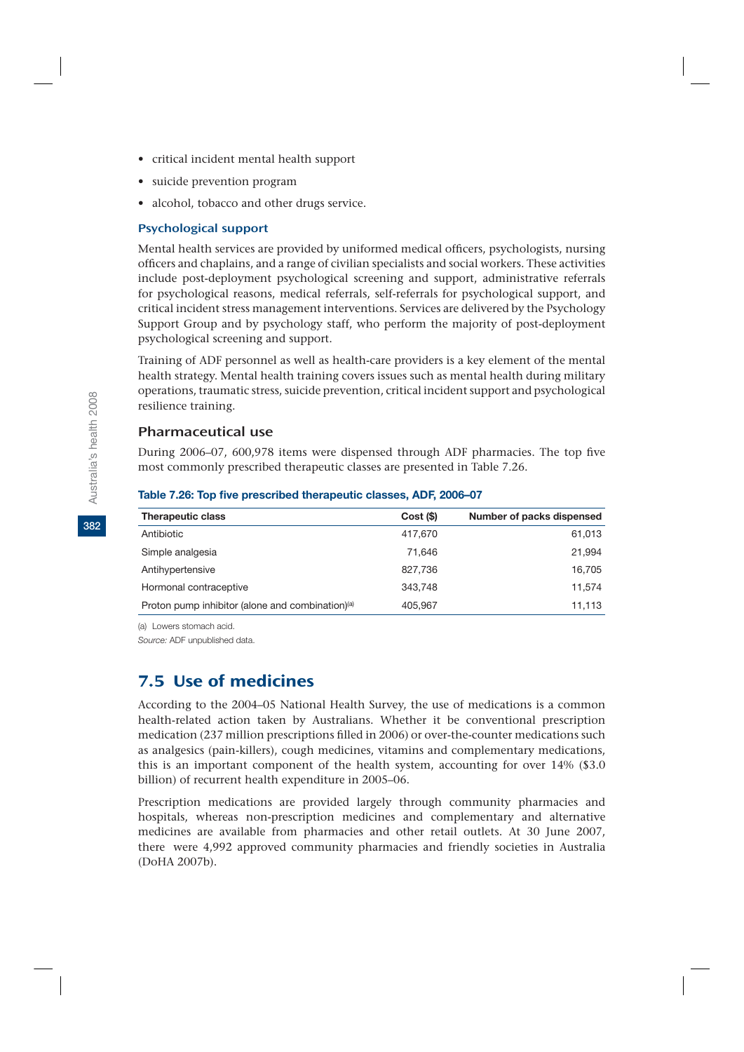- critical incident mental health support
- suicide prevention program
- alcohol, tobacco and other drugs service.

### Psychological support

Mental health services are provided by uniformed medical officers, psychologists, nursing officers and chaplains, and a range of civilian specialists and social workers. These activities include post-deployment psychological screening and support, administrative referrals for psychological reasons, medical referrals, self-referrals for psychological support, and critical incident stress management interventions. Services are delivered by the Psychology Support Group and by psychology staff, who perform the majority of post-deployment psychological screening and support.

Training of ADF personnel as well as health-care providers is a key element of the mental health strategy. Mental health training covers issues such as mental health during military operations, traumatic stress, suicide prevention, critical incident support and psychological resilience training.

## Pharmaceutical use

During 2006–07, 600,978 items were dispensed through ADF pharmacies. The top five most commonly prescribed therapeutic classes are presented in Table 7.26.

| <b>Therapeutic class</b>                                     | Cost(S) | Number of packs dispensed |
|--------------------------------------------------------------|---------|---------------------------|
| Antibiotic                                                   | 417.670 | 61,013                    |
| Simple analgesia                                             | 71.646  | 21,994                    |
| Antihypertensive                                             | 827.736 | 16,705                    |
| Hormonal contraceptive                                       | 343,748 | 11,574                    |
| Proton pump inhibitor (alone and combination) <sup>(a)</sup> | 405.967 | 11.113                    |

#### **Table 7.26: Top five prescribed therapeutic classes, ADF, 2006–07**

(a) Lowers stomach acid.

*Source:* ADF unpublished data.

# 7.5 Use of medicines

According to the 2004–05 National Health Survey, the use of medications is a common health-related action taken by Australians. Whether it be conventional prescription medication (237 million prescriptions filled in 2006) or over-the-counter medications such as analgesics (pain-killers), cough medicines, vitamins and complementary medications, this is an important component of the health system, accounting for over 14% (\$3.0 billion) of recurrent health expenditure in 2005–06.

Prescription medications are provided largely through community pharmacies and hospitals, whereas non-prescription medicines and complementary and alternative medicines are available from pharmacies and other retail outlets. At 30 June 2007, there were 4,992 approved community pharmacies and friendly societies in Australia (DoHA 2007b).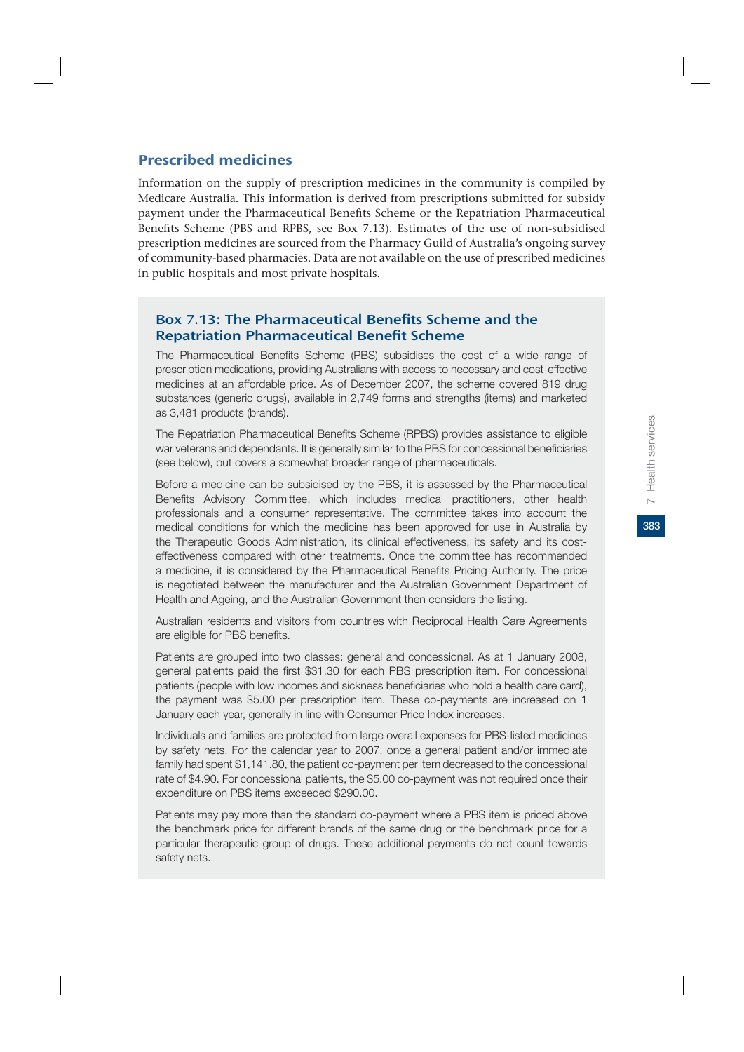### Prescribed medicines

Information on the supply of prescription medicines in the community is compiled by Medicare Australia. This information is derived from prescriptions submitted for subsidy payment under the Pharmaceutical Benefits Scheme or the Repatriation Pharmaceutical Benefits Scheme (PBS and RPBS, see Box 7.13). Estimates of the use of non-subsidised prescription medicines are sourced from the Pharmacy Guild of Australia's ongoing survey of community-based pharmacies. Data are not available on the use of prescribed medicines in public hospitals and most private hospitals.

### Box 7.13: The Pharmaceutical Benefits Scheme and the Repatriation Pharmaceutical Benefit Scheme

The Pharmaceutical Benefits Scheme (PBS) subsidises the cost of a wide range of prescription medications, providing Australians with access to necessary and cost-effective medicines at an affordable price. As of December 2007, the scheme covered 819 drug substances (generic drugs), available in 2,749 forms and strengths (items) and marketed as 3,481 products (brands).

The Repatriation Pharmaceutical Benefits Scheme (RPBS) provides assistance to eligible war veterans and dependants. It is generally similar to the PBS for concessional beneficiaries (see below), but covers a somewhat broader range of pharmaceuticals.

Before a medicine can be subsidised by the PBS, it is assessed by the Pharmaceutical Benefits Advisory Committee, which includes medical practitioners, other health professionals and a consumer representative. The committee takes into account the medical conditions for which the medicine has been approved for use in Australia by the Therapeutic Goods Administration, its clinical effectiveness, its safety and its costeffectiveness compared with other treatments. Once the committee has recommended a medicine, it is considered by the Pharmaceutical Benefits Pricing Authority. The price is negotiated between the manufacturer and the Australian Government Department of Health and Ageing, and the Australian Government then considers the listing.

Australian residents and visitors from countries with Reciprocal Health Care Agreements are eligible for PBS benefits.

Patients are grouped into two classes: general and concessional. As at 1 January 2008, general patients paid the first \$31.30 for each PBS prescription item. For concessional patients (people with low incomes and sickness beneficiaries who hold a health care card), the payment was \$5.00 per prescription item. These co-payments are increased on 1 January each year, generally in line with Consumer Price Index increases.

Individuals and families are protected from large overall expenses for PBS-listed medicines by safety nets. For the calendar year to 2007, once a general patient and/or immediate family had spent \$1,141.80, the patient co-payment per item decreased to the concessional rate of \$4.90. For concessional patients, the \$5.00 co-payment was not required once their expenditure on PBS items exceeded \$290.00.

Patients may pay more than the standard co-payment where a PBS item is priced above the benchmark price for different brands of the same drug or the benchmark price for a particular therapeutic group of drugs. These additional payments do not count towards safety nets.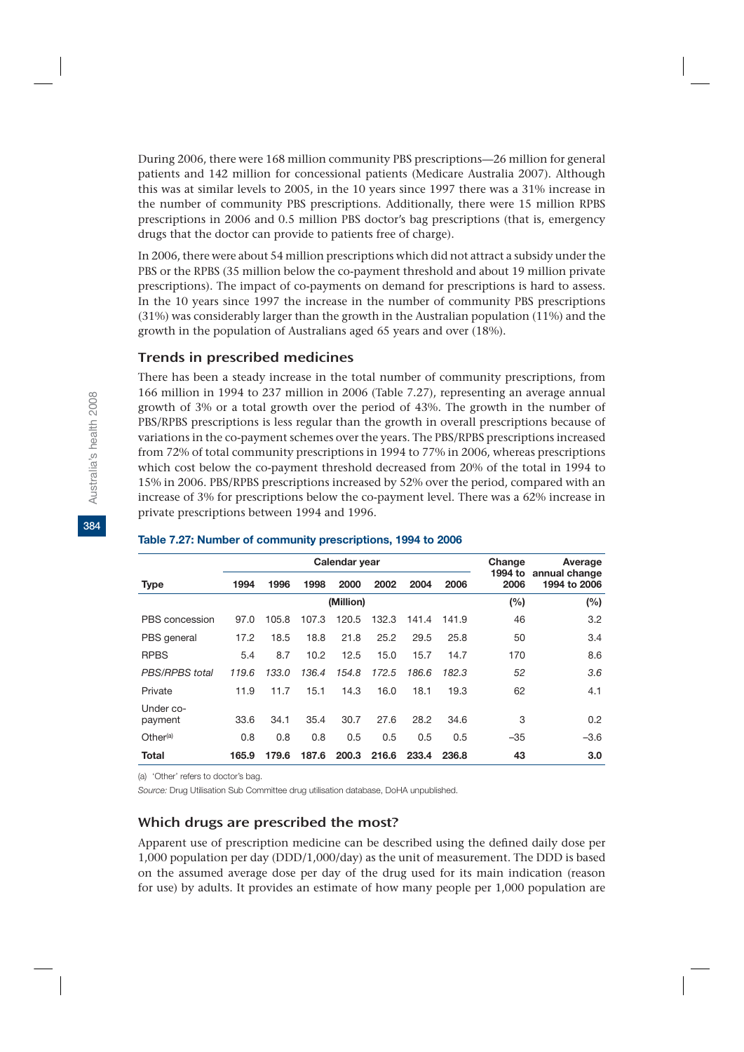During 2006, there were 168 million community PBS prescriptions—26 million for general patients and 142 million for concessional patients (Medicare Australia 2007). Although this was at similar levels to 2005, in the 10 years since 1997 there was a 31% increase in the number of community PBS prescriptions. Additionally, there were 15 million RPBS prescriptions in 2006 and 0.5 million PBS doctor's bag prescriptions (that is, emergency drugs that the doctor can provide to patients free of charge).

In 2006, there were about 54 million prescriptions which did not attract a subsidy under the PBS or the RPBS (35 million below the co-payment threshold and about 19 million private prescriptions). The impact of co-payments on demand for prescriptions is hard to assess. In the 10 years since 1997 the increase in the number of community PBS prescriptions (31%) was considerably larger than the growth in the Australian population (11%) and the growth in the population of Australians aged 65 years and over (18%).

### Trends in prescribed medicines

There has been a steady increase in the total number of community prescriptions, from 166 million in 1994 to 237 million in 2006 (Table 7.27), representing an average annual growth of 3% or a total growth over the period of 43%. The growth in the number of PBS/RPBS prescriptions is less regular than the growth in overall prescriptions because of variations in the co-payment schemes over the years. The PBS/RPBS prescriptions increased from 72% of total community prescriptions in 1994 to 77% in 2006, whereas prescriptions which cost below the co-payment threshold decreased from 20% of the total in 1994 to 15% in 2006. PBS/RPBS prescriptions increased by 52% over the period, compared with an increase of 3% for prescriptions below the co-payment level. There was a 62% increase in private prescriptions between 1994 and 1996.

|                      |           |       | Calendar year | Change<br>1994 to | Average<br>annual change |       |       |       |              |  |
|----------------------|-----------|-------|---------------|-------------------|--------------------------|-------|-------|-------|--------------|--|
| <b>Type</b>          | 1994      | 1996  | 1998          | 2000              | 2002                     | 2004  | 2006  | 2006  | 1994 to 2006 |  |
|                      | (Million) |       |               |                   |                          |       |       | (%)   | (%)          |  |
| PBS concession       | 97.0      | 105.8 | 107.3         | 120.5             | 132.3                    | 141.4 | 141.9 | 46    | 3.2          |  |
| PBS general          | 17.2      | 18.5  | 18.8          | 21.8              | 25.2                     | 29.5  | 25.8  | 50    | 3.4          |  |
| <b>RPBS</b>          | 5.4       | 8.7   | 10.2          | 12.5              | 15.0                     | 15.7  | 14.7  | 170   | 8.6          |  |
| PBS/RPBS total       | 119.6     | 133.0 | 136.4         | 154.8             | 172.5                    | 186.6 | 182.3 | 52    | 3.6          |  |
| Private              | 11.9      | 11.7  | 15.1          | 14.3              | 16.0                     | 18.1  | 19.3  | 62    | 4.1          |  |
| Under co-<br>payment | 33.6      | 34.1  | 35.4          | 30.7              | 27.6                     | 28.2  | 34.6  | 3     | 0.2          |  |
| Other <sup>(a)</sup> | 0.8       | 0.8   | 0.8           | 0.5               | 0.5                      | 0.5   | 0.5   | $-35$ | $-3.6$       |  |
| Total                | 165.9     | 179.6 | 187.6         | 200.3             | 216.6                    | 233.4 | 236.8 | 43    | 3.0          |  |

#### **Table 7.27: Number of community prescriptions, 1994 to 2006**

(a) 'Other' refers to doctor's bag.

*Source:* Drug Utilisation Sub Committee drug utilisation database, DoHA unpublished.

### Which drugs are prescribed the most?

Apparent use of prescription medicine can be described using the defined daily dose per 1,000 population per day (DDD/1,000/day) as the unit of measurement. The DDD is based on the assumed average dose per day of the drug used for its main indication (reason for use) by adults. It provides an estimate of how many people per 1,000 population are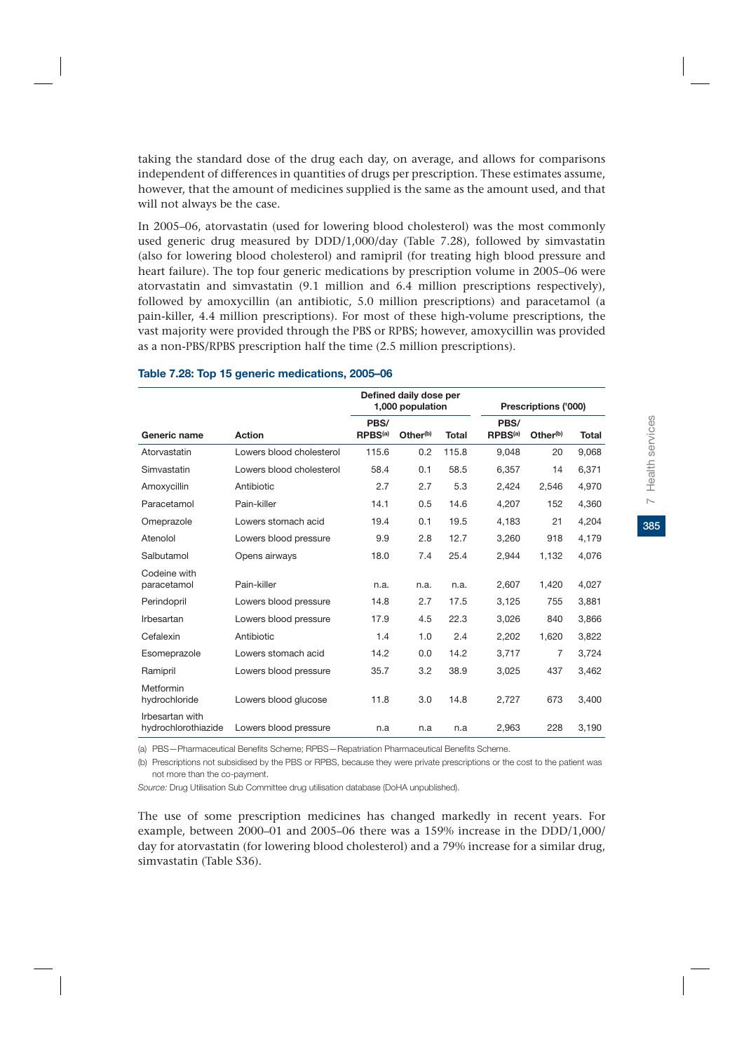taking the standard dose of the drug each day, on average, and allows for comparisons independent of differences in quantities of drugs per prescription. These estimates assume, however, that the amount of medicines supplied is the same as the amount used, and that will not always be the case.

In 2005–06, atorvastatin (used for lowering blood cholesterol) was the most commonly used generic drug measured by DDD/1,000/day (Table 7.28), followed by simvastatin (also for lowering blood cholesterol) and ramipril (for treating high blood pressure and heart failure). The top four generic medications by prescription volume in 2005–06 were atorvastatin and simvastatin (9.1 million and 6.4 million prescriptions respectively), followed by amoxycillin (an antibiotic, 5.0 million prescriptions) and paracetamol (a pain-killer, 4.4 million prescriptions). For most of these high-volume prescriptions, the vast majority were provided through the PBS or RPBS; however, amoxycillin was provided as a non-PBS/RPBS prescription half the time (2.5 million prescriptions).

|                                        |                          | Defined daily dose per<br>1,000 population |                      |              |                             | Prescriptions ('000) |              |  |  |
|----------------------------------------|--------------------------|--------------------------------------------|----------------------|--------------|-----------------------------|----------------------|--------------|--|--|
| Generic name                           | <b>Action</b>            | PBS/<br>RPBS <sup>(a)</sup>                | Other <sup>(b)</sup> | <b>Total</b> | PBS/<br>RPBS <sup>(a)</sup> | Other <sup>(b)</sup> | <b>Total</b> |  |  |
| Atorvastatin                           | Lowers blood cholesterol | 115.6                                      | 0.2                  | 115.8        | 9,048                       | 20                   | 9,068        |  |  |
| Simvastatin                            | Lowers blood cholesterol | 58.4                                       | 0.1                  | 58.5         | 6,357                       | 14                   | 6,371        |  |  |
| Amoxycillin                            | Antibiotic               | 2.7                                        | 2.7                  | 5.3          | 2,424                       | 2.546                | 4,970        |  |  |
| Paracetamol                            | Pain-killer              | 14.1                                       | 0.5                  | 14.6         | 4,207                       | 152                  | 4,360        |  |  |
| Omeprazole                             | Lowers stomach acid      | 19.4                                       | 0.1                  | 19.5         | 4,183                       | 21                   | 4,204        |  |  |
| Atenolol                               | Lowers blood pressure    | 9.9                                        | 2.8                  | 12.7         | 3,260                       | 918                  | 4,179        |  |  |
| Salbutamol                             | Opens airways            | 18.0                                       | 7.4                  | 25.4         | 2,944                       | 1,132                | 4,076        |  |  |
| Codeine with<br>paracetamol            | Pain-killer              | n.a.                                       | n.a.                 | n.a.         | 2,607                       | 1,420                | 4,027        |  |  |
| Perindopril                            | Lowers blood pressure    | 14.8                                       | 2.7                  | 17.5         | 3,125                       | 755                  | 3,881        |  |  |
| Irbesartan                             | Lowers blood pressure    | 17.9                                       | 4.5                  | 22.3         | 3,026                       | 840                  | 3,866        |  |  |
| Cefalexin                              | Antibiotic               | 1.4                                        | 1.0                  | 2.4          | 2,202                       | 1,620                | 3,822        |  |  |
| Esomeprazole                           | Lowers stomach acid      | 14.2                                       | 0.0                  | 14.2         | 3,717                       | 7                    | 3,724        |  |  |
| Ramipril                               | Lowers blood pressure    | 35.7                                       | 3.2                  | 38.9         | 3,025                       | 437                  | 3,462        |  |  |
| Metformin<br>hydrochloride             | Lowers blood glucose     | 11.8                                       | 3.0                  | 14.8         | 2,727                       | 673                  | 3,400        |  |  |
| Irbesartan with<br>hydrochlorothiazide | Lowers blood pressure    | n.a                                        | n.a                  | n.a          | 2,963                       | 228                  | 3,190        |  |  |

#### **Table 7.28: Top 15 generic medications, 2005–06**

(a) PBS—Pharmaceutical Benefits Scheme; RPBS—Repatriation Pharmaceutical Benefits Scheme.

(b) Prescriptions not subsidised by the PBS or RPBS, because they were private prescriptions or the cost to the patient was not more than the co-payment.

*Source:* Drug Utilisation Sub Committee drug utilisation database (DoHA unpublished).

The use of some prescription medicines has changed markedly in recent years. For example, between 2000–01 and 2005–06 there was a 159% increase in the DDD/1,000/ day for atorvastatin (for lowering blood cholesterol) and a 79% increase for a similar drug, simvastatin (Table S36).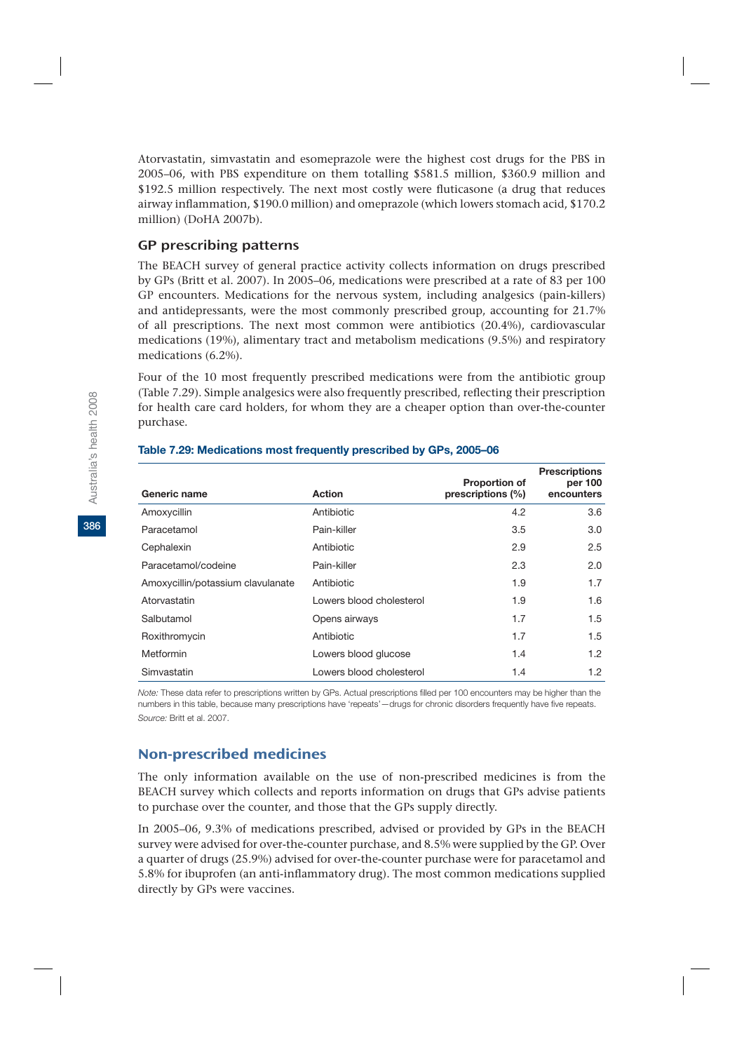Atorvastatin, simvastatin and esomeprazole were the highest cost drugs for the PBS in 2005–06, with PBS expenditure on them totalling \$581.5 million, \$360.9 million and \$192.5 million respectively. The next most costly were fluticasone (a drug that reduces airway inflammation, \$190.0 million) and omeprazole (which lowers stomach acid, \$170.2 million) (DoHA 2007b).

### GP prescribing patterns

The BEACH survey of general practice activity collects information on drugs prescribed by GPs (Britt et al. 2007). In 2005–06, medications were prescribed at a rate of 83 per 100 GP encounters. Medications for the nervous system, including analgesics (pain-killers) and antidepressants, were the most commonly prescribed group, accounting for 21.7% of all prescriptions. The next most common were antibiotics (20.4%), cardiovascular medications (19%), alimentary tract and metabolism medications (9.5%) and respiratory medications (6.2%).

Four of the 10 most frequently prescribed medications were from the antibiotic group (Table 7.29). Simple analgesics were also frequently prescribed, reflecting their prescription for health care card holders, for whom they are a cheaper option than over-the-counter purchase.

| Generic name                      | <b>Action</b>            | <b>Proportion of</b><br>prescriptions (%) | <b>Prescriptions</b><br>per 100<br>encounters |
|-----------------------------------|--------------------------|-------------------------------------------|-----------------------------------------------|
| Amoxycillin                       | Antibiotic               | 4.2                                       | 3.6                                           |
| Paracetamol                       | Pain-killer              | 3.5                                       | 3.0                                           |
| Cephalexin                        | Antibiotic               | 2.9                                       | 2.5                                           |
| Paracetamol/codeine               | Pain-killer              | 2.3                                       | 2.0                                           |
| Amoxycillin/potassium clavulanate | Antibiotic               | 1.9                                       | 1.7                                           |
| Atorvastatin                      | Lowers blood cholesterol | 1.9                                       | 1.6                                           |
| Salbutamol                        | Opens airways            | 1.7                                       | 1.5                                           |
| Roxithromycin                     | Antibiotic               | 1.7                                       | 1.5                                           |
| Metformin                         | Lowers blood glucose     | 1.4                                       | 1.2                                           |
| Simvastatin                       | Lowers blood cholesterol | 1.4                                       | 1.2                                           |

#### **Table 7.29: Medications most frequently prescribed by GPs, 2005–06**

*Note:* These data refer to prescriptions written by GPs. Actual prescriptions filled per 100 encounters may be higher than the numbers in this table, because many prescriptions have 'repeats'—drugs for chronic disorders frequently have five repeats. *Source:* Britt et al. 2007.

### Non-prescribed medicines

The only information available on the use of non-prescribed medicines is from the BEACH survey which collects and reports information on drugs that GPs advise patients to purchase over the counter, and those that the GPs supply directly.

In 2005–06, 9.3% of medications prescribed, advised or provided by GPs in the BEACH survey were advised for over-the-counter purchase, and 8.5% were supplied by the GP. Over a quarter of drugs (25.9%) advised for over-the-counter purchase were for paracetamol and 5.8% for ibuprofen (an anti-inflammatory drug). The most common medications supplied directly by GPs were vaccines.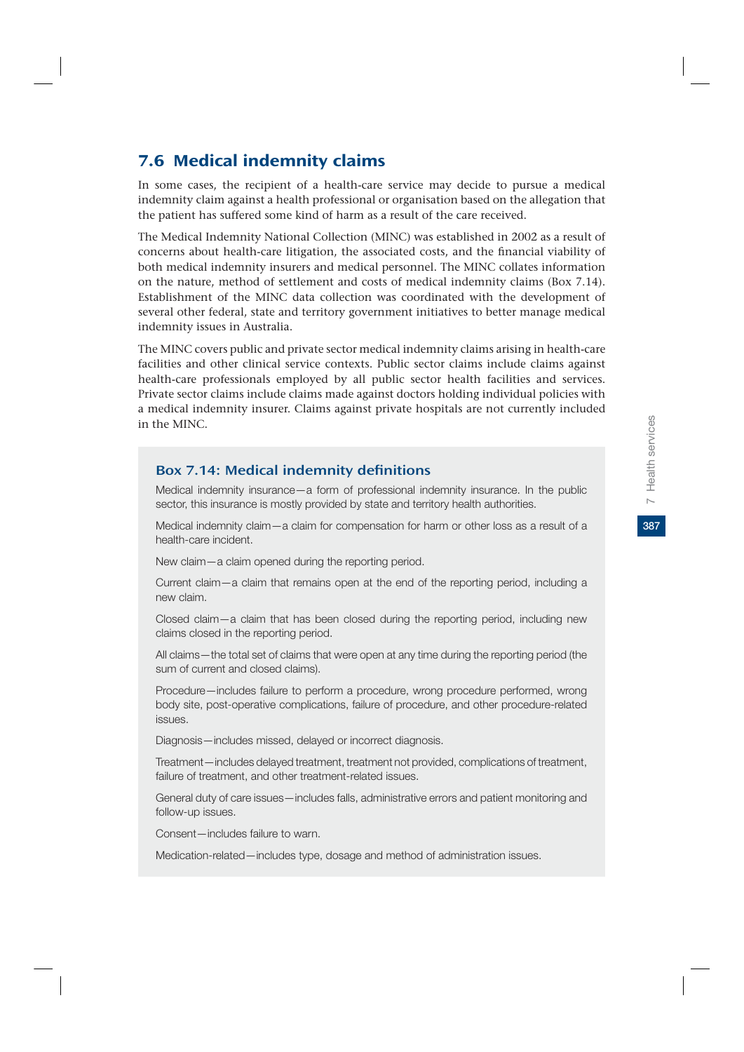387

# 7.6 Medical indemnity claims

In some cases, the recipient of a health-care service may decide to pursue a medical indemnity claim against a health professional or organisation based on the allegation that the patient has suffered some kind of harm as a result of the care received.

The Medical Indemnity National Collection (MINC) was established in 2002 as a result of concerns about health-care litigation, the associated costs, and the financial viability of both medical indemnity insurers and medical personnel. The MINC collates information on the nature, method of settlement and costs of medical indemnity claims (Box 7.14). Establishment of the MINC data collection was coordinated with the development of several other federal, state and territory government initiatives to better manage medical indemnity issues in Australia.

The MINC covers public and private sector medical indemnity claims arising in health-care facilities and other clinical service contexts. Public sector claims include claims against health-care professionals employed by all public sector health facilities and services. Private sector claims include claims made against doctors holding individual policies with a medical indemnity insurer. Claims against private hospitals are not currently included in the MINC.

### Box 7.14: Medical indemnity definitions

Medical indemnity insurance—a form of professional indemnity insurance. In the public sector, this insurance is mostly provided by state and territory health authorities.

Medical indemnity claim—a claim for compensation for harm or other loss as a result of a health-care incident.

New claim—a claim opened during the reporting period.

Current claim—a claim that remains open at the end of the reporting period, including a new claim.

Closed claim—a claim that has been closed during the reporting period, including new claims closed in the reporting period.

All claims—the total set of claims that were open at any time during the reporting period (the sum of current and closed claims).

Procedure—includes failure to perform a procedure, wrong procedure performed, wrong body site, post-operative complications, failure of procedure, and other procedure-related issues.

Diagnosis—includes missed, delayed or incorrect diagnosis.

Treatment—includes delayed treatment, treatment not provided, complications of treatment, failure of treatment, and other treatment-related issues.

General duty of care issues—includes falls, administrative errors and patient monitoring and follow-up issues.

Consent—includes failure to warn.

Medication-related—includes type, dosage and method of administration issues.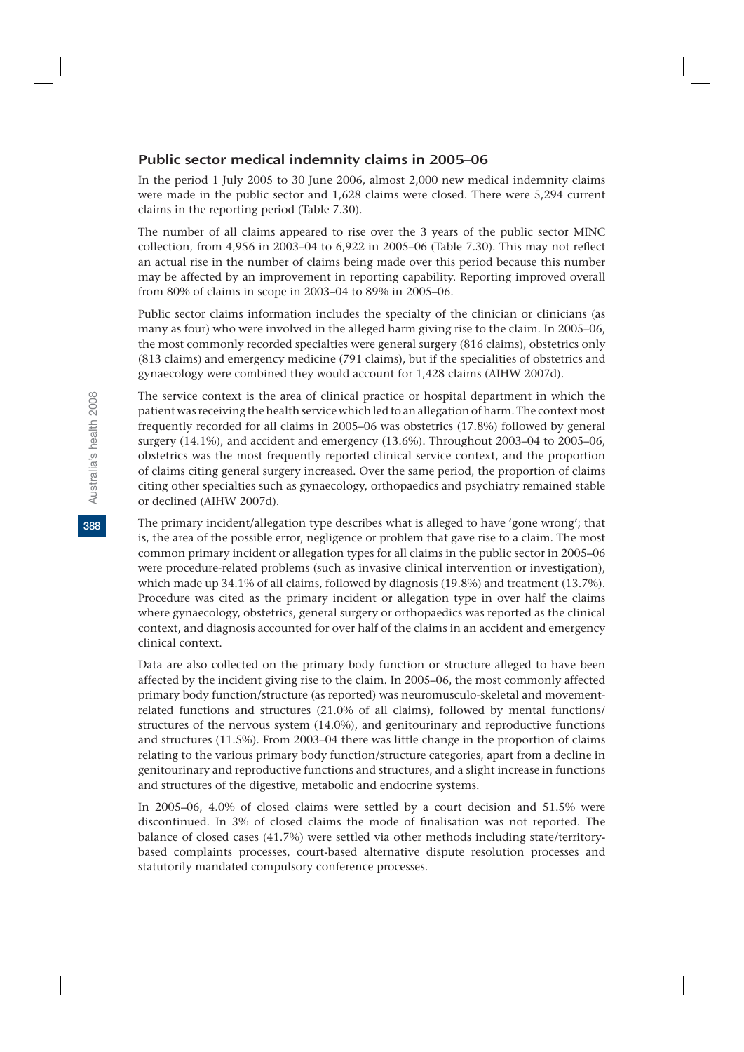### Public sector medical indemnity claims in 2005–06

In the period 1 July 2005 to 30 June 2006, almost 2,000 new medical indemnity claims were made in the public sector and 1,628 claims were closed. There were 5,294 current claims in the reporting period (Table 7.30).

The number of all claims appeared to rise over the 3 years of the public sector MINC collection, from 4,956 in 2003–04 to 6,922 in 2005–06 (Table 7.30). This may not reflect an actual rise in the number of claims being made over this period because this number may be affected by an improvement in reporting capability. Reporting improved overall from 80% of claims in scope in 2003–04 to 89% in 2005–06.

Public sector claims information includes the specialty of the clinician or clinicians (as many as four) who were involved in the alleged harm giving rise to the claim. In 2005–06, the most commonly recorded specialties were general surgery (816 claims), obstetrics only (813 claims) and emergency medicine (791 claims), but if the specialities of obstetrics and gynaecology were combined they would account for 1,428 claims (AIHW 2007d).

The service context is the area of clinical practice or hospital department in which the patient was receiving the health service which led to an allegation of harm. The context most frequently recorded for all claims in 2005–06 was obstetrics (17.8%) followed by general surgery (14.1%), and accident and emergency (13.6%). Throughout 2003–04 to 2005–06, obstetrics was the most frequently reported clinical service context, and the proportion of claims citing general surgery increased. Over the same period, the proportion of claims citing other specialties such as gynaecology, orthopaedics and psychiatry remained stable or declined (AIHW 2007d).

The primary incident/allegation type describes what is alleged to have 'gone wrong'; that is, the area of the possible error, negligence or problem that gave rise to a claim. The most common primary incident or allegation types for all claims in the public sector in 2005–06 were procedure-related problems (such as invasive clinical intervention or investigation), which made up 34.1% of all claims, followed by diagnosis (19.8%) and treatment (13.7%). Procedure was cited as the primary incident or allegation type in over half the claims where gynaecology, obstetrics, general surgery or orthopaedics was reported as the clinical context, and diagnosis accounted for over half of the claims in an accident and emergency clinical context.

Data are also collected on the primary body function or structure alleged to have been affected by the incident giving rise to the claim. In 2005–06, the most commonly affected primary body function/structure (as reported) was neuromusculo-skeletal and movementrelated functions and structures (21.0% of all claims), followed by mental functions/ structures of the nervous system (14.0%), and genitourinary and reproductive functions and structures (11.5%). From 2003–04 there was little change in the proportion of claims relating to the various primary body function/structure categories, apart from a decline in genitourinary and reproductive functions and structures, and a slight increase in functions and structures of the digestive, metabolic and endocrine systems.

In 2005–06, 4.0% of closed claims were settled by a court decision and 51.5% were discontinued. In 3% of closed claims the mode of finalisation was not reported. The balance of closed cases (41.7%) were settled via other methods including state/territorybased complaints processes, court-based alternative dispute resolution processes and statutorily mandated compulsory conference processes.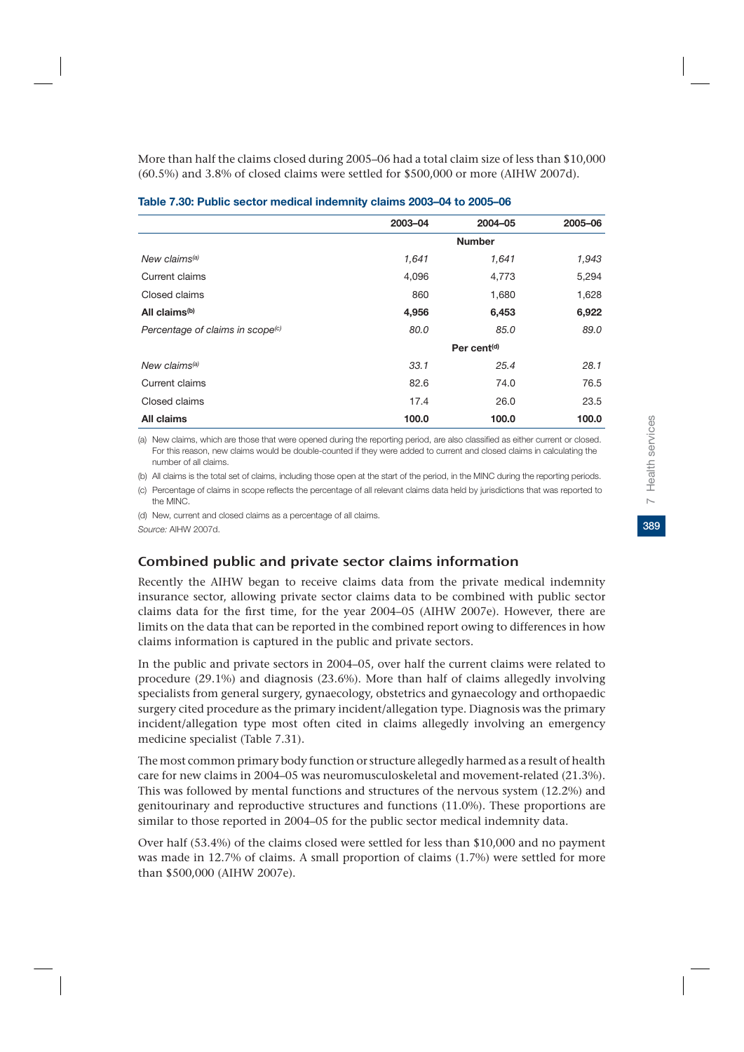More than half the claims closed during 2005–06 had a total claim size of less than \$10,000 (60.5%) and 3.8% of closed claims were settled for \$500,000 or more (AIHW 2007d).

|                                              | 2003-04 | 2004-05                 | 2005-06 |  |  |
|----------------------------------------------|---------|-------------------------|---------|--|--|
|                                              |         | <b>Number</b>           |         |  |  |
| New claims <sup>(a)</sup>                    | 1,641   | 1,641                   | 1,943   |  |  |
| Current claims                               | 4,096   | 4,773                   | 5,294   |  |  |
| Closed claims                                | 860     | 1,680                   | 1,628   |  |  |
| All claims <sup>(b)</sup>                    | 4,956   | 6,453                   | 6,922   |  |  |
| Percentage of claims in scope <sup>(c)</sup> | 80.0    | 85.0                    | 89.0    |  |  |
|                                              |         | Per cent <sup>(d)</sup> |         |  |  |
| New claims <sup>(a)</sup>                    | 33.1    | 25.4                    | 28.1    |  |  |
| Current claims                               | 82.6    | 74.0                    | 76.5    |  |  |
| Closed claims                                | 17.4    | 26.0                    | 23.5    |  |  |
| All claims                                   | 100.0   | 100.0                   | 100.0   |  |  |

#### **Table 7.30: Public sector medical indemnity claims 2003–04 to 2005–06**

(a) New claims, which are those that were opened during the reporting period, are also classified as either current or closed. For this reason, new claims would be double-counted if they were added to current and closed claims in calculating the number of all claims.

(b) All claims is the total set of claims, including those open at the start of the period, in the MINC during the reporting periods.

(c) Percentage of claims in scope reflects the percentage of all relevant claims data held by jurisdictions that was reported to the MINC.

(d) New, current and closed claims as a percentage of all claims.

*Source:* AIHW 2007d.

### Combined public and private sector claims information

Recently the AIHW began to receive claims data from the private medical indemnity insurance sector, allowing private sector claims data to be combined with public sector claims data for the first time, for the year 2004–05 (AIHW 2007e). However, there are limits on the data that can be reported in the combined report owing to differences in how claims information is captured in the public and private sectors.

In the public and private sectors in 2004–05, over half the current claims were related to procedure (29.1%) and diagnosis (23.6%). More than half of claims allegedly involving specialists from general surgery, gynaecology, obstetrics and gynaecology and orthopaedic surgery cited procedure as the primary incident/allegation type. Diagnosis was the primary incident/allegation type most often cited in claims allegedly involving an emergency medicine specialist (Table 7.31).

The most common primary body function or structure allegedly harmed as a result of health care for new claims in 2004–05 was neuromusculoskeletal and movement-related (21.3%). This was followed by mental functions and structures of the nervous system (12.2%) and genitourinary and reproductive structures and functions (11.0%). These proportions are similar to those reported in 2004–05 for the public sector medical indemnity data.

Over half (53.4%) of the claims closed were settled for less than \$10,000 and no payment was made in 12.7% of claims. A small proportion of claims (1.7%) were settled for more than \$500,000 (AIHW 2007e).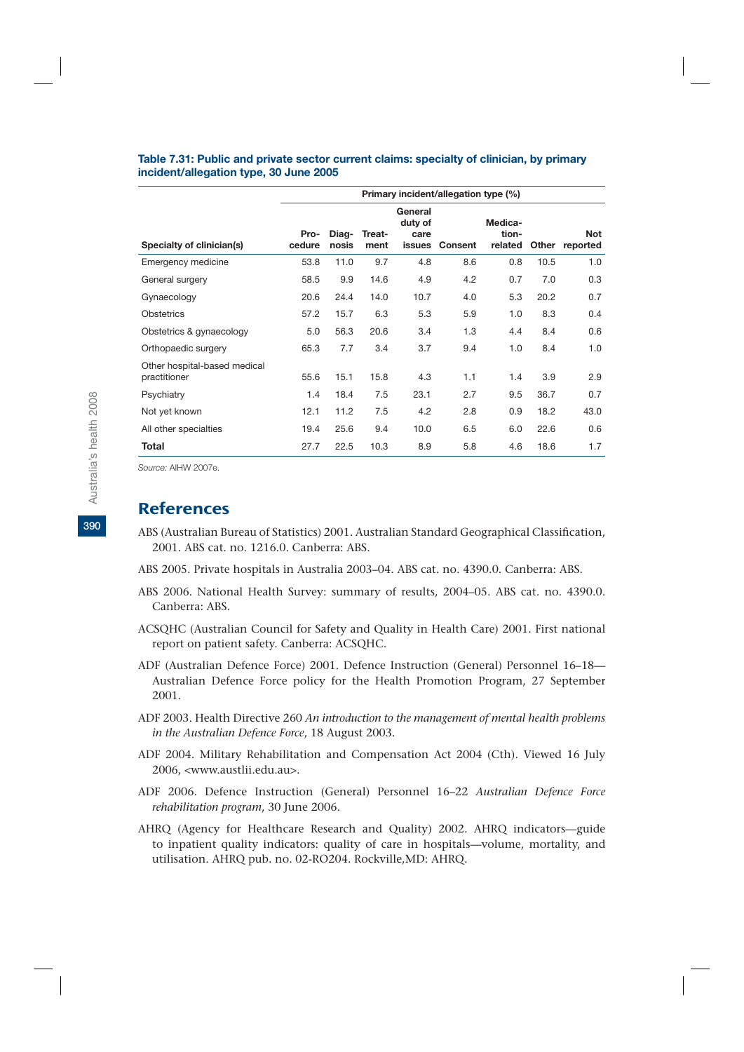#### **Table 7.31: Public and private sector current claims: specialty of clinician, by primary incident/allegation type, 30 June 2005**

|                                              | Primary incident/allegation type (%) |                |                |                                      |                |                             |       |                 |
|----------------------------------------------|--------------------------------------|----------------|----------------|--------------------------------------|----------------|-----------------------------|-------|-----------------|
| Specialty of clinician(s)                    | Pro-<br>cedure                       | Diag-<br>nosis | Treat-<br>ment | General<br>duty of<br>care<br>issues | <b>Consent</b> | Medica-<br>tion-<br>related | Other | Not<br>reported |
| Emergency medicine                           | 53.8                                 | 11.0           | 9.7            | 4.8                                  | 8.6            | 0.8                         | 10.5  | 1.0             |
| General surgery                              | 58.5                                 | 9.9            | 14.6           | 4.9                                  | 4.2            | 0.7                         | 7.0   | 0.3             |
| Gynaecology                                  | 20.6                                 | 24.4           | 14.0           | 10.7                                 | 4.0            | 5.3                         | 20.2  | 0.7             |
| <b>Obstetrics</b>                            | 57.2                                 | 15.7           | 6.3            | 5.3                                  | 5.9            | 1.0                         | 8.3   | 0.4             |
| Obstetrics & gynaecology                     | 5.0                                  | 56.3           | 20.6           | 3.4                                  | 1.3            | 4.4                         | 8.4   | 0.6             |
| Orthopaedic surgery                          | 65.3                                 | 7.7            | 3.4            | 3.7                                  | 9.4            | 1.0                         | 8.4   | 1.0             |
| Other hospital-based medical<br>practitioner | 55.6                                 | 15.1           | 15.8           | 4.3                                  | 1.1            | 1.4                         | 3.9   | 2.9             |
| Psychiatry                                   | 1.4                                  | 18.4           | 7.5            | 23.1                                 | 2.7            | 9.5                         | 36.7  | 0.7             |
| Not yet known                                | 12.1                                 | 11.2           | 7.5            | 4.2                                  | 2.8            | 0.9                         | 18.2  | 43.0            |
| All other specialties                        | 19.4                                 | 25.6           | 9.4            | 10.0                                 | 6.5            | 6.0                         | 22.6  | 0.6             |
| Total                                        | 27.7                                 | 22.5           | 10.3           | 8.9                                  | 5.8            | 4.6                         | 18.6  | 1.7             |

*Source:* AIHW 2007e.

# **References**

- ABS (Australian Bureau of Statistics) 2001. Australian Standard Geographical Classification, 2001. ABS cat. no. 1216.0. Canberra: ABS.
- ABS 2005. Private hospitals in Australia 2003–04. ABS cat. no. 4390.0. Canberra: ABS.
- ABS 2006. National Health Survey: summary of results, 2004–05. ABS cat. no. 4390.0. Canberra: ABS.
- ACSQHC (Australian Council for Safety and Quality in Health Care) 2001. First national report on patient safety. Canberra: ACSQHC.
- ADF (Australian Defence Force) 2001. Defence Instruction (General) Personnel 16–18— Australian Defence Force policy for the Health Promotion Program, 27 September 2001.
- ADF 2003. Health Directive 260 *An introduction to the management of mental health problems in the Australian Defence Force*, 18 August 2003.
- ADF 2004. Military Rehabilitation and Compensation Act 2004 (Cth). Viewed 16 July 2006, <www.austlii.edu.au>.
- ADF 2006. Defence Instruction (General) Personnel 16–22 *Australian Defence Force rehabilitation program*, 30 June 2006.
- AHRQ (Agency for Healthcare Research and Quality) 2002. AHRQ indicators—guide to inpatient quality indicators: quality of care in hospitals—volume, mortality, and utilisation. AHRQ pub. no. 02-RO204. Rockville,MD: AHRQ.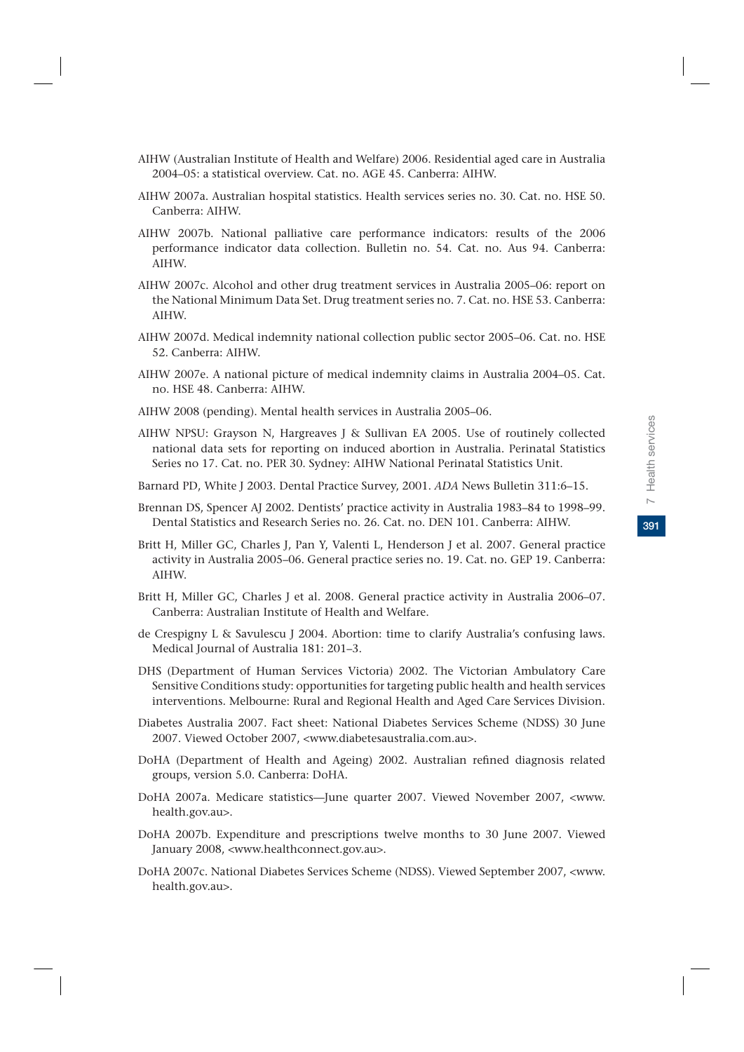391

- AIHW (Australian Institute of Health and Welfare) 2006. Residential aged care in Australia 2004–05: a statistical overview. Cat. no. AGE 45. Canberra: AIHW.
- AIHW 2007a. Australian hospital statistics. Health services series no. 30. Cat. no. HSE 50. Canberra: AIHW.
- AIHW 2007b. National palliative care performance indicators: results of the 2006 performance indicator data collection. Bulletin no. 54. Cat. no. Aus 94. Canberra: AIHW.
- AIHW 2007c. Alcohol and other drug treatment services in Australia 2005–06: report on the National Minimum Data Set. Drug treatment series no. 7. Cat. no. HSE 53. Canberra: AIHW.
- AIHW 2007d. Medical indemnity national collection public sector 2005–06. Cat. no. HSE 52. Canberra: AIHW.
- AIHW 2007e. A national picture of medical indemnity claims in Australia 2004–05. Cat. no. HSE 48. Canberra: AIHW.
- AIHW 2008 (pending). Mental health services in Australia 2005–06.
- AIHW NPSU: Grayson N, Hargreaves J & Sullivan EA 2005. Use of routinely collected national data sets for reporting on induced abortion in Australia. Perinatal Statistics Series no 17. Cat. no. PER 30. Sydney: AIHW National Perinatal Statistics Unit.
- Barnard PD, White J 2003. Dental Practice Survey, 2001. *ADA* News Bulletin 311:6–15.
- Brennan DS, Spencer AJ 2002. Dentists' practice activity in Australia 1983–84 to 1998–99. Dental Statistics and Research Series no. 26. Cat. no. DEN 101. Canberra: AIHW.
- Britt H, Miller GC, Charles J, Pan Y, Valenti L, Henderson J et al. 2007. General practice activity in Australia 2005–06. General practice series no. 19. Cat. no. GEP 19. Canberra: AIHW.
- Britt H, Miller GC, Charles J et al. 2008. General practice activity in Australia 2006–07. Canberra: Australian Institute of Health and Welfare.
- de Crespigny L & Savulescu J 2004. Abortion: time to clarify Australia's confusing laws. Medical Journal of Australia 181: 201–3.
- DHS (Department of Human Services Victoria) 2002. The Victorian Ambulatory Care Sensitive Conditions study: opportunities for targeting public health and health services interventions. Melbourne: Rural and Regional Health and Aged Care Services Division.
- Diabetes Australia 2007. Fact sheet: National Diabetes Services Scheme (NDSS) 30 June 2007. Viewed October 2007, <www.diabetesaustralia.com.au>.
- DoHA (Department of Health and Ageing) 2002. Australian refined diagnosis related groups, version 5.0. Canberra: DoHA.
- DoHA 2007a. Medicare statistics—June quarter 2007. Viewed November 2007, <www. health.gov.au>.
- DoHA 2007b. Expenditure and prescriptions twelve months to 30 June 2007. Viewed January 2008, <www.healthconnect.gov.au>.
- DoHA 2007c. National Diabetes Services Scheme (NDSS). Viewed September 2007, <www. health.gov.au>.